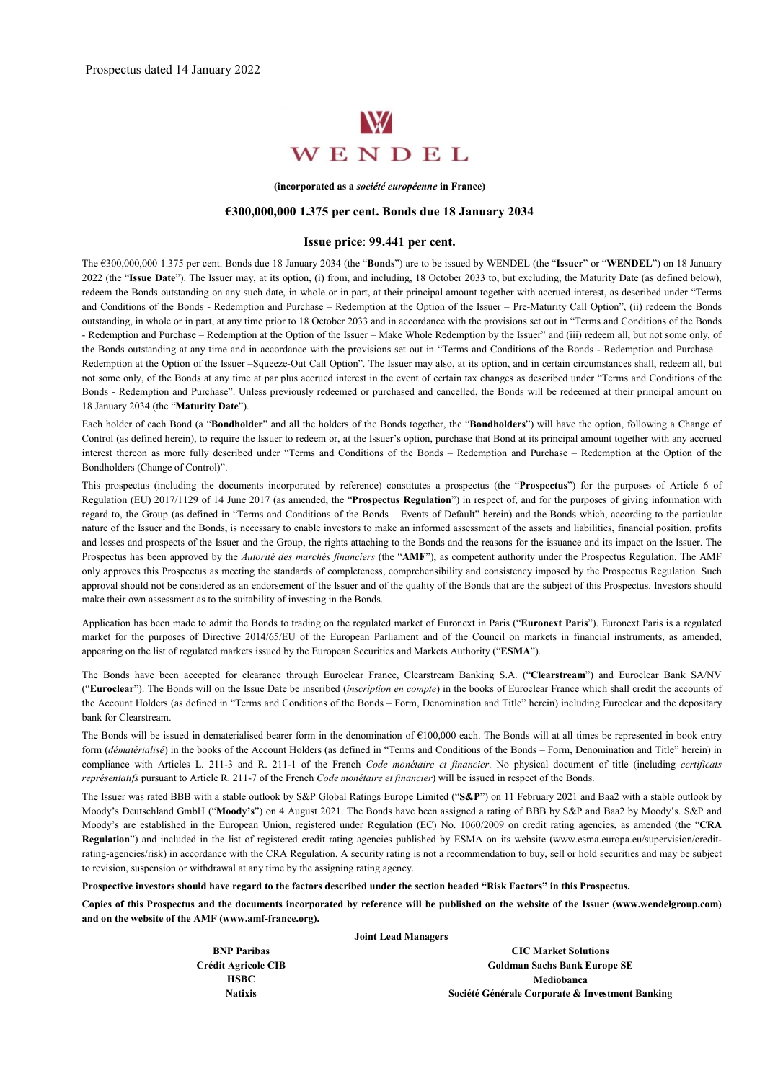

**(incorporated as a** *société européenne* **in France)** 

#### **€300,000,000 1.375 per cent. Bonds due 18 January 2034**

#### **Issue price**: **99.441 per cent.**

The €300,000,000 1.375 per cent. Bonds due 18 January 2034 (the "**Bonds**") are to be issued by WENDEL (the "**Issuer**" or "**WENDEL**") on 18 January 2022 (the "**Issue Date**"). The Issuer may, at its option, (i) from, and including, 18 October 2033 to, but excluding, the Maturity Date (as defined below), redeem the Bonds outstanding on any such date, in whole or in part, at their principal amount together with accrued interest, as described under "Terms and Conditions of the Bonds - Redemption and Purchase – Redemption at the Option of the Issuer – Pre-Maturity Call Option", (ii) redeem the Bonds outstanding, in whole or in part, at any time prior to 18 October 2033 and in accordance with the provisions set out in "Terms and Conditions of the Bonds - Redemption and Purchase – Redemption at the Option of the Issuer – Make Whole Redemption by the Issuer" and (iii) redeem all, but not some only, of the Bonds outstanding at any time and in accordance with the provisions set out in "Terms and Conditions of the Bonds - Redemption and Purchase – Redemption at the Option of the Issuer –Squeeze-Out Call Option". The Issuer may also, at its option, and in certain circumstances shall, redeem all, but not some only, of the Bonds at any time at par plus accrued interest in the event of certain tax changes as described under "Terms and Conditions of the Bonds - Redemption and Purchase". Unless previously redeemed or purchased and cancelled, the Bonds will be redeemed at their principal amount on 18 January 2034 (the "**Maturity Date**").

Each holder of each Bond (a "**Bondholder**" and all the holders of the Bonds together, the "**Bondholders**") will have the option, following a Change of Control (as defined herein), to require the Issuer to redeem or, at the Issuer's option, purchase that Bond at its principal amount together with any accrued interest thereon as more fully described under "Terms and Conditions of the Bonds – Redemption and Purchase – Redemption at the Option of the Bondholders (Change of Control)".

This prospectus (including the documents incorporated by reference) constitutes a prospectus (the "**Prospectus**") for the purposes of Article 6 of Regulation (EU) 2017/1129 of 14 June 2017 (as amended, the "**Prospectus Regulation**") in respect of, and for the purposes of giving information with regard to, the Group (as defined in "Terms and Conditions of the Bonds – Events of Default" herein) and the Bonds which, according to the particular nature of the Issuer and the Bonds, is necessary to enable investors to make an informed assessment of the assets and liabilities, financial position, profits and losses and prospects of the Issuer and the Group, the rights attaching to the Bonds and the reasons for the issuance and its impact on the Issuer. The Prospectus has been approved by the *Autorité des marchés financiers* (the "**AMF**"), as competent authority under the Prospectus Regulation. The AMF only approves this Prospectus as meeting the standards of completeness, comprehensibility and consistency imposed by the Prospectus Regulation. Such approval should not be considered as an endorsement of the Issuer and of the quality of the Bonds that are the subject of this Prospectus. Investors should make their own assessment as to the suitability of investing in the Bonds.

Application has been made to admit the Bonds to trading on the regulated market of Euronext in Paris ("Euronext Paris"). Euronext Paris is a regulated market for the purposes of Directive 2014/65/EU of the European Parliament and of the Council on markets in financial instruments, as amended, appearing on the list of regulated markets issued by the European Securities and Markets Authority ("**ESMA**").

The Bonds have been accepted for clearance through Euroclear France, Clearstream Banking S.A. ("**Clearstream**") and Euroclear Bank SA/NV ("**Euroclear**"). The Bonds will on the Issue Date be inscribed (*inscription en compte*) in the books of Euroclear France which shall credit the accounts of the Account Holders (as defined in "Terms and Conditions of the Bonds – Form, Denomination and Title" herein) including Euroclear and the depositary bank for Clearstream.

The Bonds will be issued in dematerialised bearer form in the denomination of €100,000 each. The Bonds will at all times be represented in book entry form (*dématérialisé*) in the books of the Account Holders (as defined in "Terms and Conditions of the Bonds – Form, Denomination and Title" herein) in compliance with Articles L. 211-3 and R. 211-1 of the French *Code monétaire et financier*. No physical document of title (including *certificats représentatifs* pursuant to Article R. 211-7 of the French *Code monétaire et financier*) will be issued in respect of the Bonds.

The Issuer was rated BBB with a stable outlook by S&P Global Ratings Europe Limited ("**S&P**") on 11 February 2021 and Baa2 with a stable outlook by Moody's Deutschland GmbH ("**Moody's**") on 4 August 2021. The Bonds have been assigned a rating of BBB by S&P and Baa2 by Moody's. S&P and Moody's are established in the European Union, registered under Regulation (EC) No. 1060/2009 on credit rating agencies, as amended (the "**CRA Regulation**") and included in the list of registered credit rating agencies published by ESMA on its website (www.esma.europa.eu/supervision/creditrating-agencies/risk) in accordance with the CRA Regulation. A security rating is not a recommendation to buy, sell or hold securities and may be subject to revision, suspension or withdrawal at any time by the assigning rating agency.

**Prospective investors should have regard to the factors described under the section headed "Risk Factors" in this Prospectus.** 

**Copies of this Prospectus and the documents incorporated by reference will be published on the website of the Issuer (www.wendelgroup.com) and on the website of the AMF (www.amf-france.org).** 

**Joint Lead Managers** 

| <b>BNP</b> Paribas  | <b>CIC Market Solutions</b>                     |
|---------------------|-------------------------------------------------|
| Crédit Agricole CIB | <b>Goldman Sachs Bank Europe SE</b>             |
| <b>HSBC</b>         | Mediobanca                                      |
| <b>Natixis</b>      | Société Générale Corporate & Investment Banking |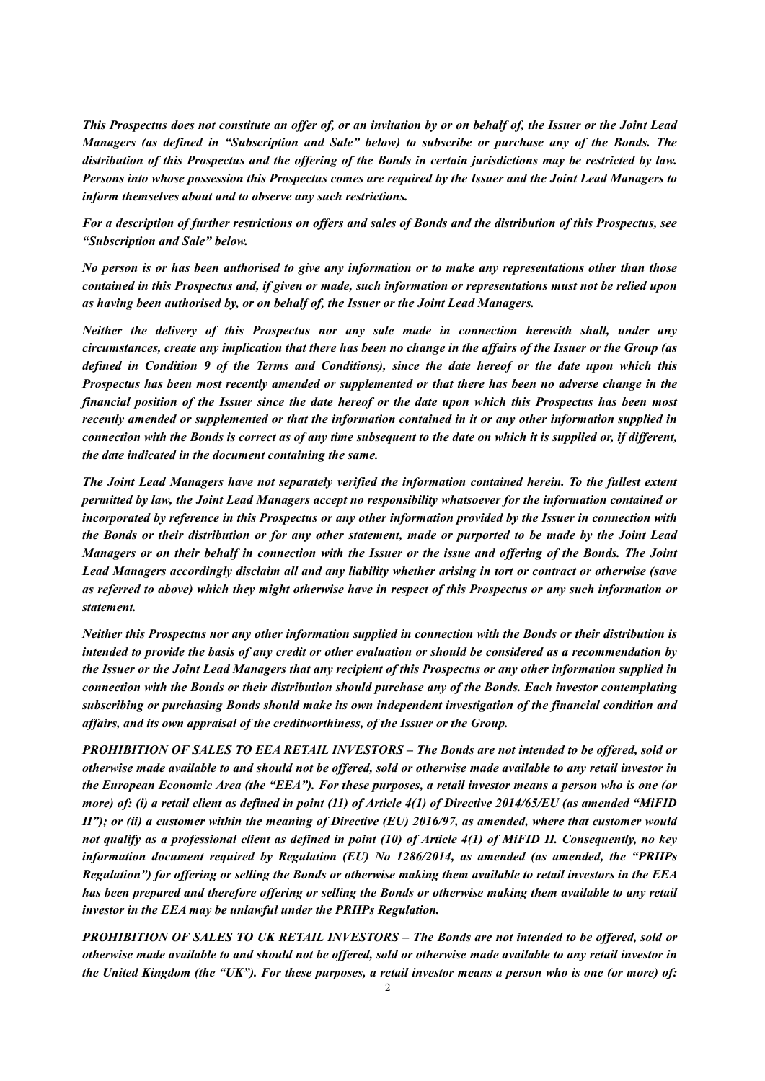*This Prospectus does not constitute an offer of, or an invitation by or on behalf of, the Issuer or the Joint Lead Managers (as defined in "Subscription and Sale" below) to subscribe or purchase any of the Bonds. The distribution of this Prospectus and the offering of the Bonds in certain jurisdictions may be restricted by law. Persons into whose possession this Prospectus comes are required by the Issuer and the Joint Lead Managers to inform themselves about and to observe any such restrictions.*

*For a description of further restrictions on offers and sales of Bonds and the distribution of this Prospectus, see "Subscription and Sale" below.*

*No person is or has been authorised to give any information or to make any representations other than those contained in this Prospectus and, if given or made, such information or representations must not be relied upon as having been authorised by, or on behalf of, the Issuer or the Joint Lead Managers.*

*Neither the delivery of this Prospectus nor any sale made in connection herewith shall, under any circumstances, create any implication that there has been no change in the affairs of the Issuer or the Group (as defined in Condition 9 of the Terms and Conditions), since the date hereof or the date upon which this Prospectus has been most recently amended or supplemented or that there has been no adverse change in the financial position of the Issuer since the date hereof or the date upon which this Prospectus has been most recently amended or supplemented or that the information contained in it or any other information supplied in connection with the Bonds is correct as of any time subsequent to the date on which it is supplied or, if different, the date indicated in the document containing the same.*

*The Joint Lead Managers have not separately verified the information contained herein. To the fullest extent permitted by law, the Joint Lead Managers accept no responsibility whatsoever for the information contained or incorporated by reference in this Prospectus or any other information provided by the Issuer in connection with the Bonds or their distribution or for any other statement, made or purported to be made by the Joint Lead Managers or on their behalf in connection with the Issuer or the issue and offering of the Bonds. The Joint Lead Managers accordingly disclaim all and any liability whether arising in tort or contract or otherwise (save as referred to above) which they might otherwise have in respect of this Prospectus or any such information or statement.* 

*Neither this Prospectus nor any other information supplied in connection with the Bonds or their distribution is intended to provide the basis of any credit or other evaluation or should be considered as a recommendation by the Issuer or the Joint Lead Managers that any recipient of this Prospectus or any other information supplied in connection with the Bonds or their distribution should purchase any of the Bonds. Each investor contemplating subscribing or purchasing Bonds should make its own independent investigation of the financial condition and affairs, and its own appraisal of the creditworthiness, of the Issuer or the Group.*

*PROHIBITION OF SALES TO EEA RETAIL INVESTORS – The Bonds are not intended to be offered, sold or otherwise made available to and should not be offered, sold or otherwise made available to any retail investor in the European Economic Area (the "EEA"). For these purposes, a retail investor means a person who is one (or more) of: (i) a retail client as defined in point (11) of Article 4(1) of Directive 2014/65/EU (as amended "MiFID II"); or (ii) a customer within the meaning of Directive (EU) 2016/97, as amended, where that customer would not qualify as a professional client as defined in point (10) of Article 4(1) of MiFID II. Consequently, no key information document required by Regulation (EU) No 1286/2014, as amended (as amended, the "PRIIPs Regulation") for offering or selling the Bonds or otherwise making them available to retail investors in the EEA has been prepared and therefore offering or selling the Bonds or otherwise making them available to any retail investor in the EEA may be unlawful under the PRIIPs Regulation.*

*PROHIBITION OF SALES TO UK RETAIL INVESTORS – The Bonds are not intended to be offered, sold or otherwise made available to and should not be offered, sold or otherwise made available to any retail investor in the United Kingdom (the "UK"). For these purposes, a retail investor means a person who is one (or more) of:*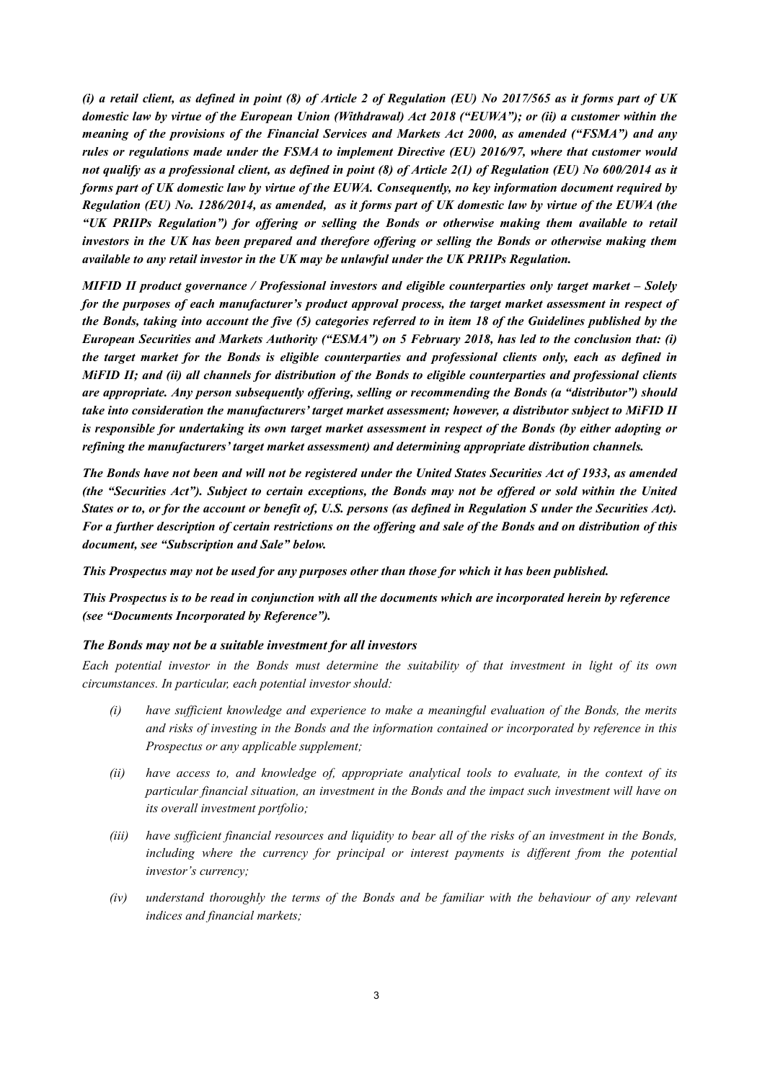*(i) a retail client, as defined in point (8) of Article 2 of Regulation (EU) No 2017/565 as it forms part of UK domestic law by virtue of the European Union (Withdrawal) Act 2018 ("EUWA"); or (ii) a customer within the meaning of the provisions of the Financial Services and Markets Act 2000, as amended ("FSMA") and any rules or regulations made under the FSMA to implement Directive (EU) 2016/97, where that customer would not qualify as a professional client, as defined in point (8) of Article 2(1) of Regulation (EU) No 600/2014 as it forms part of UK domestic law by virtue of the EUWA. Consequently, no key information document required by Regulation (EU) No. 1286/2014, as amended, as it forms part of UK domestic law by virtue of the EUWA (the "UK PRIIPs Regulation") for offering or selling the Bonds or otherwise making them available to retail investors in the UK has been prepared and therefore offering or selling the Bonds or otherwise making them available to any retail investor in the UK may be unlawful under the UK PRIIPs Regulation.*

*MIFID II product governance / Professional investors and eligible counterparties only target market – Solely for the purposes of each manufacturer's product approval process, the target market assessment in respect of the Bonds, taking into account the five (5) categories referred to in item 18 of the Guidelines published by the European Securities and Markets Authority ("ESMA") on 5 February 2018, has led to the conclusion that: (i) the target market for the Bonds is eligible counterparties and professional clients only, each as defined in MiFID II; and (ii) all channels for distribution of the Bonds to eligible counterparties and professional clients are appropriate. Any person subsequently offering, selling or recommending the Bonds (a "distributor") should take into consideration the manufacturers' target market assessment; however, a distributor subject to MiFID II is responsible for undertaking its own target market assessment in respect of the Bonds (by either adopting or refining the manufacturers' target market assessment) and determining appropriate distribution channels.*

*The Bonds have not been and will not be registered under the United States Securities Act of 1933, as amended (the "Securities Act"). Subject to certain exceptions, the Bonds may not be offered or sold within the United States or to, or for the account or benefit of, U.S. persons (as defined in Regulation S under the Securities Act). For a further description of certain restrictions on the offering and sale of the Bonds and on distribution of this document, see "Subscription and Sale" below.*

*This Prospectus may not be used for any purposes other than those for which it has been published.*

*This Prospectus is to be read in conjunction with all the documents which are incorporated herein by reference (see "Documents Incorporated by Reference").*

# *The Bonds may not be a suitable investment for all investors*

*Each potential investor in the Bonds must determine the suitability of that investment in light of its own circumstances. In particular, each potential investor should:* 

- *(i) have sufficient knowledge and experience to make a meaningful evaluation of the Bonds, the merits and risks of investing in the Bonds and the information contained or incorporated by reference in this Prospectus or any applicable supplement;*
- *(ii) have access to, and knowledge of, appropriate analytical tools to evaluate, in the context of its particular financial situation, an investment in the Bonds and the impact such investment will have on its overall investment portfolio;*
- *(iii) have sufficient financial resources and liquidity to bear all of the risks of an investment in the Bonds, including where the currency for principal or interest payments is different from the potential investor's currency;*
- *(iv) understand thoroughly the terms of the Bonds and be familiar with the behaviour of any relevant indices and financial markets;*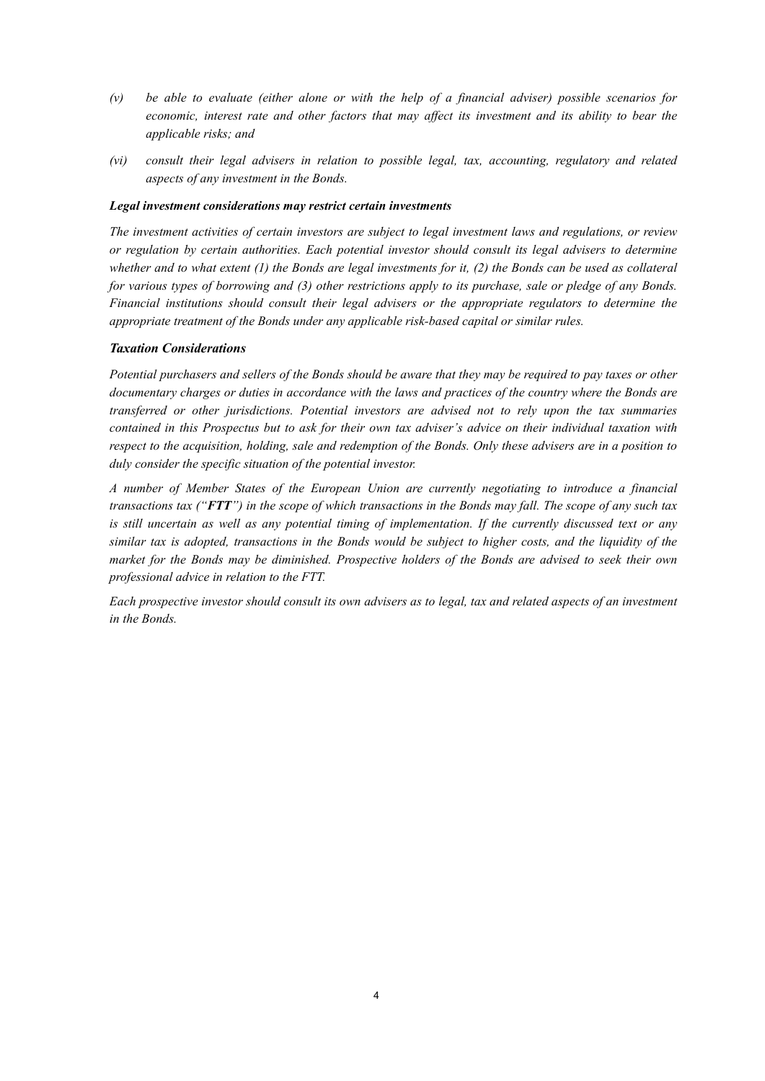- *(v) be able to evaluate (either alone or with the help of a financial adviser) possible scenarios for economic, interest rate and other factors that may affect its investment and its ability to bear the applicable risks; and*
- *(vi) consult their legal advisers in relation to possible legal, tax, accounting, regulatory and related aspects of any investment in the Bonds.*

### *Legal investment considerations may restrict certain investments*

*The investment activities of certain investors are subject to legal investment laws and regulations, or review or regulation by certain authorities. Each potential investor should consult its legal advisers to determine whether and to what extent (1) the Bonds are legal investments for it, (2) the Bonds can be used as collateral for various types of borrowing and (3) other restrictions apply to its purchase, sale or pledge of any Bonds. Financial institutions should consult their legal advisers or the appropriate regulators to determine the appropriate treatment of the Bonds under any applicable risk-based capital or similar rules.*

### *Taxation Considerations*

*Potential purchasers and sellers of the Bonds should be aware that they may be required to pay taxes or other documentary charges or duties in accordance with the laws and practices of the country where the Bonds are transferred or other jurisdictions. Potential investors are advised not to rely upon the tax summaries contained in this Prospectus but to ask for their own tax adviser's advice on their individual taxation with respect to the acquisition, holding, sale and redemption of the Bonds. Only these advisers are in a position to duly consider the specific situation of the potential investor.*

*A number of Member States of the European Union are currently negotiating to introduce a financial transactions tax ("FTT") in the scope of which transactions in the Bonds may fall. The scope of any such tax is still uncertain as well as any potential timing of implementation. If the currently discussed text or any similar tax is adopted, transactions in the Bonds would be subject to higher costs, and the liquidity of the market for the Bonds may be diminished. Prospective holders of the Bonds are advised to seek their own professional advice in relation to the FTT.*

*Each prospective investor should consult its own advisers as to legal, tax and related aspects of an investment in the Bonds.*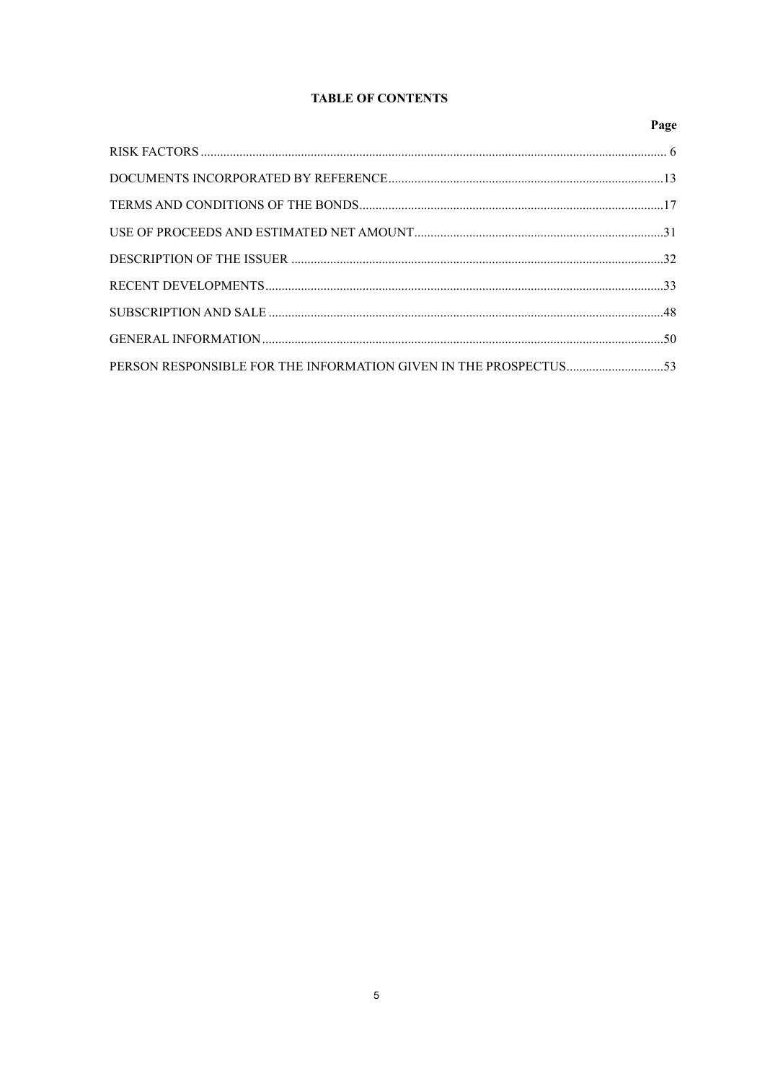# **TABLE OF CONTENTS**

| Page |
|------|
|      |
|      |
|      |
|      |
|      |
|      |
|      |
|      |
|      |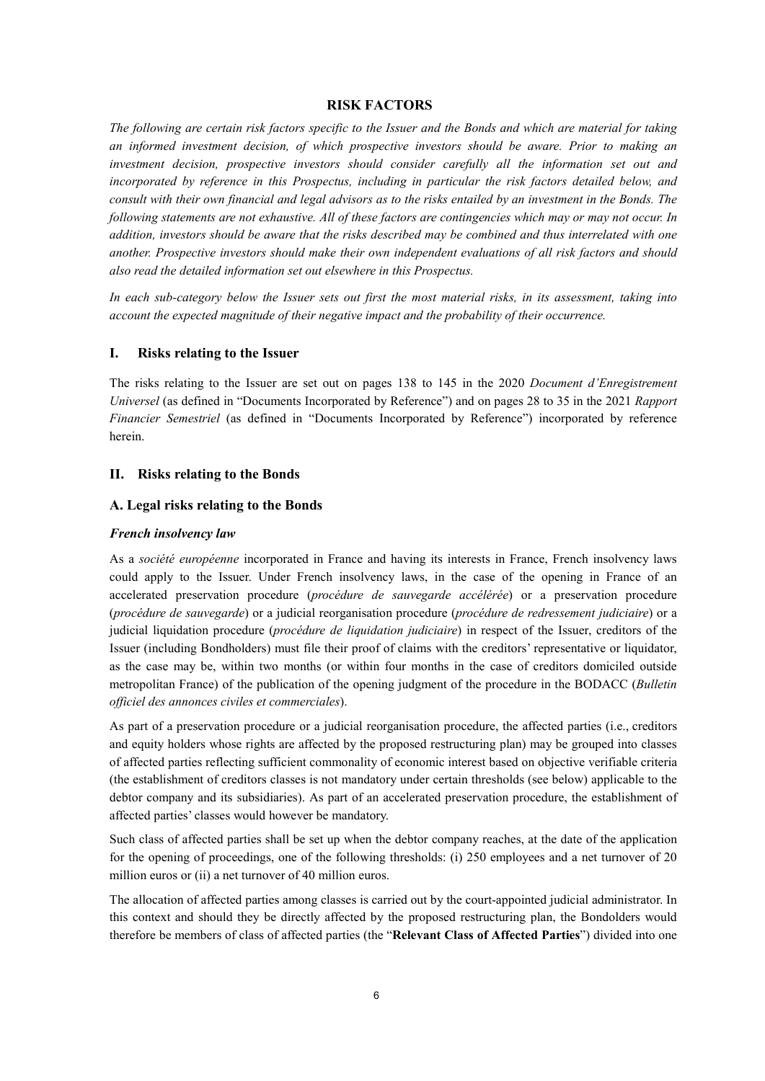# **RISK FACTORS**

<span id="page-5-0"></span>*The following are certain risk factors specific to the Issuer and the Bonds and which are material for taking an informed investment decision, of which prospective investors should be aware. Prior to making an investment decision, prospective investors should consider carefully all the information set out and incorporated by reference in this Prospectus, including in particular the risk factors detailed below, and consult with their own financial and legal advisors as to the risks entailed by an investment in the Bonds. The following statements are not exhaustive. All of these factors are contingencies which may or may not occur. In addition, investors should be aware that the risks described may be combined and thus interrelated with one another. Prospective investors should make their own independent evaluations of all risk factors and should also read the detailed information set out elsewhere in this Prospectus.* 

*In each sub-category below the Issuer sets out first the most material risks, in its assessment, taking into account the expected magnitude of their negative impact and the probability of their occurrence.*

### **I. Risks relating to the Issuer**

The risks relating to the Issuer are set out on pages 138 to 145 in the 2020 *Document d'Enregistrement Universel* (as defined in "Documents Incorporated by Reference") and on pages 28 to 35 in the 2021 *Rapport Financier Semestriel* (as defined in "Documents Incorporated by Reference") incorporated by reference herein.

### **II. Risks relating to the Bonds**

### **A. Legal risks relating to the Bonds**

### *French insolvency law*

As a *société européenne* incorporated in France and having its interests in France, French insolvency laws could apply to the Issuer. Under French insolvency laws, in the case of the opening in France of an accelerated preservation procedure (*procédure de sauvegarde accélérée*) or a preservation procedure (*procédure de sauvegarde*) or a judicial reorganisation procedure (*procédure de redressement judiciaire*) or a judicial liquidation procedure (*procédure de liquidation judiciaire*) in respect of the Issuer, creditors of the Issuer (including Bondholders) must file their proof of claims with the creditors' representative or liquidator, as the case may be, within two months (or within four months in the case of creditors domiciled outside metropolitan France) of the publication of the opening judgment of the procedure in the BODACC (*Bulletin officiel des annonces civiles et commerciales*).

As part of a preservation procedure or a judicial reorganisation procedure, the affected parties (i.e., creditors and equity holders whose rights are affected by the proposed restructuring plan) may be grouped into classes of affected parties reflecting sufficient commonality of economic interest based on objective verifiable criteria (the establishment of creditors classes is not mandatory under certain thresholds (see below) applicable to the debtor company and its subsidiaries). As part of an accelerated preservation procedure, the establishment of affected parties' classes would however be mandatory.

Such class of affected parties shall be set up when the debtor company reaches, at the date of the application for the opening of proceedings, one of the following thresholds: (i) 250 employees and a net turnover of 20 million euros or (ii) a net turnover of 40 million euros.

The allocation of affected parties among classes is carried out by the court-appointed judicial administrator. In this context and should they be directly affected by the proposed restructuring plan, the Bondolders would therefore be members of class of affected parties (the "**Relevant Class of Affected Parties**") divided into one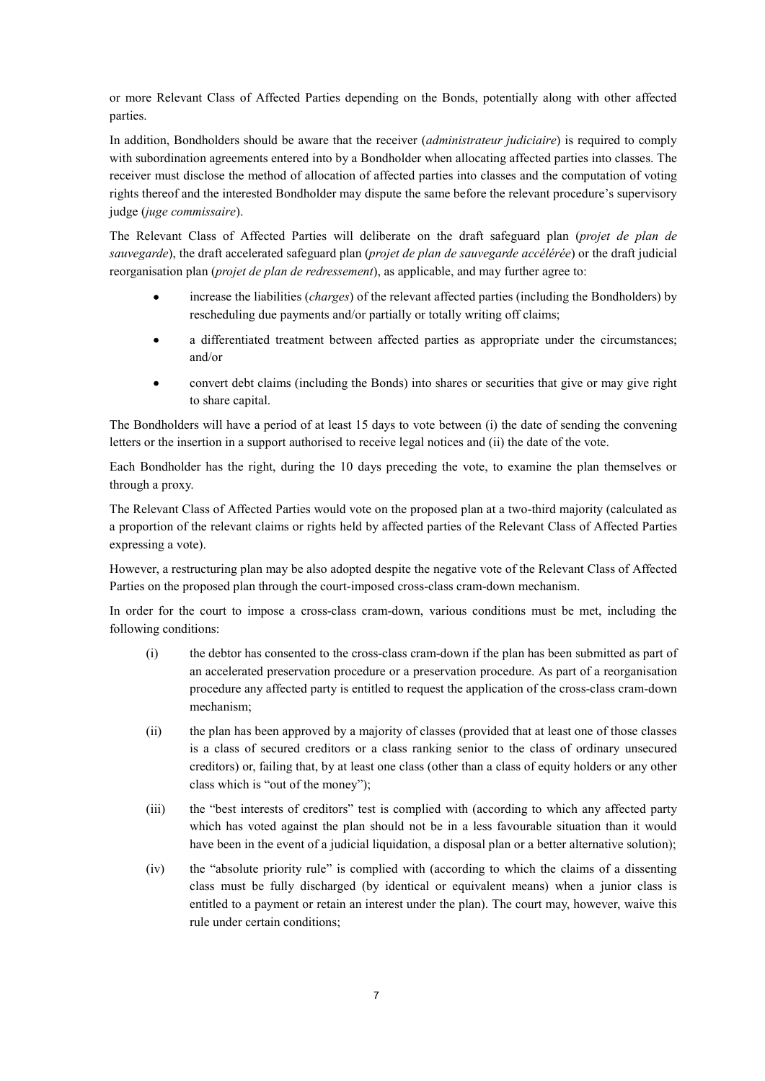or more Relevant Class of Affected Parties depending on the Bonds, potentially along with other affected parties.

In addition, Bondholders should be aware that the receiver (*administrateur judiciaire*) is required to comply with subordination agreements entered into by a Bondholder when allocating affected parties into classes. The receiver must disclose the method of allocation of affected parties into classes and the computation of voting rights thereof and the interested Bondholder may dispute the same before the relevant procedure's supervisory judge (*juge commissaire*).

The Relevant Class of Affected Parties will deliberate on the draft safeguard plan (*projet de plan de sauvegarde*), the draft accelerated safeguard plan (*projet de plan de sauvegarde accélérée*) or the draft judicial reorganisation plan (*projet de plan de redressement*), as applicable, and may further agree to:

- increase the liabilities (*charges*) of the relevant affected parties (including the Bondholders) by rescheduling due payments and/or partially or totally writing off claims;
- a differentiated treatment between affected parties as appropriate under the circumstances; and/or
- convert debt claims (including the Bonds) into shares or securities that give or may give right to share capital.

The Bondholders will have a period of at least 15 days to vote between (i) the date of sending the convening letters or the insertion in a support authorised to receive legal notices and (ii) the date of the vote.

Each Bondholder has the right, during the 10 days preceding the vote, to examine the plan themselves or through a proxy.

The Relevant Class of Affected Parties would vote on the proposed plan at a two-third majority (calculated as a proportion of the relevant claims or rights held by affected parties of the Relevant Class of Affected Parties expressing a vote).

However, a restructuring plan may be also adopted despite the negative vote of the Relevant Class of Affected Parties on the proposed plan through the court-imposed cross-class cram-down mechanism.

In order for the court to impose a cross-class cram-down, various conditions must be met, including the following conditions:

- (i) the debtor has consented to the cross-class cram-down if the plan has been submitted as part of an accelerated preservation procedure or a preservation procedure. As part of a reorganisation procedure any affected party is entitled to request the application of the cross-class cram-down mechanism;
- (ii) the plan has been approved by a majority of classes (provided that at least one of those classes is a class of secured creditors or a class ranking senior to the class of ordinary unsecured creditors) or, failing that, by at least one class (other than a class of equity holders or any other class which is "out of the money");
- (iii) the "best interests of creditors" test is complied with (according to which any affected party which has voted against the plan should not be in a less favourable situation than it would have been in the event of a judicial liquidation, a disposal plan or a better alternative solution);
- (iv) the "absolute priority rule" is complied with (according to which the claims of a dissenting class must be fully discharged (by identical or equivalent means) when a junior class is entitled to a payment or retain an interest under the plan). The court may, however, waive this rule under certain conditions;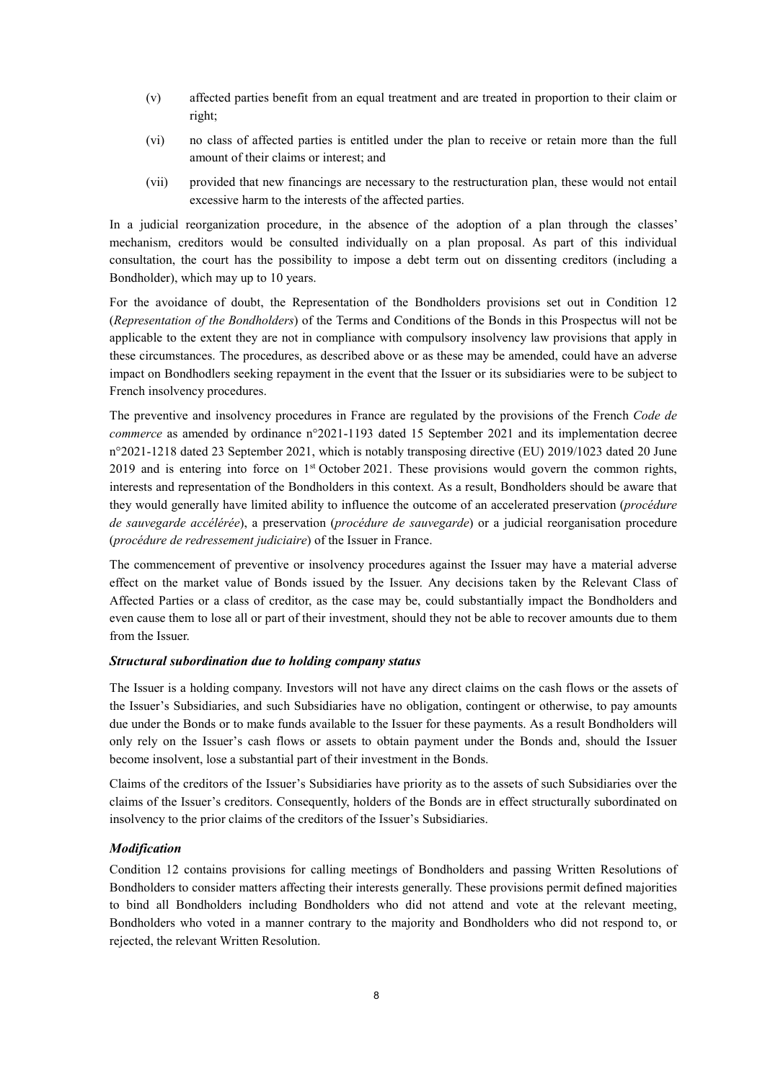- (v) affected parties benefit from an equal treatment and are treated in proportion to their claim or right;
- (vi) no class of affected parties is entitled under the plan to receive or retain more than the full amount of their claims or interest; and
- (vii) provided that new financings are necessary to the restructuration plan, these would not entail excessive harm to the interests of the affected parties.

In a judicial reorganization procedure, in the absence of the adoption of a plan through the classes' mechanism, creditors would be consulted individually on a plan proposal. As part of this individual consultation, the court has the possibility to impose a debt term out on dissenting creditors (including a Bondholder), which may up to 10 years.

For the avoidance of doubt, the Representation of the Bondholders provisions set out in Condition 12 (*Representation of the Bondholders*) of the Terms and Conditions of the Bonds in this Prospectus will not be applicable to the extent they are not in compliance with compulsory insolvency law provisions that apply in these circumstances. The procedures, as described above or as these may be amended, could have an adverse impact on Bondhodlers seeking repayment in the event that the Issuer or its subsidiaries were to be subject to French insolvency procedures.

The preventive and insolvency procedures in France are regulated by the provisions of the French *Code de commerce* as amended by ordinance n°2021-1193 dated 15 September 2021 and its implementation decree n°2021-1218 dated 23 September 2021, which is notably transposing directive (EU) 2019/1023 dated 20 June 2019 and is entering into force on  $1<sup>st</sup>$  October 2021. These provisions would govern the common rights, interests and representation of the Bondholders in this context. As a result, Bondholders should be aware that they would generally have limited ability to influence the outcome of an accelerated preservation (*procédure de sauvegarde accélérée*), a preservation (*procédure de sauvegarde*) or a judicial reorganisation procedure (*procédure de redressement judiciaire*) of the Issuer in France.

The commencement of preventive or insolvency procedures against the Issuer may have a material adverse effect on the market value of Bonds issued by the Issuer. Any decisions taken by the Relevant Class of Affected Parties or a class of creditor, as the case may be, could substantially impact the Bondholders and even cause them to lose all or part of their investment, should they not be able to recover amounts due to them from the Issuer.

### *Structural subordination due to holding company status*

The Issuer is a holding company. Investors will not have any direct claims on the cash flows or the assets of the Issuer's Subsidiaries, and such Subsidiaries have no obligation, contingent or otherwise, to pay amounts due under the Bonds or to make funds available to the Issuer for these payments. As a result Bondholders will only rely on the Issuer's cash flows or assets to obtain payment under the Bonds and, should the Issuer become insolvent, lose a substantial part of their investment in the Bonds.

Claims of the creditors of the Issuer's Subsidiaries have priority as to the assets of such Subsidiaries over the claims of the Issuer's creditors. Consequently, holders of the Bonds are in effect structurally subordinated on insolvency to the prior claims of the creditors of the Issuer's Subsidiaries.

### *Modification*

Condition 12 contains provisions for calling meetings of Bondholders and passing Written Resolutions of Bondholders to consider matters affecting their interests generally. These provisions permit defined majorities to bind all Bondholders including Bondholders who did not attend and vote at the relevant meeting, Bondholders who voted in a manner contrary to the majority and Bondholders who did not respond to, or rejected, the relevant Written Resolution.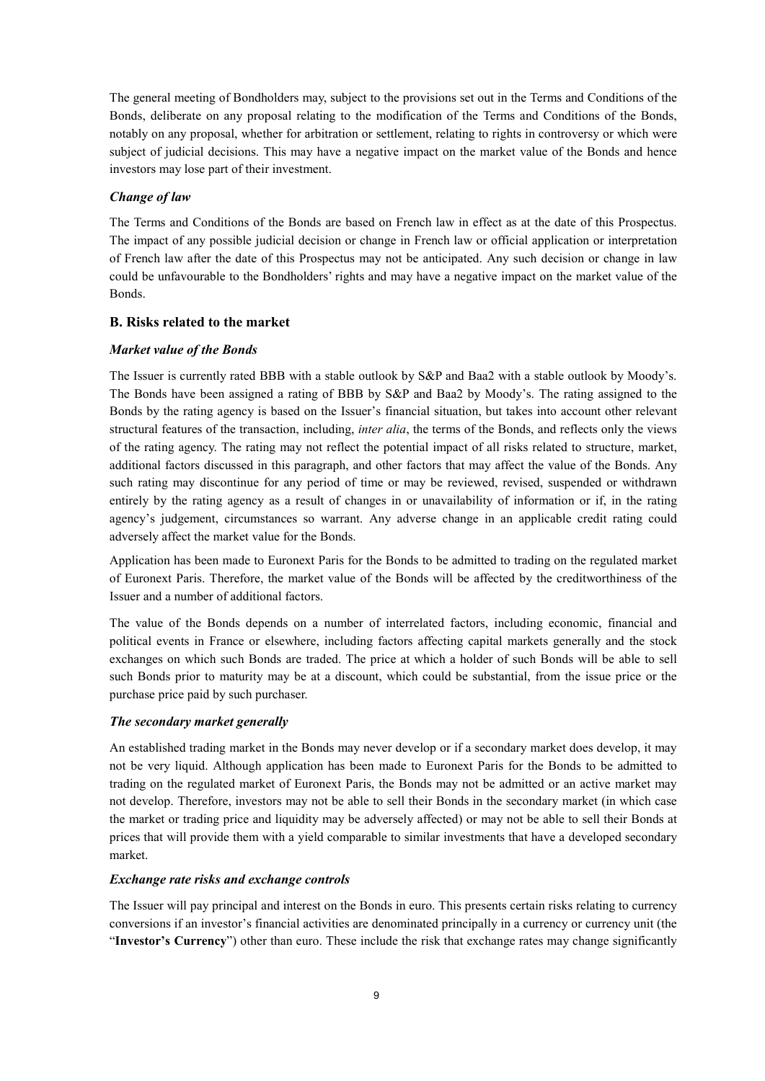The general meeting of Bondholders may, subject to the provisions set out in the Terms and Conditions of the Bonds, deliberate on any proposal relating to the modification of the Terms and Conditions of the Bonds, notably on any proposal, whether for arbitration or settlement, relating to rights in controversy or which were subject of judicial decisions. This may have a negative impact on the market value of the Bonds and hence investors may lose part of their investment.

# *Change of law*

The Terms and Conditions of the Bonds are based on French law in effect as at the date of this Prospectus. The impact of any possible judicial decision or change in French law or official application or interpretation of French law after the date of this Prospectus may not be anticipated. Any such decision or change in law could be unfavourable to the Bondholders' rights and may have a negative impact on the market value of the Bonds.

# **B. Risks related to the market**

# *Market value of the Bonds*

The Issuer is currently rated BBB with a stable outlook by S&P and Baa2 with a stable outlook by Moody's. The Bonds have been assigned a rating of BBB by S&P and Baa2 by Moody's. The rating assigned to the Bonds by the rating agency is based on the Issuer's financial situation, but takes into account other relevant structural features of the transaction, including, *inter alia*, the terms of the Bonds, and reflects only the views of the rating agency. The rating may not reflect the potential impact of all risks related to structure, market, additional factors discussed in this paragraph, and other factors that may affect the value of the Bonds. Any such rating may discontinue for any period of time or may be reviewed, revised, suspended or withdrawn entirely by the rating agency as a result of changes in or unavailability of information or if, in the rating agency's judgement, circumstances so warrant. Any adverse change in an applicable credit rating could adversely affect the market value for the Bonds.

Application has been made to Euronext Paris for the Bonds to be admitted to trading on the regulated market of Euronext Paris. Therefore, the market value of the Bonds will be affected by the creditworthiness of the Issuer and a number of additional factors.

The value of the Bonds depends on a number of interrelated factors, including economic, financial and political events in France or elsewhere, including factors affecting capital markets generally and the stock exchanges on which such Bonds are traded. The price at which a holder of such Bonds will be able to sell such Bonds prior to maturity may be at a discount, which could be substantial, from the issue price or the purchase price paid by such purchaser.

# *The secondary market generally*

An established trading market in the Bonds may never develop or if a secondary market does develop, it may not be very liquid. Although application has been made to Euronext Paris for the Bonds to be admitted to trading on the regulated market of Euronext Paris, the Bonds may not be admitted or an active market may not develop. Therefore, investors may not be able to sell their Bonds in the secondary market (in which case the market or trading price and liquidity may be adversely affected) or may not be able to sell their Bonds at prices that will provide them with a yield comparable to similar investments that have a developed secondary market.

# *Exchange rate risks and exchange controls*

The Issuer will pay principal and interest on the Bonds in euro. This presents certain risks relating to currency conversions if an investor's financial activities are denominated principally in a currency or currency unit (the "**Investor's Currency**") other than euro. These include the risk that exchange rates may change significantly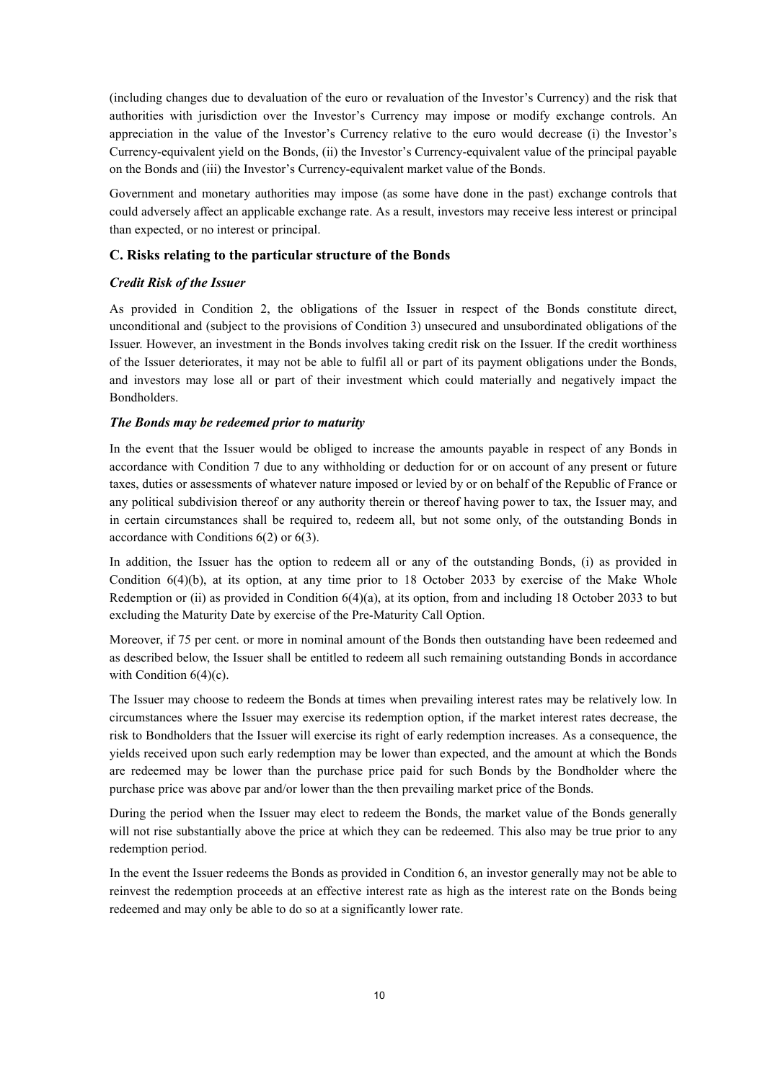(including changes due to devaluation of the euro or revaluation of the Investor's Currency) and the risk that authorities with jurisdiction over the Investor's Currency may impose or modify exchange controls. An appreciation in the value of the Investor's Currency relative to the euro would decrease (i) the Investor's Currency-equivalent yield on the Bonds, (ii) the Investor's Currency-equivalent value of the principal payable on the Bonds and (iii) the Investor's Currency-equivalent market value of the Bonds.

Government and monetary authorities may impose (as some have done in the past) exchange controls that could adversely affect an applicable exchange rate. As a result, investors may receive less interest or principal than expected, or no interest or principal.

# **C. Risks relating to the particular structure of the Bonds**

# *Credit Risk of the Issuer*

As provided in Condition 2, the obligations of the Issuer in respect of the Bonds constitute direct, unconditional and (subject to the provisions of Condition 3) unsecured and unsubordinated obligations of the Issuer. However, an investment in the Bonds involves taking credit risk on the Issuer. If the credit worthiness of the Issuer deteriorates, it may not be able to fulfil all or part of its payment obligations under the Bonds, and investors may lose all or part of their investment which could materially and negatively impact the Bondholders.

# *The Bonds may be redeemed prior to maturity*

In the event that the Issuer would be obliged to increase the amounts payable in respect of any Bonds in accordance with Condition 7 due to any withholding or deduction for or on account of any present or future taxes, duties or assessments of whatever nature imposed or levied by or on behalf of the Republic of France or any political subdivision thereof or any authority therein or thereof having power to tax, the Issuer may, and in certain circumstances shall be required to, redeem all, but not some only, of the outstanding Bonds in accordance with Conditions 6(2) or 6(3).

In addition, the Issuer has the option to redeem all or any of the outstanding Bonds, (i) as provided in Condition 6(4)(b), at its option, at any time prior to 18 October 2033 by exercise of the Make Whole Redemption or (ii) as provided in Condition 6(4)(a), at its option, from and including 18 October 2033 to but excluding the Maturity Date by exercise of the Pre-Maturity Call Option.

Moreover, if 75 per cent. or more in nominal amount of the Bonds then outstanding have been redeemed and as described below, the Issuer shall be entitled to redeem all such remaining outstanding Bonds in accordance with Condition  $6(4)(c)$ .

The Issuer may choose to redeem the Bonds at times when prevailing interest rates may be relatively low. In circumstances where the Issuer may exercise its redemption option, if the market interest rates decrease, the risk to Bondholders that the Issuer will exercise its right of early redemption increases. As a consequence, the yields received upon such early redemption may be lower than expected, and the amount at which the Bonds are redeemed may be lower than the purchase price paid for such Bonds by the Bondholder where the purchase price was above par and/or lower than the then prevailing market price of the Bonds.

During the period when the Issuer may elect to redeem the Bonds, the market value of the Bonds generally will not rise substantially above the price at which they can be redeemed. This also may be true prior to any redemption period.

In the event the Issuer redeems the Bonds as provided in Condition 6, an investor generally may not be able to reinvest the redemption proceeds at an effective interest rate as high as the interest rate on the Bonds being redeemed and may only be able to do so at a significantly lower rate.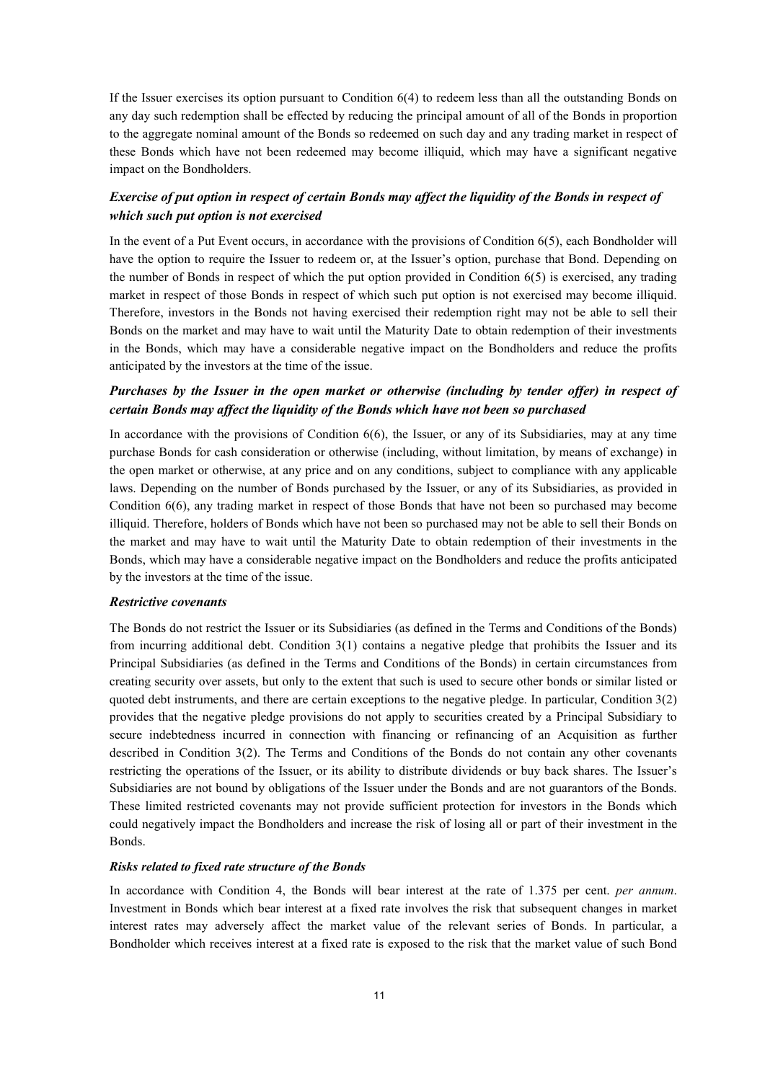If the Issuer exercises its option pursuant to Condition 6(4) to redeem less than all the outstanding Bonds on any day such redemption shall be effected by reducing the principal amount of all of the Bonds in proportion to the aggregate nominal amount of the Bonds so redeemed on such day and any trading market in respect of these Bonds which have not been redeemed may become illiquid, which may have a significant negative impact on the Bondholders.

# *Exercise of put option in respect of certain Bonds may affect the liquidity of the Bonds in respect of which such put option is not exercised*

In the event of a Put Event occurs, in accordance with the provisions of Condition 6(5), each Bondholder will have the option to require the Issuer to redeem or, at the Issuer's option, purchase that Bond. Depending on the number of Bonds in respect of which the put option provided in Condition 6(5) is exercised, any trading market in respect of those Bonds in respect of which such put option is not exercised may become illiquid. Therefore, investors in the Bonds not having exercised their redemption right may not be able to sell their Bonds on the market and may have to wait until the Maturity Date to obtain redemption of their investments in the Bonds, which may have a considerable negative impact on the Bondholders and reduce the profits anticipated by the investors at the time of the issue.

# *Purchases by the Issuer in the open market or otherwise (including by tender offer) in respect of certain Bonds may affect the liquidity of the Bonds which have not been so purchased*

In accordance with the provisions of Condition 6(6), the Issuer, or any of its Subsidiaries, may at any time purchase Bonds for cash consideration or otherwise (including, without limitation, by means of exchange) in the open market or otherwise, at any price and on any conditions, subject to compliance with any applicable laws. Depending on the number of Bonds purchased by the Issuer, or any of its Subsidiaries, as provided in Condition 6(6), any trading market in respect of those Bonds that have not been so purchased may become illiquid. Therefore, holders of Bonds which have not been so purchased may not be able to sell their Bonds on the market and may have to wait until the Maturity Date to obtain redemption of their investments in the Bonds, which may have a considerable negative impact on the Bondholders and reduce the profits anticipated by the investors at the time of the issue.

### *Restrictive covenants*

The Bonds do not restrict the Issuer or its Subsidiaries (as defined in the Terms and Conditions of the Bonds) from incurring additional debt. Condition 3(1) contains a negative pledge that prohibits the Issuer and its Principal Subsidiaries (as defined in the Terms and Conditions of the Bonds) in certain circumstances from creating security over assets, but only to the extent that such is used to secure other bonds or similar listed or quoted debt instruments, and there are certain exceptions to the negative pledge. In particular, Condition 3(2) provides that the negative pledge provisions do not apply to securities created by a Principal Subsidiary to secure indebtedness incurred in connection with financing or refinancing of an Acquisition as further described in Condition 3(2). The Terms and Conditions of the Bonds do not contain any other covenants restricting the operations of the Issuer, or its ability to distribute dividends or buy back shares. The Issuer's Subsidiaries are not bound by obligations of the Issuer under the Bonds and are not guarantors of the Bonds. These limited restricted covenants may not provide sufficient protection for investors in the Bonds which could negatively impact the Bondholders and increase the risk of losing all or part of their investment in the Bonds.

### *Risks related to fixed rate structure of the Bonds*

In accordance with Condition 4, the Bonds will bear interest at the rate of 1.375 per cent. *per annum*. Investment in Bonds which bear interest at a fixed rate involves the risk that subsequent changes in market interest rates may adversely affect the market value of the relevant series of Bonds. In particular, a Bondholder which receives interest at a fixed rate is exposed to the risk that the market value of such Bond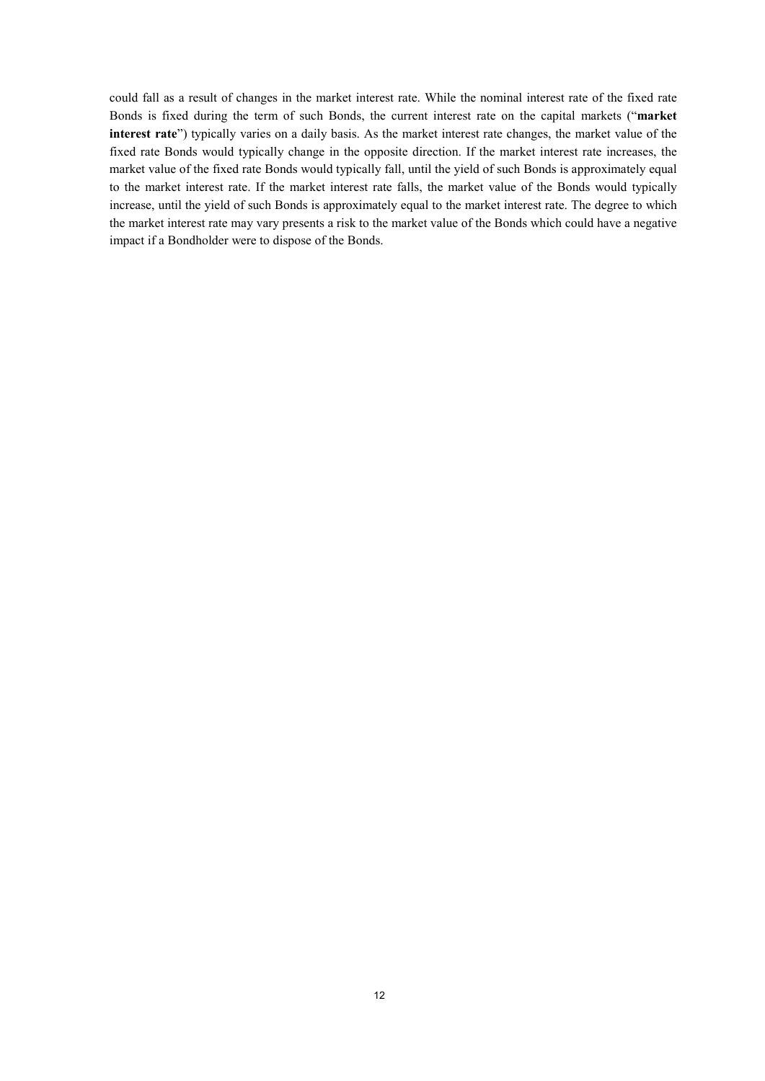could fall as a result of changes in the market interest rate. While the nominal interest rate of the fixed rate Bonds is fixed during the term of such Bonds, the current interest rate on the capital markets ("**market interest rate**") typically varies on a daily basis. As the market interest rate changes, the market value of the fixed rate Bonds would typically change in the opposite direction. If the market interest rate increases, the market value of the fixed rate Bonds would typically fall, until the yield of such Bonds is approximately equal to the market interest rate. If the market interest rate falls, the market value of the Bonds would typically increase, until the yield of such Bonds is approximately equal to the market interest rate. The degree to which the market interest rate may vary presents a risk to the market value of the Bonds which could have a negative impact if a Bondholder were to dispose of the Bonds.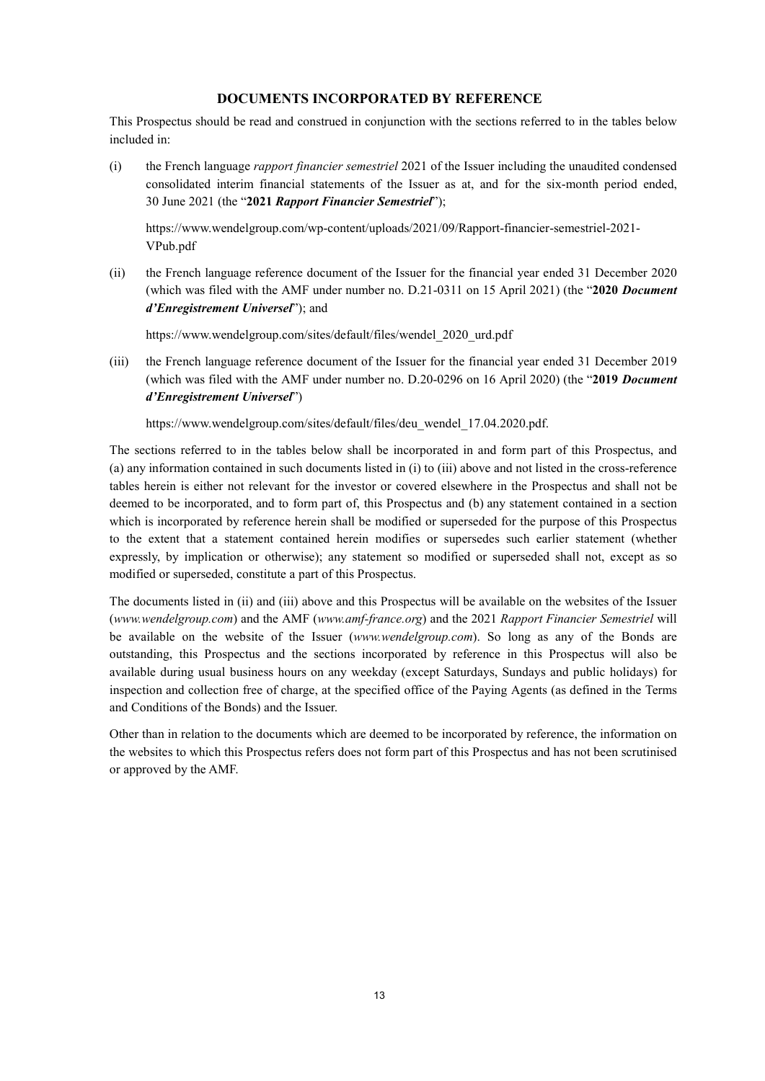# **DOCUMENTS INCORPORATED BY REFERENCE**

<span id="page-12-0"></span>This Prospectus should be read and construed in conjunction with the sections referred to in the tables below included in:

(i) the French language *rapport financier semestriel* 2021 of the Issuer including the unaudited condensed consolidated interim financial statements of the Issuer as at, and for the six-month period ended, 30 June 2021 (the "**2021** *Rapport Financier Semestriel*");

[https://www.wendelgroup.com/wp-content/uploads/2021/09/Rapport-financier-semestriel-2021-](https://www.wendelgroup.com/wp-content/uploads/2021/09/Rapport-financier-semestriel-2021-VPub.pdf) [VPub.pdf](https://www.wendelgroup.com/wp-content/uploads/2021/09/Rapport-financier-semestriel-2021-VPub.pdf) 

(ii) the French language reference document of the Issuer for the financial year ended 31 December 2020 (which was filed with the AMF under number no. D.21-0311 on 15 April 2021) (the "**2020** *Document d'Enregistrement Universel*"); and

[https://www.wendelgroup.com/sites/default/files/wendel\\_2020\\_urd.pdf](https://www.wendelgroup.com/sites/default/files/wendel_2020_urd.pdf) 

(iii) the French language reference document of the Issuer for the financial year ended 31 December 2019 (which was filed with the AMF under number no. D.20-0296 on 16 April 2020) (the "**2019** *Document d'Enregistrement Universel*")

[https://www.wendelgroup.com/sites/default/files/deu\\_wendel\\_17.04.2020.pdf.](https://www.wendelgroup.com/sites/default/files/deu_wendel_17.04.2020.pdf)

The sections referred to in the tables below shall be incorporated in and form part of this Prospectus, and (a) any information contained in such documents listed in (i) to (iii) above and not listed in the cross-reference tables herein is either not relevant for the investor or covered elsewhere in the Prospectus and shall not be deemed to be incorporated, and to form part of, this Prospectus and (b) any statement contained in a section which is incorporated by reference herein shall be modified or superseded for the purpose of this Prospectus to the extent that a statement contained herein modifies or supersedes such earlier statement (whether expressly, by implication or otherwise); any statement so modified or superseded shall not, except as so modified or superseded, constitute a part of this Prospectus.

The documents listed in (ii) and (iii) above and this Prospectus will be available on the websites of the Issuer (*www.wendelgroup.com*) and the AMF (*www.amf-france.org*) and the 2021 *Rapport Financier Semestriel* will be available on the website of the Issuer (*www.wendelgroup.com*). So long as any of the Bonds are outstanding, this Prospectus and the sections incorporated by reference in this Prospectus will also be available during usual business hours on any weekday (except Saturdays, Sundays and public holidays) for inspection and collection free of charge, at the specified office of the Paying Agents (as defined in the Terms and Conditions of the Bonds) and the Issuer.

Other than in relation to the documents which are deemed to be incorporated by reference, the information on the websites to which this Prospectus refers does not form part of this Prospectus and has not been scrutinised or approved by the AMF.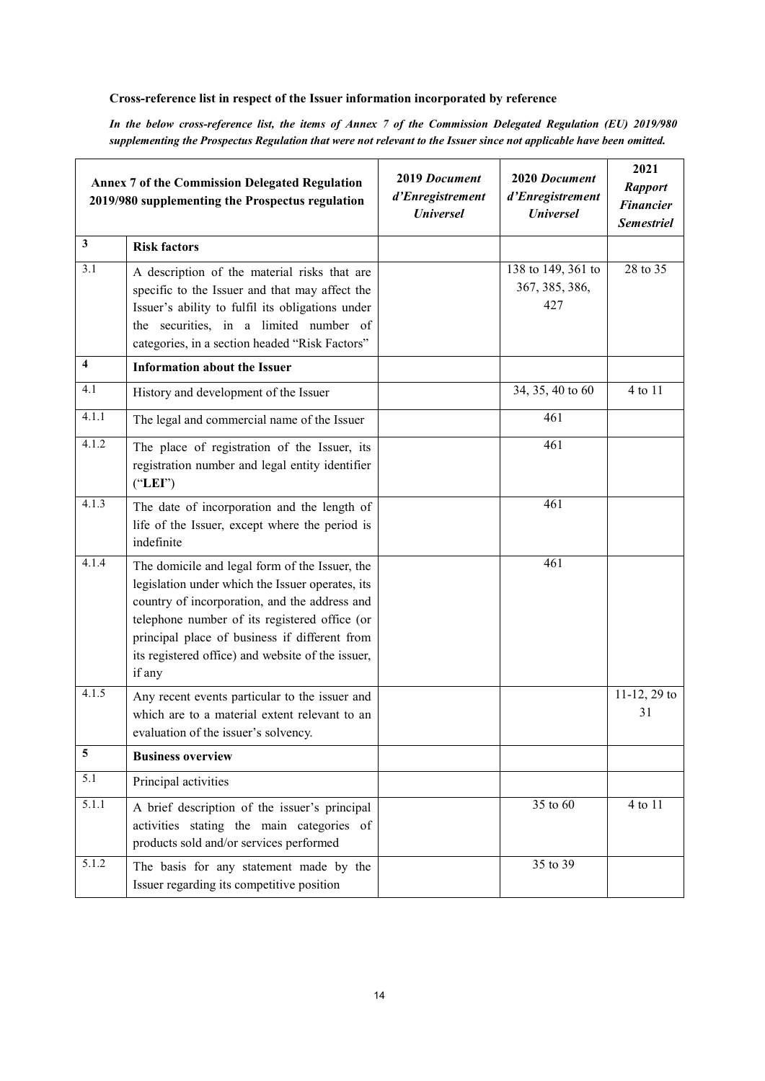# **Cross-reference list in respect of the Issuer information incorporated by reference**

*In the below cross-reference list, the items of Annex 7 of the Commission Delegated Regulation (EU) 2019/980 supplementing the Prospectus Regulation that were not relevant to the Issuer since not applicable have been omitted.* 

|                         | <b>Annex 7 of the Commission Delegated Regulation</b><br>2019/980 supplementing the Prospectus regulation                                                                                                                                                                                                            | 2019 Document<br>d'Enregistrement<br><b>Universel</b> | 2020 Document<br>d'Enregistrement<br><b>Universel</b> | 2021<br><b>Rapport</b><br><b>Financier</b><br><b>Semestriel</b> |
|-------------------------|----------------------------------------------------------------------------------------------------------------------------------------------------------------------------------------------------------------------------------------------------------------------------------------------------------------------|-------------------------------------------------------|-------------------------------------------------------|-----------------------------------------------------------------|
| $\mathbf{3}$            | <b>Risk factors</b>                                                                                                                                                                                                                                                                                                  |                                                       |                                                       |                                                                 |
| 3.1                     | A description of the material risks that are<br>specific to the Issuer and that may affect the<br>Issuer's ability to fulfil its obligations under<br>the securities, in a limited number of<br>categories, in a section headed "Risk Factors"                                                                       |                                                       | 138 to 149, 361 to<br>367, 385, 386,<br>427           | 28 to 35                                                        |
| $\overline{\mathbf{4}}$ | <b>Information about the Issuer</b>                                                                                                                                                                                                                                                                                  |                                                       |                                                       |                                                                 |
| 4.1                     | History and development of the Issuer                                                                                                                                                                                                                                                                                |                                                       | 34, 35, 40 to 60                                      | 4 to 11                                                         |
| 4.1.1                   | The legal and commercial name of the Issuer                                                                                                                                                                                                                                                                          |                                                       | 461                                                   |                                                                 |
| 4.1.2                   | The place of registration of the Issuer, its<br>registration number and legal entity identifier<br>("LEI")                                                                                                                                                                                                           |                                                       | 461                                                   |                                                                 |
| 4.1.3                   | The date of incorporation and the length of<br>life of the Issuer, except where the period is<br>indefinite                                                                                                                                                                                                          |                                                       | 461                                                   |                                                                 |
| 4.1.4                   | The domicile and legal form of the Issuer, the<br>legislation under which the Issuer operates, its<br>country of incorporation, and the address and<br>telephone number of its registered office (or<br>principal place of business if different from<br>its registered office) and website of the issuer,<br>if any |                                                       | 461                                                   |                                                                 |
| 4.1.5                   | Any recent events particular to the issuer and<br>which are to a material extent relevant to an<br>evaluation of the issuer's solvency.                                                                                                                                                                              |                                                       |                                                       | 11-12, 29 to<br>31                                              |
| 5                       | <b>Business overview</b>                                                                                                                                                                                                                                                                                             |                                                       |                                                       |                                                                 |
| 5.1                     | Principal activities                                                                                                                                                                                                                                                                                                 |                                                       |                                                       |                                                                 |
| 5.1.1                   | A brief description of the issuer's principal<br>activities stating the main categories of<br>products sold and/or services performed                                                                                                                                                                                |                                                       | 35 to 60                                              | 4 to 11                                                         |
| 5.1.2                   | The basis for any statement made by the<br>Issuer regarding its competitive position                                                                                                                                                                                                                                 |                                                       | 35 to 39                                              |                                                                 |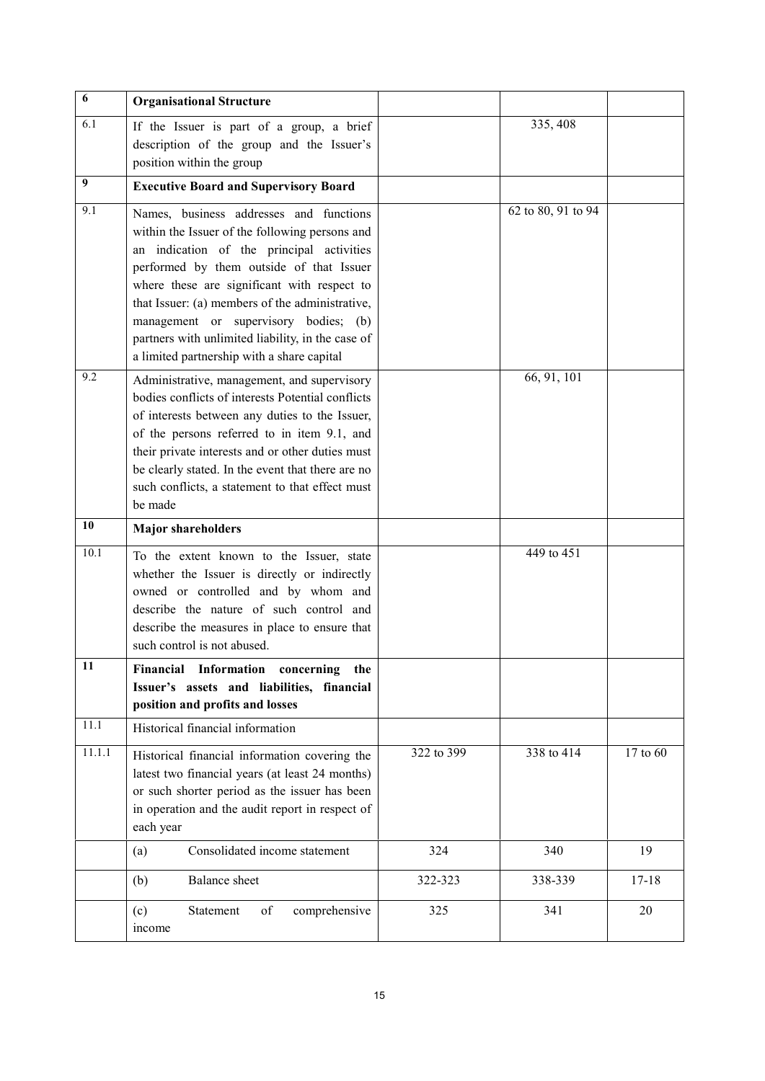| 6      | <b>Organisational Structure</b>                                                                                                                                                                                                                                                                                                                                                                                                  |            |                         |           |
|--------|----------------------------------------------------------------------------------------------------------------------------------------------------------------------------------------------------------------------------------------------------------------------------------------------------------------------------------------------------------------------------------------------------------------------------------|------------|-------------------------|-----------|
| 6.1    | If the Issuer is part of a group, a brief<br>description of the group and the Issuer's<br>position within the group                                                                                                                                                                                                                                                                                                              |            | 335, 408                |           |
| 9      | <b>Executive Board and Supervisory Board</b>                                                                                                                                                                                                                                                                                                                                                                                     |            |                         |           |
| 9.1    | Names, business addresses and functions<br>within the Issuer of the following persons and<br>an indication of the principal activities<br>performed by them outside of that Issuer<br>where these are significant with respect to<br>that Issuer: (a) members of the administrative,<br>management or supervisory bodies; (b)<br>partners with unlimited liability, in the case of<br>a limited partnership with a share capital |            | 62 to 80, 91 to 94      |           |
| 9.2    | Administrative, management, and supervisory<br>bodies conflicts of interests Potential conflicts<br>of interests between any duties to the Issuer,<br>of the persons referred to in item 9.1, and<br>their private interests and or other duties must<br>be clearly stated. In the event that there are no<br>such conflicts, a statement to that effect must<br>be made                                                         |            | 66, 91, 101             |           |
| 10     | <b>Major shareholders</b>                                                                                                                                                                                                                                                                                                                                                                                                        |            |                         |           |
|        |                                                                                                                                                                                                                                                                                                                                                                                                                                  |            |                         |           |
| 10.1   | To the extent known to the Issuer, state<br>whether the Issuer is directly or indirectly<br>owned or controlled and by whom and<br>describe the nature of such control and<br>describe the measures in place to ensure that<br>such control is not abused.                                                                                                                                                                       |            | 449 to 451              |           |
| 11     | <b>Financial Information</b><br>concerning<br>the<br>Issuer's assets and liabilities, financial<br>position and profits and losses                                                                                                                                                                                                                                                                                               |            |                         |           |
| 11.1   | Historical financial information                                                                                                                                                                                                                                                                                                                                                                                                 |            |                         |           |
| 11.1.1 | Historical financial information covering the<br>latest two financial years (at least 24 months)<br>or such shorter period as the issuer has been<br>in operation and the audit report in respect of<br>each year                                                                                                                                                                                                                | 322 to 399 | 338 to $41\overline{4}$ | 17 to 60  |
|        | Consolidated income statement<br>(a)                                                                                                                                                                                                                                                                                                                                                                                             | 324        | 340                     | 19        |
|        | <b>Balance</b> sheet<br>(b)                                                                                                                                                                                                                                                                                                                                                                                                      | 322-323    | 338-339                 | $17 - 18$ |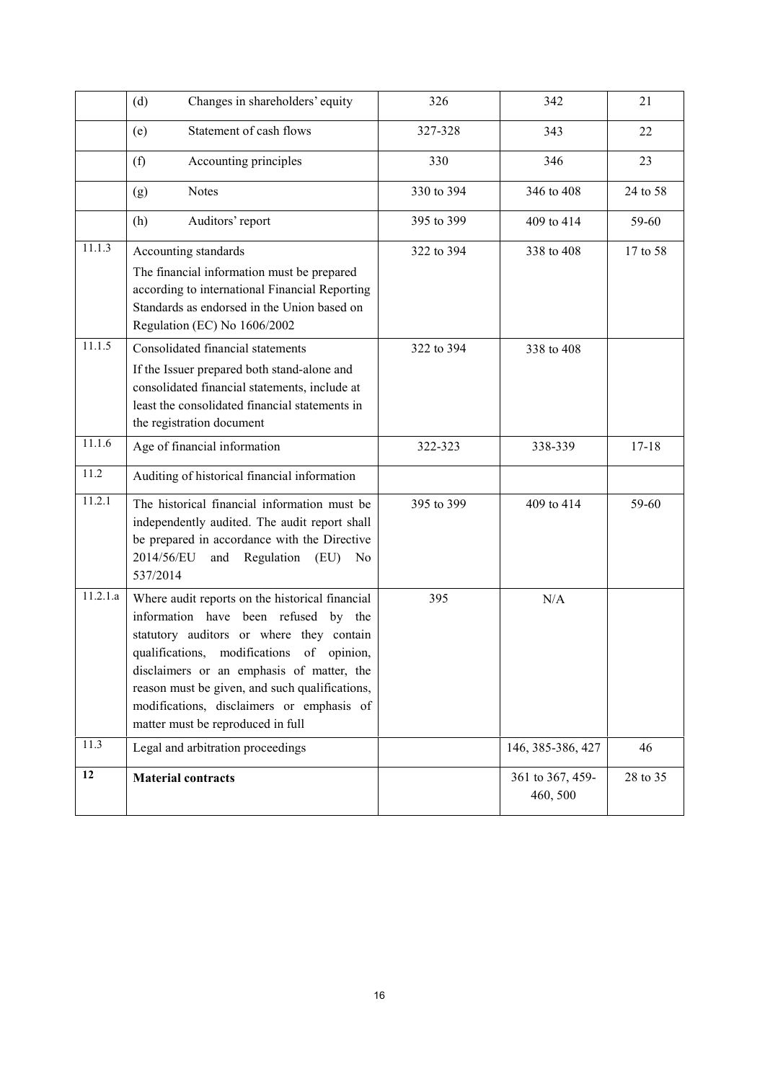|          | Changes in shareholders' equity<br>(d)                                                                                                                                                                                                                                                                                                                            | 326        | 342                          | 21        |
|----------|-------------------------------------------------------------------------------------------------------------------------------------------------------------------------------------------------------------------------------------------------------------------------------------------------------------------------------------------------------------------|------------|------------------------------|-----------|
|          | Statement of cash flows<br>(e)                                                                                                                                                                                                                                                                                                                                    | 327-328    | 343                          | 22        |
|          | (f)<br>Accounting principles                                                                                                                                                                                                                                                                                                                                      | 330        | 346                          | 23        |
|          | <b>Notes</b><br>(g)                                                                                                                                                                                                                                                                                                                                               | 330 to 394 | 346 to 408                   | 24 to 58  |
|          | (h)<br>Auditors' report                                                                                                                                                                                                                                                                                                                                           | 395 to 399 | 409 to 414                   | 59-60     |
| 11.1.3   | Accounting standards<br>The financial information must be prepared<br>according to international Financial Reporting<br>Standards as endorsed in the Union based on<br>Regulation (EC) No 1606/2002                                                                                                                                                               | 322 to 394 | 338 to 408                   | 17 to 58  |
| 11.1.5   | Consolidated financial statements<br>If the Issuer prepared both stand-alone and<br>consolidated financial statements, include at<br>least the consolidated financial statements in<br>the registration document                                                                                                                                                  | 322 to 394 | 338 to 408                   |           |
| 11.1.6   | Age of financial information                                                                                                                                                                                                                                                                                                                                      | 322-323    | 338-339                      | $17 - 18$ |
| 11.2     | Auditing of historical financial information                                                                                                                                                                                                                                                                                                                      |            |                              |           |
| 11.2.1   | The historical financial information must be<br>independently audited. The audit report shall<br>be prepared in accordance with the Directive<br>2014/56/EU<br>Regulation (EU)<br>and<br>No<br>537/2014                                                                                                                                                           | 395 to 399 | 409 to 414                   | 59-60     |
| 11.2.1.a | Where audit reports on the historical financial<br>information have been refused by the<br>statutory auditors or where they contain<br>qualifications, modifications of opinion,<br>disclaimers or an emphasis of matter, the<br>reason must be given, and such qualifications,<br>modifications, disclaimers or emphasis of<br>matter must be reproduced in full | 395        | N/A                          |           |
| 11.3     | Legal and arbitration proceedings                                                                                                                                                                                                                                                                                                                                 |            | 146, 385-386, 427            | 46        |
| 12       | <b>Material contracts</b>                                                                                                                                                                                                                                                                                                                                         |            | 361 to 367, 459-<br>460, 500 | 28 to 35  |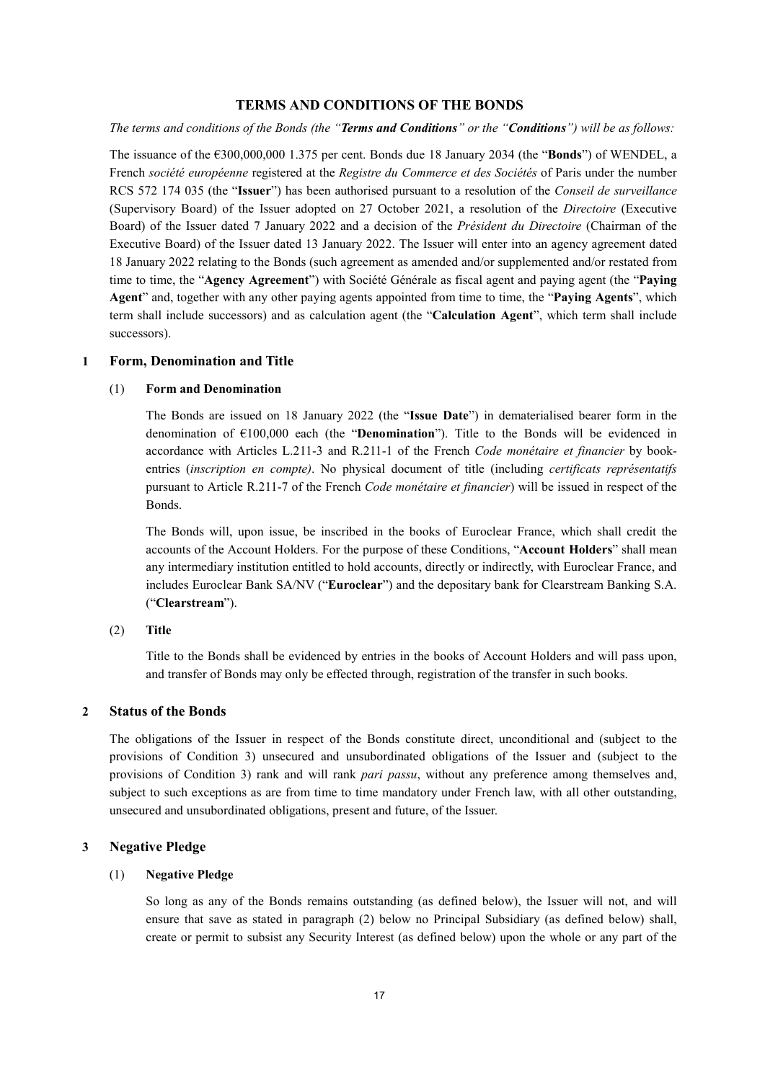# **TERMS AND CONDITIONS OF THE BONDS**

<span id="page-16-0"></span>*The terms and conditions of the Bonds (the "Terms and Conditions" or the "Conditions") will be as follows:*

The issuance of the €300,000,000 1.375 per cent. Bonds due 18 January 2034 (the "**Bonds**") of WENDEL, a French *société européenne* registered at the *Registre du Commerce et des Sociétés* of Paris under the number RCS 572 174 035 (the "**Issuer**") has been authorised pursuant to a resolution of the *Conseil de surveillance* (Supervisory Board) of the Issuer adopted on 27 October 2021, a resolution of the *Directoire* (Executive Board) of the Issuer dated 7 January 2022 and a decision of the *Président du Directoire* (Chairman of the Executive Board) of the Issuer dated 13 January 2022. The Issuer will enter into an agency agreement dated 18 January 2022 relating to the Bonds (such agreement as amended and/or supplemented and/or restated from time to time, the "**Agency Agreement**") with Société Générale as fiscal agent and paying agent (the "**Paying Agent**" and, together with any other paying agents appointed from time to time, the "**Paying Agents**", which term shall include successors) and as calculation agent (the "**Calculation Agent**", which term shall include successors).

### **1 Form, Denomination and Title**

#### (1) **Form and Denomination**

The Bonds are issued on 18 January 2022 (the "**Issue Date**") in dematerialised bearer form in the denomination of €100,000 each (the "**Denomination**"). Title to the Bonds will be evidenced in accordance with Articles L.211-3 and R.211-1 of the French *Code monétaire et financier* by bookentries (*inscription en compte)*. No physical document of title (including *certificats représentatifs* pursuant to Article R.211-7 of the French *Code monétaire et financier*) will be issued in respect of the Bonds.

The Bonds will, upon issue, be inscribed in the books of Euroclear France, which shall credit the accounts of the Account Holders. For the purpose of these Conditions, "**Account Holders**" shall mean any intermediary institution entitled to hold accounts, directly or indirectly, with Euroclear France, and includes Euroclear Bank SA/NV ("**Euroclear**") and the depositary bank for Clearstream Banking S.A. ("**Clearstream**").

### (2) **Title**

Title to the Bonds shall be evidenced by entries in the books of Account Holders and will pass upon, and transfer of Bonds may only be effected through, registration of the transfer in such books.

# **2 Status of the Bonds**

The obligations of the Issuer in respect of the Bonds constitute direct, unconditional and (subject to the provisions of Condition 3) unsecured and unsubordinated obligations of the Issuer and (subject to the provisions of Condition 3) rank and will rank *pari passu*, without any preference among themselves and, subject to such exceptions as are from time to time mandatory under French law, with all other outstanding, unsecured and unsubordinated obligations, present and future, of the Issuer.

### **3 Negative Pledge**

#### (1) **Negative Pledge**

So long as any of the Bonds remains outstanding (as defined below), the Issuer will not, and will ensure that save as stated in paragraph (2) below no Principal Subsidiary (as defined below) shall, create or permit to subsist any Security Interest (as defined below) upon the whole or any part of the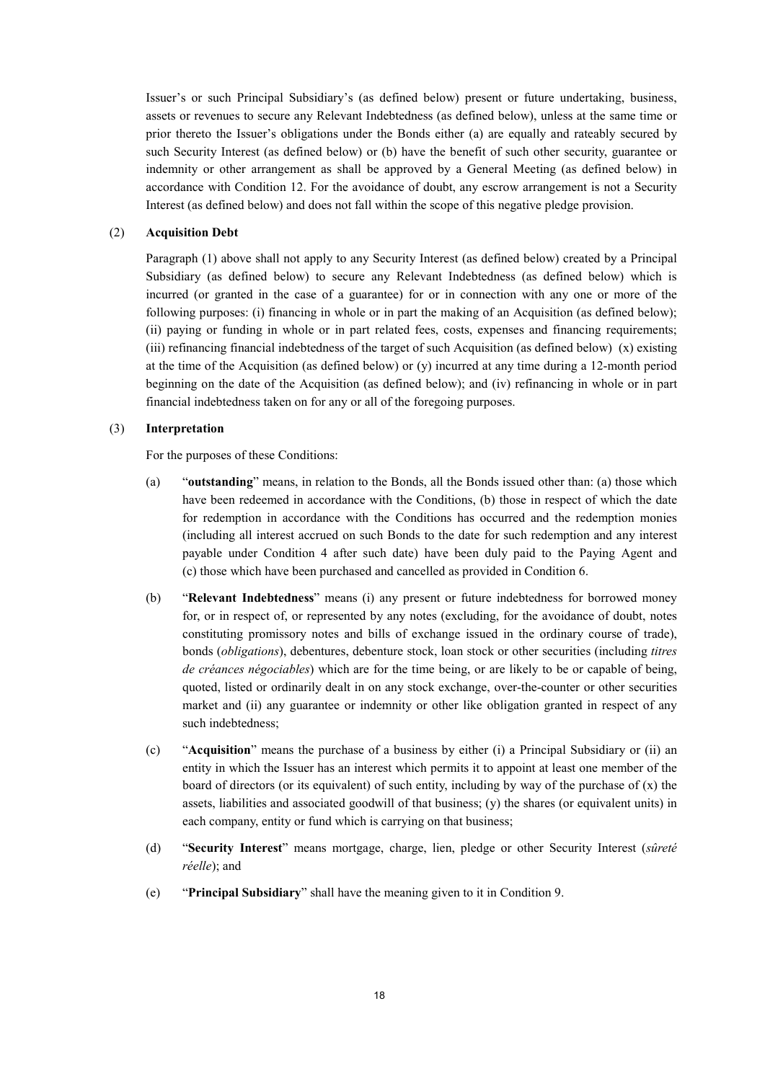Issuer's or such Principal Subsidiary's (as defined below) present or future undertaking, business, assets or revenues to secure any Relevant Indebtedness (as defined below), unless at the same time or prior thereto the Issuer's obligations under the Bonds either (a) are equally and rateably secured by such Security Interest (as defined below) or (b) have the benefit of such other security, guarantee or indemnity or other arrangement as shall be approved by a General Meeting (as defined below) in accordance with Condition 12. For the avoidance of doubt, any escrow arrangement is not a Security Interest (as defined below) and does not fall within the scope of this negative pledge provision.

### (2) **Acquisition Debt**

Paragraph (1) above shall not apply to any Security Interest (as defined below) created by a Principal Subsidiary (as defined below) to secure any Relevant Indebtedness (as defined below) which is incurred (or granted in the case of a guarantee) for or in connection with any one or more of the following purposes: (i) financing in whole or in part the making of an Acquisition (as defined below); (ii) paying or funding in whole or in part related fees, costs, expenses and financing requirements; (iii) refinancing financial indebtedness of the target of such Acquisition (as defined below) (x) existing at the time of the Acquisition (as defined below) or (y) incurred at any time during a 12-month period beginning on the date of the Acquisition (as defined below); and (iv) refinancing in whole or in part financial indebtedness taken on for any or all of the foregoing purposes.

# (3) **Interpretation**

For the purposes of these Conditions:

- (a) "**outstanding**" means, in relation to the Bonds, all the Bonds issued other than: (a) those which have been redeemed in accordance with the Conditions, (b) those in respect of which the date for redemption in accordance with the Conditions has occurred and the redemption monies (including all interest accrued on such Bonds to the date for such redemption and any interest payable under Condition 4 after such date) have been duly paid to the Paying Agent and (c) those which have been purchased and cancelled as provided in Condition 6.
- (b) "**Relevant Indebtedness**" means (i) any present or future indebtedness for borrowed money for, or in respect of, or represented by any notes (excluding, for the avoidance of doubt, notes constituting promissory notes and bills of exchange issued in the ordinary course of trade), bonds (*obligations*), debentures, debenture stock, loan stock or other securities (including *titres de créances négociables*) which are for the time being, or are likely to be or capable of being, quoted, listed or ordinarily dealt in on any stock exchange, over-the-counter or other securities market and (ii) any guarantee or indemnity or other like obligation granted in respect of any such indebtedness;
- (c) "**Acquisition**" means the purchase of a business by either (i) a Principal Subsidiary or (ii) an entity in which the Issuer has an interest which permits it to appoint at least one member of the board of directors (or its equivalent) of such entity, including by way of the purchase of  $(x)$  the assets, liabilities and associated goodwill of that business;  $(y)$  the shares (or equivalent units) in each company, entity or fund which is carrying on that business;
- (d) "**Security Interest**" means mortgage, charge, lien, pledge or other Security Interest (*sûreté réelle*); and
- (e) "**Principal Subsidiary**" shall have the meaning given to it in Condition 9.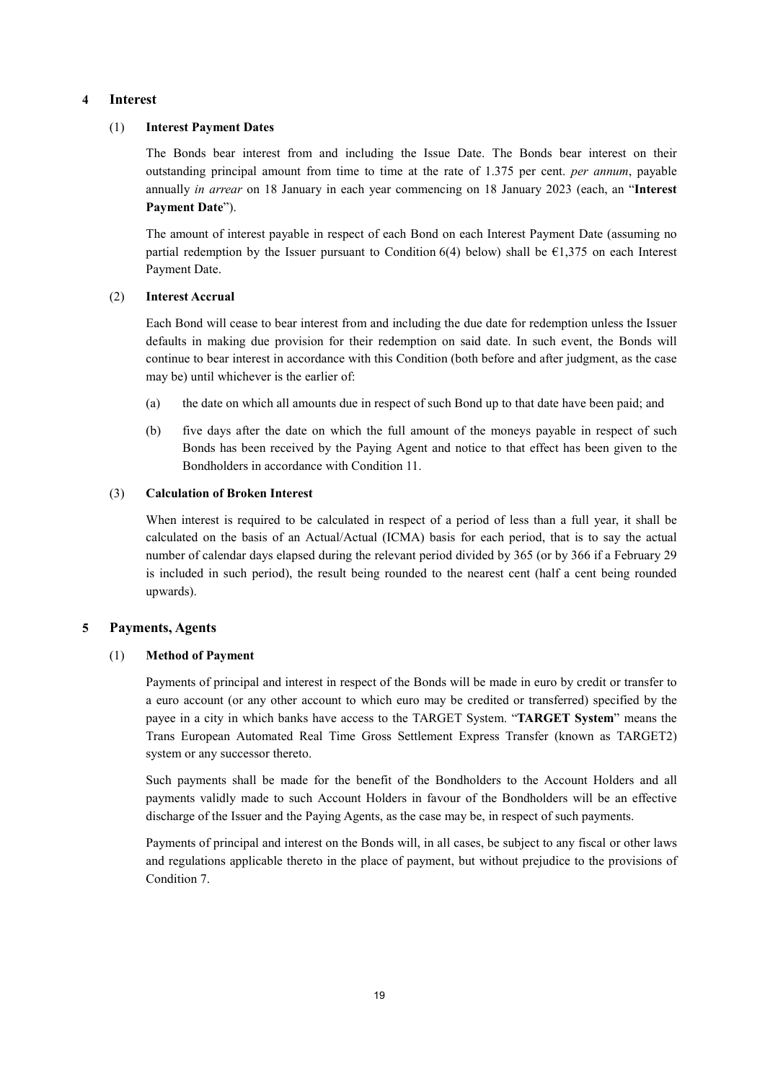# **4 Interest**

### (1) **Interest Payment Dates**

The Bonds bear interest from and including the Issue Date. The Bonds bear interest on their outstanding principal amount from time to time at the rate of 1.375 per cent. *per annum*, payable annually *in arrear* on 18 January in each year commencing on 18 January 2023 (each, an "**Interest Payment Date**").

The amount of interest payable in respect of each Bond on each Interest Payment Date (assuming no partial redemption by the Issuer pursuant to Condition 6(4) below) shall be  $\epsilon$ 1,375 on each Interest Payment Date.

### (2) **Interest Accrual**

Each Bond will cease to bear interest from and including the due date for redemption unless the Issuer defaults in making due provision for their redemption on said date. In such event, the Bonds will continue to bear interest in accordance with this Condition (both before and after judgment, as the case may be) until whichever is the earlier of:

- (a) the date on which all amounts due in respect of such Bond up to that date have been paid; and
- (b) five days after the date on which the full amount of the moneys payable in respect of such Bonds has been received by the Paying Agent and notice to that effect has been given to the Bondholders in accordance with Condition 11.

### (3) **Calculation of Broken Interest**

When interest is required to be calculated in respect of a period of less than a full year, it shall be calculated on the basis of an Actual/Actual (ICMA) basis for each period, that is to say the actual number of calendar days elapsed during the relevant period divided by 365 (or by 366 if a February 29 is included in such period), the result being rounded to the nearest cent (half a cent being rounded upwards).

# **5 Payments, Agents**

### (1) **Method of Payment**

Payments of principal and interest in respect of the Bonds will be made in euro by credit or transfer to a euro account (or any other account to which euro may be credited or transferred) specified by the payee in a city in which banks have access to the TARGET System. "**TARGET System**" means the Trans European Automated Real Time Gross Settlement Express Transfer (known as TARGET2) system or any successor thereto.

Such payments shall be made for the benefit of the Bondholders to the Account Holders and all payments validly made to such Account Holders in favour of the Bondholders will be an effective discharge of the Issuer and the Paying Agents, as the case may be, in respect of such payments.

Payments of principal and interest on the Bonds will, in all cases, be subject to any fiscal or other laws and regulations applicable thereto in the place of payment, but without prejudice to the provisions of Condition 7.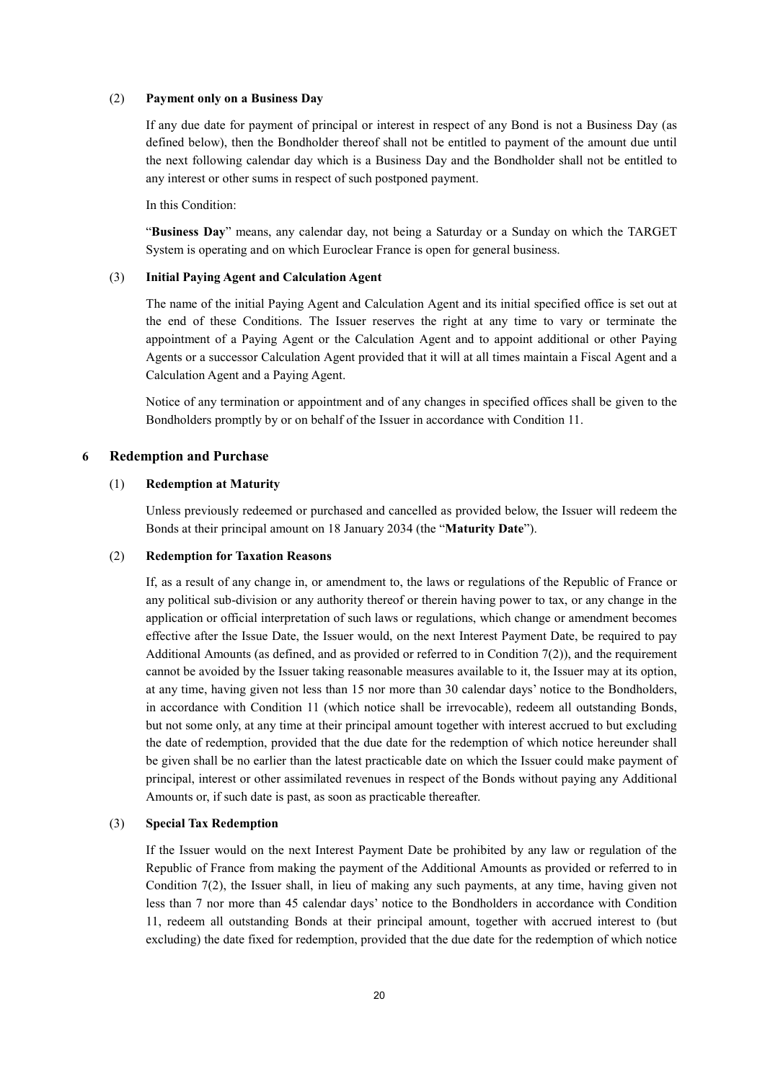#### (2) **Payment only on a Business Day**

If any due date for payment of principal or interest in respect of any Bond is not a Business Day (as defined below), then the Bondholder thereof shall not be entitled to payment of the amount due until the next following calendar day which is a Business Day and the Bondholder shall not be entitled to any interest or other sums in respect of such postponed payment.

In this Condition:

"**Business Day**" means, any calendar day, not being a Saturday or a Sunday on which the TARGET System is operating and on which Euroclear France is open for general business.

### (3) **Initial Paying Agent and Calculation Agent**

The name of the initial Paying Agent and Calculation Agent and its initial specified office is set out at the end of these Conditions. The Issuer reserves the right at any time to vary or terminate the appointment of a Paying Agent or the Calculation Agent and to appoint additional or other Paying Agents or a successor Calculation Agent provided that it will at all times maintain a Fiscal Agent and a Calculation Agent and a Paying Agent.

Notice of any termination or appointment and of any changes in specified offices shall be given to the Bondholders promptly by or on behalf of the Issuer in accordance with Condition 11.

### **6 Redemption and Purchase**

#### (1) **Redemption at Maturity**

Unless previously redeemed or purchased and cancelled as provided below, the Issuer will redeem the Bonds at their principal amount on 18 January 2034 (the "**Maturity Date**").

### (2) **Redemption for Taxation Reasons**

If, as a result of any change in, or amendment to, the laws or regulations of the Republic of France or any political sub-division or any authority thereof or therein having power to tax, or any change in the application or official interpretation of such laws or regulations, which change or amendment becomes effective after the Issue Date, the Issuer would, on the next Interest Payment Date, be required to pay Additional Amounts (as defined, and as provided or referred to in Condition 7(2)), and the requirement cannot be avoided by the Issuer taking reasonable measures available to it, the Issuer may at its option, at any time, having given not less than 15 nor more than 30 calendar days' notice to the Bondholders, in accordance with Condition 11 (which notice shall be irrevocable), redeem all outstanding Bonds, but not some only, at any time at their principal amount together with interest accrued to but excluding the date of redemption, provided that the due date for the redemption of which notice hereunder shall be given shall be no earlier than the latest practicable date on which the Issuer could make payment of principal, interest or other assimilated revenues in respect of the Bonds without paying any Additional Amounts or, if such date is past, as soon as practicable thereafter.

#### (3) **Special Tax Redemption**

If the Issuer would on the next Interest Payment Date be prohibited by any law or regulation of the Republic of France from making the payment of the Additional Amounts as provided or referred to in Condition 7(2), the Issuer shall, in lieu of making any such payments, at any time, having given not less than 7 nor more than 45 calendar days' notice to the Bondholders in accordance with Condition 11, redeem all outstanding Bonds at their principal amount, together with accrued interest to (but excluding) the date fixed for redemption, provided that the due date for the redemption of which notice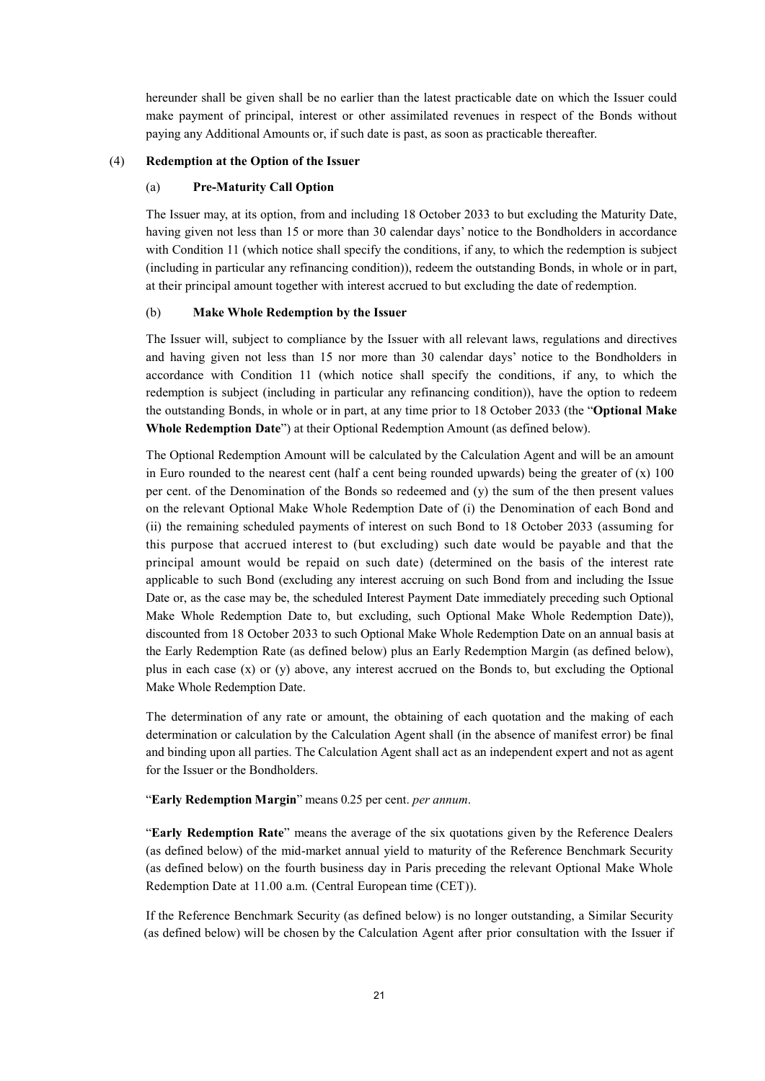hereunder shall be given shall be no earlier than the latest practicable date on which the Issuer could make payment of principal, interest or other assimilated revenues in respect of the Bonds without paying any Additional Amounts or, if such date is past, as soon as practicable thereafter.

### (4) **Redemption at the Option of the Issuer**

### (a) **Pre-Maturity Call Option**

The Issuer may, at its option, from and including 18 October 2033 to but excluding the Maturity Date, having given not less than 15 or more than 30 calendar days' notice to the Bondholders in accordance with Condition 11 (which notice shall specify the conditions, if any, to which the redemption is subject (including in particular any refinancing condition)), redeem the outstanding Bonds, in whole or in part, at their principal amount together with interest accrued to but excluding the date of redemption.

### (b) **Make Whole Redemption by the Issuer**

The Issuer will, subject to compliance by the Issuer with all relevant laws, regulations and directives and having given not less than 15 nor more than 30 calendar days' notice to the Bondholders in accordance with Condition 11 (which notice shall specify the conditions, if any, to which the redemption is subject (including in particular any refinancing condition)), have the option to redeem the outstanding Bonds, in whole or in part, at any time prior to 18 October 2033 (the "**Optional Make Whole Redemption Date**") at their Optional Redemption Amount (as defined below).

The Optional Redemption Amount will be calculated by the Calculation Agent and will be an amount in Euro rounded to the nearest cent (half a cent being rounded upwards) being the greater of  $(x)$  100 per cent. of the Denomination of the Bonds so redeemed and (y) the sum of the then present values on the relevant Optional Make Whole Redemption Date of (i) the Denomination of each Bond and (ii) the remaining scheduled payments of interest on such Bond to 18 October 2033 (assuming for this purpose that accrued interest to (but excluding) such date would be payable and that the principal amount would be repaid on such date) (determined on the basis of the interest rate applicable to such Bond (excluding any interest accruing on such Bond from and including the Issue Date or, as the case may be, the scheduled Interest Payment Date immediately preceding such Optional Make Whole Redemption Date to, but excluding, such Optional Make Whole Redemption Date)), discounted from 18 October 2033 to such Optional Make Whole Redemption Date on an annual basis at the Early Redemption Rate (as defined below) plus an Early Redemption Margin (as defined below), plus in each case (x) or (y) above, any interest accrued on the Bonds to, but excluding the Optional Make Whole Redemption Date.

The determination of any rate or amount, the obtaining of each quotation and the making of each determination or calculation by the Calculation Agent shall (in the absence of manifest error) be final and binding upon all parties. The Calculation Agent shall act as an independent expert and not as agent for the Issuer or the Bondholders.

"**Early Redemption Margin**" means 0.25 per cent. *per annum*.

"**Early Redemption Rate**" means the average of the six quotations given by the Reference Dealers (as defined below) of the mid-market annual yield to maturity of the Reference Benchmark Security (as defined below) on the fourth business day in Paris preceding the relevant Optional Make Whole Redemption Date at 11.00 a.m. (Central European time (CET)).

If the Reference Benchmark Security (as defined below) is no longer outstanding, a Similar Security (as defined below) will be chosen by the Calculation Agent after prior consultation with the Issuer if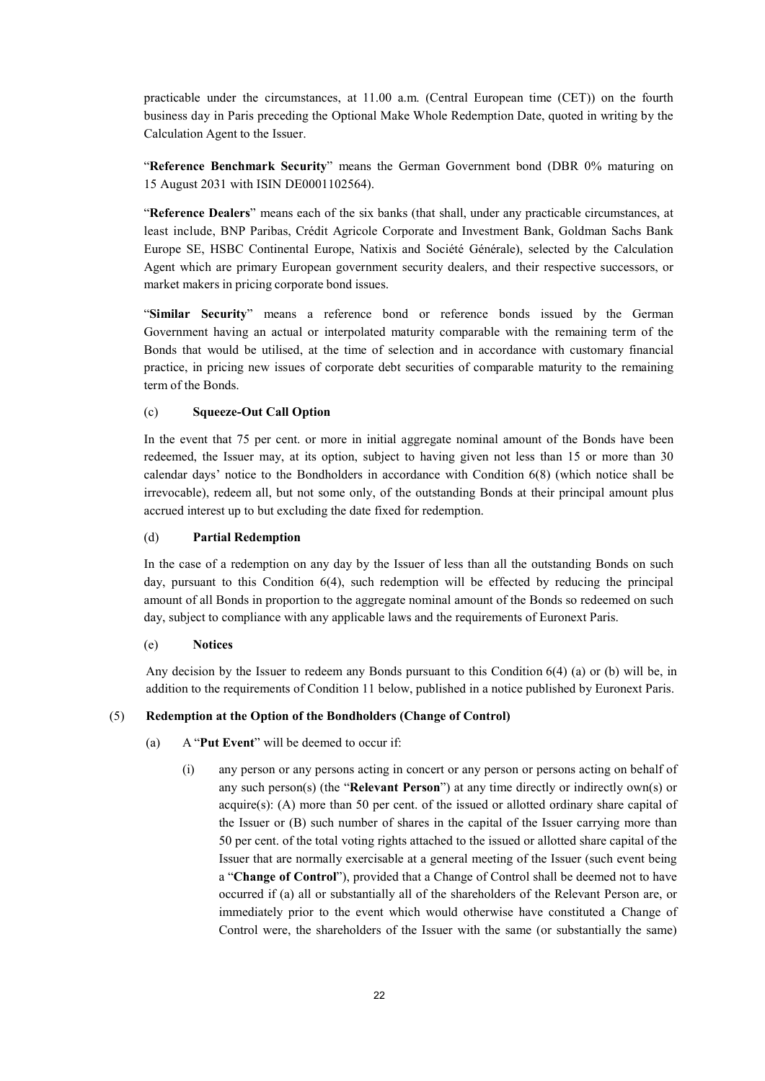practicable under the circumstances, at 11.00 a.m. (Central European time (CET)) on the fourth business day in Paris preceding the Optional Make Whole Redemption Date, quoted in writing by the Calculation Agent to the Issuer.

"**Reference Benchmark Security**" means the German Government bond (DBR 0% maturing on 15 August 2031 with ISIN DE0001102564).

"**Reference Dealers**" means each of the six banks (that shall, under any practicable circumstances, at least include, BNP Paribas, Crédit Agricole Corporate and Investment Bank, Goldman Sachs Bank Europe SE, HSBC Continental Europe, Natixis and Société Générale), selected by the Calculation Agent which are primary European government security dealers, and their respective successors, or market makers in pricing corporate bond issues.

"**Similar Security**" means a reference bond or reference bonds issued by the German Government having an actual or interpolated maturity comparable with the remaining term of the Bonds that would be utilised, at the time of selection and in accordance with customary financial practice, in pricing new issues of corporate debt securities of comparable maturity to the remaining term of the Bonds.

### (c) **Squeeze-Out Call Option**

In the event that 75 per cent. or more in initial aggregate nominal amount of the Bonds have been redeemed, the Issuer may, at its option, subject to having given not less than 15 or more than 30 calendar days' notice to the Bondholders in accordance with Condition 6(8) (which notice shall be irrevocable), redeem all, but not some only, of the outstanding Bonds at their principal amount plus accrued interest up to but excluding the date fixed for redemption.

### (d) **Partial Redemption**

In the case of a redemption on any day by the Issuer of less than all the outstanding Bonds on such day, pursuant to this Condition 6(4), such redemption will be effected by reducing the principal amount of all Bonds in proportion to the aggregate nominal amount of the Bonds so redeemed on such day, subject to compliance with any applicable laws and the requirements of Euronext Paris.

#### (e) **Notices**

Any decision by the Issuer to redeem any Bonds pursuant to this Condition 6(4) (a) or (b) will be, in addition to the requirements of Condition 11 below, published in a notice published by Euronext Paris.

# (5) **Redemption at the Option of the Bondholders (Change of Control)**

- (a) A "**Put Event**" will be deemed to occur if:
	- (i) any person or any persons acting in concert or any person or persons acting on behalf of any such person(s) (the "**Relevant Person**") at any time directly or indirectly own(s) or  $acquire(s)$ : (A) more than 50 per cent. of the issued or allotted ordinary share capital of the Issuer or (B) such number of shares in the capital of the Issuer carrying more than 50 per cent. of the total voting rights attached to the issued or allotted share capital of the Issuer that are normally exercisable at a general meeting of the Issuer (such event being a "**Change of Control**"), provided that a Change of Control shall be deemed not to have occurred if (a) all or substantially all of the shareholders of the Relevant Person are, or immediately prior to the event which would otherwise have constituted a Change of Control were, the shareholders of the Issuer with the same (or substantially the same)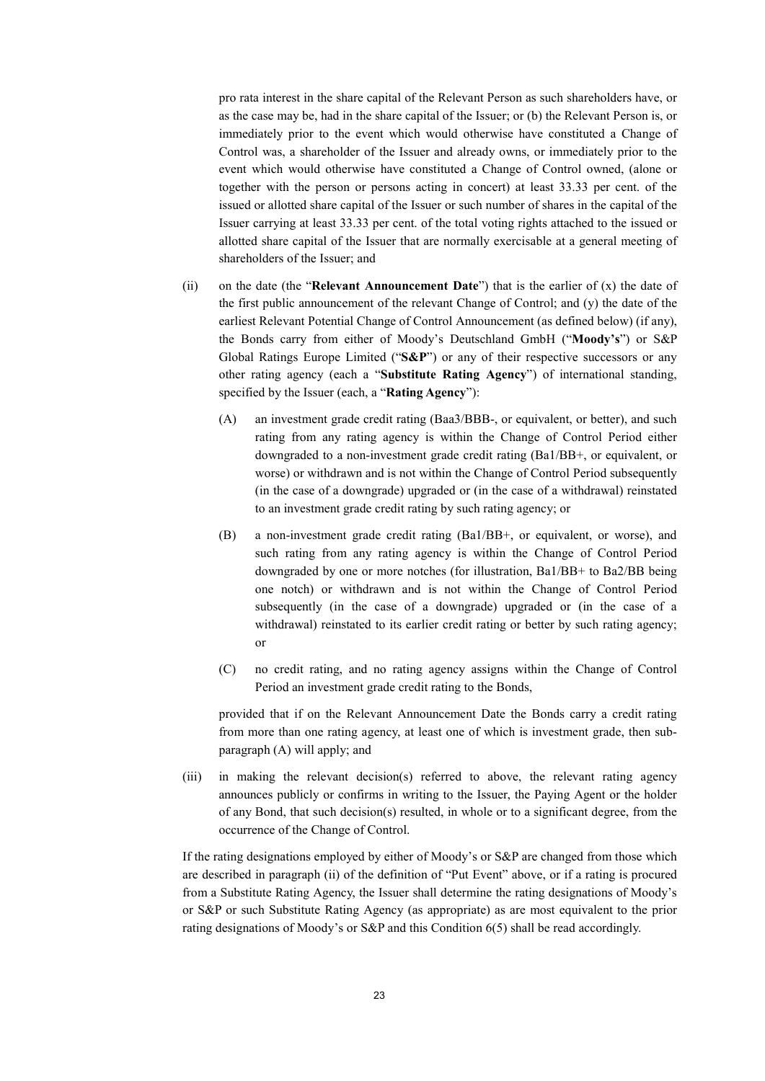pro rata interest in the share capital of the Relevant Person as such shareholders have, or as the case may be, had in the share capital of the Issuer; or (b) the Relevant Person is, or immediately prior to the event which would otherwise have constituted a Change of Control was, a shareholder of the Issuer and already owns, or immediately prior to the event which would otherwise have constituted a Change of Control owned, (alone or together with the person or persons acting in concert) at least 33.33 per cent. of the issued or allotted share capital of the Issuer or such number of shares in the capital of the Issuer carrying at least 33.33 per cent. of the total voting rights attached to the issued or allotted share capital of the Issuer that are normally exercisable at a general meeting of shareholders of the Issuer; and

- (ii) on the date (the "**Relevant Announcement Date**") that is the earlier of (x) the date of the first public announcement of the relevant Change of Control; and (y) the date of the earliest Relevant Potential Change of Control Announcement (as defined below) (if any), the Bonds carry from either of Moody's Deutschland GmbH ("**Moody's**") or S&P Global Ratings Europe Limited ("**S&P**") or any of their respective successors or any other rating agency (each a "**Substitute Rating Agency**") of international standing, specified by the Issuer (each, a "**Rating Agency**"):
	- (A) an investment grade credit rating (Baa3/BBB-, or equivalent, or better), and such rating from any rating agency is within the Change of Control Period either downgraded to a non-investment grade credit rating (Ba1/BB+, or equivalent, or worse) or withdrawn and is not within the Change of Control Period subsequently (in the case of a downgrade) upgraded or (in the case of a withdrawal) reinstated to an investment grade credit rating by such rating agency; or
	- (B) a non-investment grade credit rating (Ba1/BB+, or equivalent, or worse), and such rating from any rating agency is within the Change of Control Period downgraded by one or more notches (for illustration, Ba1/BB+ to Ba2/BB being one notch) or withdrawn and is not within the Change of Control Period subsequently (in the case of a downgrade) upgraded or (in the case of a withdrawal) reinstated to its earlier credit rating or better by such rating agency; or
	- (C) no credit rating, and no rating agency assigns within the Change of Control Period an investment grade credit rating to the Bonds,

provided that if on the Relevant Announcement Date the Bonds carry a credit rating from more than one rating agency, at least one of which is investment grade, then subparagraph (A) will apply; and

(iii) in making the relevant decision(s) referred to above, the relevant rating agency announces publicly or confirms in writing to the Issuer, the Paying Agent or the holder of any Bond, that such decision(s) resulted, in whole or to a significant degree, from the occurrence of the Change of Control.

If the rating designations employed by either of Moody's or S&P are changed from those which are described in paragraph (ii) of the definition of "Put Event" above, or if a rating is procured from a Substitute Rating Agency, the Issuer shall determine the rating designations of Moody's or S&P or such Substitute Rating Agency (as appropriate) as are most equivalent to the prior rating designations of Moody's or S&P and this Condition 6(5) shall be read accordingly.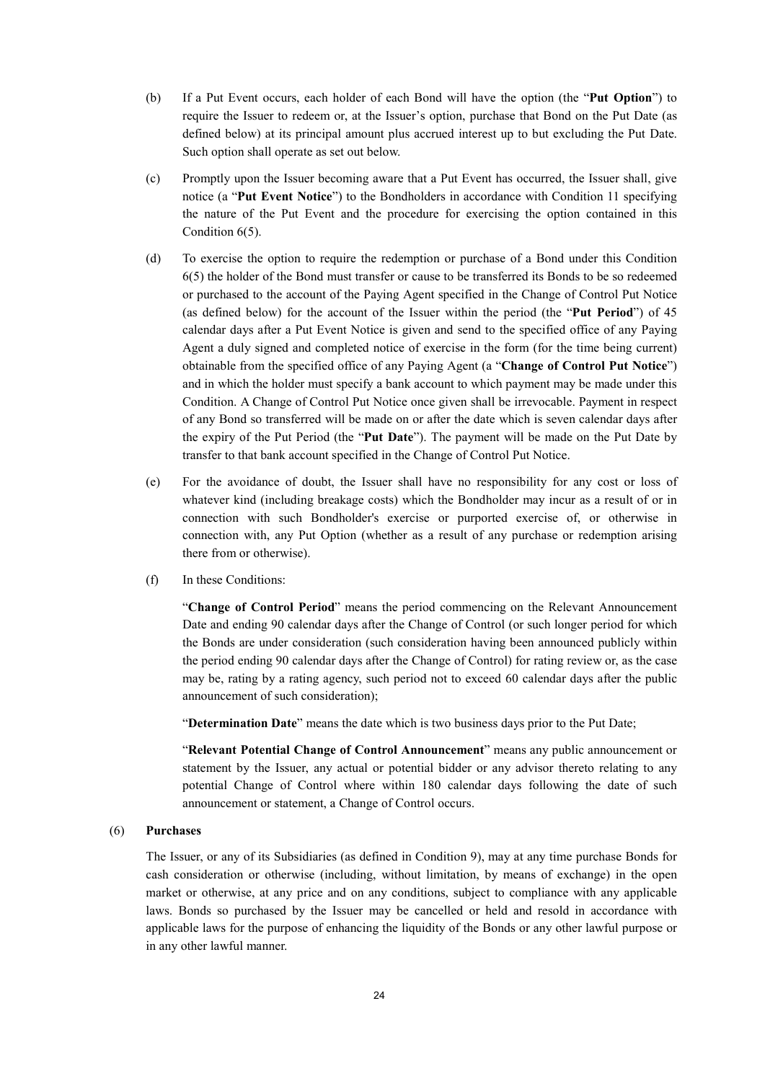- (b) If a Put Event occurs, each holder of each Bond will have the option (the "**Put Option**") to require the Issuer to redeem or, at the Issuer's option, purchase that Bond on the Put Date (as defined below) at its principal amount plus accrued interest up to but excluding the Put Date. Such option shall operate as set out below.
- (c) Promptly upon the Issuer becoming aware that a Put Event has occurred, the Issuer shall, give notice (a "**Put Event Notice**") to the Bondholders in accordance with Condition 11 specifying the nature of the Put Event and the procedure for exercising the option contained in this Condition 6(5).
- (d) To exercise the option to require the redemption or purchase of a Bond under this Condition 6(5) the holder of the Bond must transfer or cause to be transferred its Bonds to be so redeemed or purchased to the account of the Paying Agent specified in the Change of Control Put Notice (as defined below) for the account of the Issuer within the period (the "**Put Period**") of 45 calendar days after a Put Event Notice is given and send to the specified office of any Paying Agent a duly signed and completed notice of exercise in the form (for the time being current) obtainable from the specified office of any Paying Agent (a "**Change of Control Put Notice**") and in which the holder must specify a bank account to which payment may be made under this Condition. A Change of Control Put Notice once given shall be irrevocable. Payment in respect of any Bond so transferred will be made on or after the date which is seven calendar days after the expiry of the Put Period (the "**Put Date**"). The payment will be made on the Put Date by transfer to that bank account specified in the Change of Control Put Notice.
- (e) For the avoidance of doubt, the Issuer shall have no responsibility for any cost or loss of whatever kind (including breakage costs) which the Bondholder may incur as a result of or in connection with such Bondholder's exercise or purported exercise of, or otherwise in connection with, any Put Option (whether as a result of any purchase or redemption arising there from or otherwise).
- (f) In these Conditions:

"**Change of Control Period**" means the period commencing on the Relevant Announcement Date and ending 90 calendar days after the Change of Control (or such longer period for which the Bonds are under consideration (such consideration having been announced publicly within the period ending 90 calendar days after the Change of Control) for rating review or, as the case may be, rating by a rating agency, such period not to exceed 60 calendar days after the public announcement of such consideration);

"**Determination Date**" means the date which is two business days prior to the Put Date;

"**Relevant Potential Change of Control Announcement**" means any public announcement or statement by the Issuer, any actual or potential bidder or any advisor thereto relating to any potential Change of Control where within 180 calendar days following the date of such announcement or statement, a Change of Control occurs.

### (6) **Purchases**

The Issuer, or any of its Subsidiaries (as defined in Condition 9), may at any time purchase Bonds for cash consideration or otherwise (including, without limitation, by means of exchange) in the open market or otherwise, at any price and on any conditions, subject to compliance with any applicable laws. Bonds so purchased by the Issuer may be cancelled or held and resold in accordance with applicable laws for the purpose of enhancing the liquidity of the Bonds or any other lawful purpose or in any other lawful manner.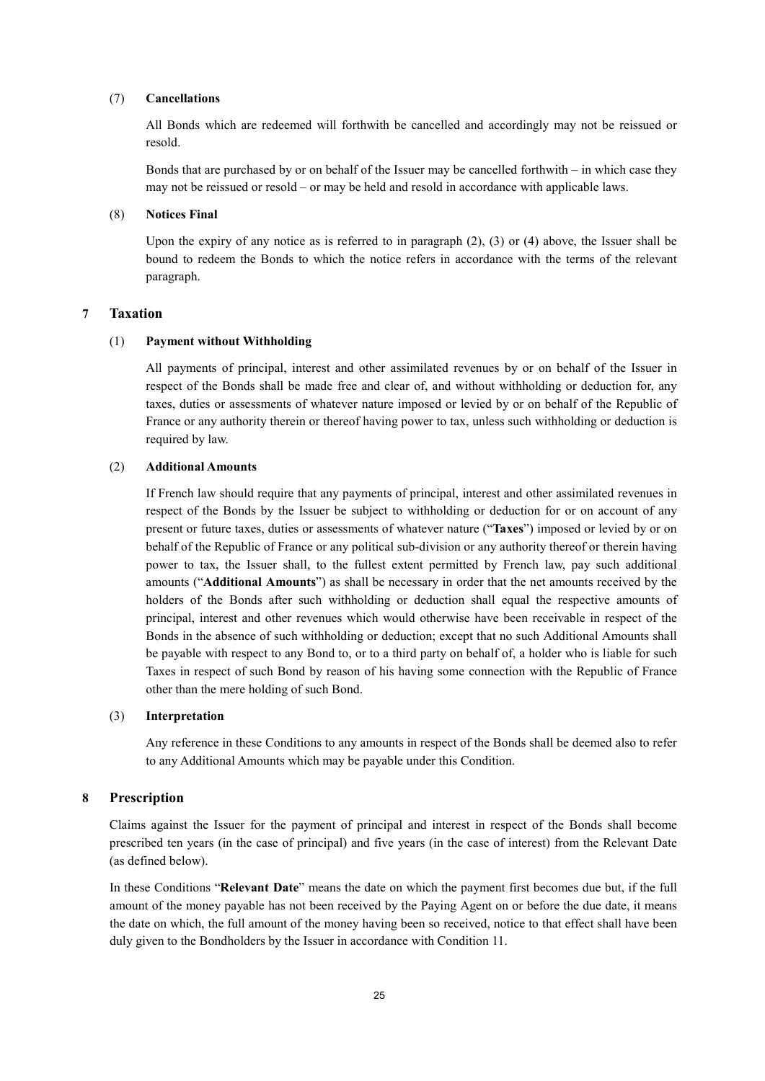# (7) **Cancellations**

All Bonds which are redeemed will forthwith be cancelled and accordingly may not be reissued or resold.

Bonds that are purchased by or on behalf of the Issuer may be cancelled forthwith – in which case they may not be reissued or resold – or may be held and resold in accordance with applicable laws.

# (8) **Notices Final**

Upon the expiry of any notice as is referred to in paragraph  $(2)$ ,  $(3)$  or  $(4)$  above, the Issuer shall be bound to redeem the Bonds to which the notice refers in accordance with the terms of the relevant paragraph.

### **7 Taxation**

#### (1) **Payment without Withholding**

All payments of principal, interest and other assimilated revenues by or on behalf of the Issuer in respect of the Bonds shall be made free and clear of, and without withholding or deduction for, any taxes, duties or assessments of whatever nature imposed or levied by or on behalf of the Republic of France or any authority therein or thereof having power to tax, unless such withholding or deduction is required by law.

#### (2) **Additional Amounts**

If French law should require that any payments of principal, interest and other assimilated revenues in respect of the Bonds by the Issuer be subject to withholding or deduction for or on account of any present or future taxes, duties or assessments of whatever nature ("**Taxes**") imposed or levied by or on behalf of the Republic of France or any political sub-division or any authority thereof or therein having power to tax, the Issuer shall, to the fullest extent permitted by French law, pay such additional amounts ("**Additional Amounts**") as shall be necessary in order that the net amounts received by the holders of the Bonds after such withholding or deduction shall equal the respective amounts of principal, interest and other revenues which would otherwise have been receivable in respect of the Bonds in the absence of such withholding or deduction; except that no such Additional Amounts shall be payable with respect to any Bond to, or to a third party on behalf of, a holder who is liable for such Taxes in respect of such Bond by reason of his having some connection with the Republic of France other than the mere holding of such Bond.

### (3) **Interpretation**

Any reference in these Conditions to any amounts in respect of the Bonds shall be deemed also to refer to any Additional Amounts which may be payable under this Condition.

### **8 Prescription**

Claims against the Issuer for the payment of principal and interest in respect of the Bonds shall become prescribed ten years (in the case of principal) and five years (in the case of interest) from the Relevant Date (as defined below).

In these Conditions "**Relevant Date**" means the date on which the payment first becomes due but, if the full amount of the money payable has not been received by the Paying Agent on or before the due date, it means the date on which, the full amount of the money having been so received, notice to that effect shall have been duly given to the Bondholders by the Issuer in accordance with Condition 11.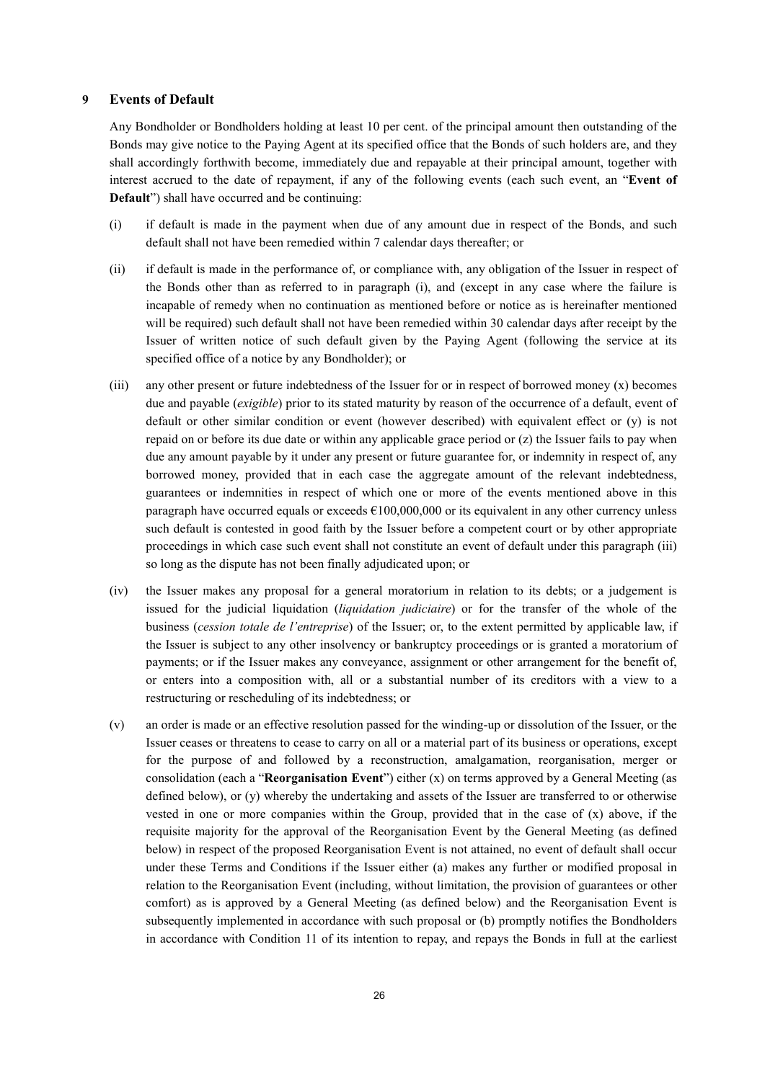# **9 Events of Default**

Any Bondholder or Bondholders holding at least 10 per cent. of the principal amount then outstanding of the Bonds may give notice to the Paying Agent at its specified office that the Bonds of such holders are, and they shall accordingly forthwith become, immediately due and repayable at their principal amount, together with interest accrued to the date of repayment, if any of the following events (each such event, an "**Event of Default**") shall have occurred and be continuing:

- (i) if default is made in the payment when due of any amount due in respect of the Bonds, and such default shall not have been remedied within 7 calendar days thereafter; or
- (ii) if default is made in the performance of, or compliance with, any obligation of the Issuer in respect of the Bonds other than as referred to in paragraph (i), and (except in any case where the failure is incapable of remedy when no continuation as mentioned before or notice as is hereinafter mentioned will be required) such default shall not have been remedied within 30 calendar days after receipt by the Issuer of written notice of such default given by the Paying Agent (following the service at its specified office of a notice by any Bondholder); or
- (iii) any other present or future indebtedness of the Issuer for or in respect of borrowed money (x) becomes due and payable (*exigible*) prior to its stated maturity by reason of the occurrence of a default, event of default or other similar condition or event (however described) with equivalent effect or (y) is not repaid on or before its due date or within any applicable grace period or (z) the Issuer fails to pay when due any amount payable by it under any present or future guarantee for, or indemnity in respect of, any borrowed money, provided that in each case the aggregate amount of the relevant indebtedness, guarantees or indemnities in respect of which one or more of the events mentioned above in this paragraph have occurred equals or exceeds  $\epsilon$ 100,000,000 or its equivalent in any other currency unless such default is contested in good faith by the Issuer before a competent court or by other appropriate proceedings in which case such event shall not constitute an event of default under this paragraph (iii) so long as the dispute has not been finally adjudicated upon; or
- (iv) the Issuer makes any proposal for a general moratorium in relation to its debts; or a judgement is issued for the judicial liquidation (*liquidation judiciaire*) or for the transfer of the whole of the business (*cession totale de l'entreprise*) of the Issuer; or, to the extent permitted by applicable law, if the Issuer is subject to any other insolvency or bankruptcy proceedings or is granted a moratorium of payments; or if the Issuer makes any conveyance, assignment or other arrangement for the benefit of, or enters into a composition with, all or a substantial number of its creditors with a view to a restructuring or rescheduling of its indebtedness; or
- (v) an order is made or an effective resolution passed for the winding-up or dissolution of the Issuer, or the Issuer ceases or threatens to cease to carry on all or a material part of its business or operations, except for the purpose of and followed by a reconstruction, amalgamation, reorganisation, merger or consolidation (each a "**Reorganisation Event**") either (x) on terms approved by a General Meeting (as defined below), or (y) whereby the undertaking and assets of the Issuer are transferred to or otherwise vested in one or more companies within the Group, provided that in the case of (x) above, if the requisite majority for the approval of the Reorganisation Event by the General Meeting (as defined below) in respect of the proposed Reorganisation Event is not attained, no event of default shall occur under these Terms and Conditions if the Issuer either (a) makes any further or modified proposal in relation to the Reorganisation Event (including, without limitation, the provision of guarantees or other comfort) as is approved by a General Meeting (as defined below) and the Reorganisation Event is subsequently implemented in accordance with such proposal or (b) promptly notifies the Bondholders in accordance with Condition 11 of its intention to repay, and repays the Bonds in full at the earliest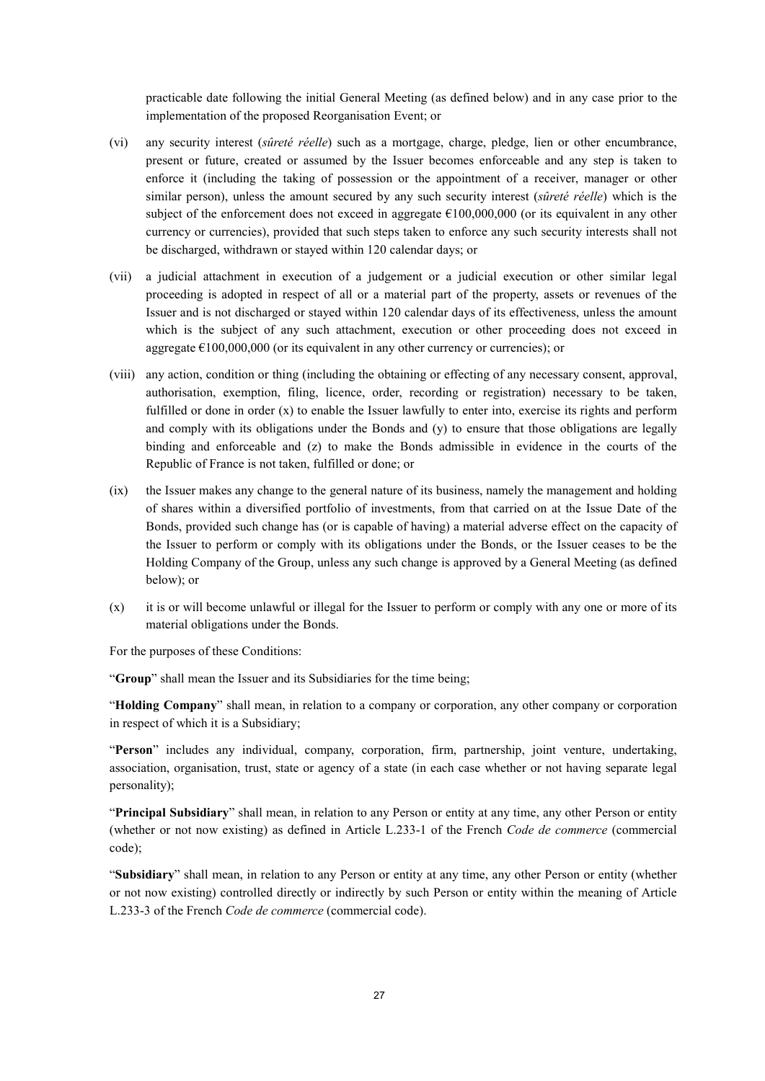practicable date following the initial General Meeting (as defined below) and in any case prior to the implementation of the proposed Reorganisation Event; or

- (vi) any security interest (*sûreté réelle*) such as a mortgage, charge, pledge, lien or other encumbrance, present or future, created or assumed by the Issuer becomes enforceable and any step is taken to enforce it (including the taking of possession or the appointment of a receiver, manager or other similar person), unless the amount secured by any such security interest (*sûreté réelle*) which is the subject of the enforcement does not exceed in aggregate €100,000,000 (or its equivalent in any other currency or currencies), provided that such steps taken to enforce any such security interests shall not be discharged, withdrawn or stayed within 120 calendar days; or
- (vii) a judicial attachment in execution of a judgement or a judicial execution or other similar legal proceeding is adopted in respect of all or a material part of the property, assets or revenues of the Issuer and is not discharged or stayed within 120 calendar days of its effectiveness, unless the amount which is the subject of any such attachment, execution or other proceeding does not exceed in aggregate  $£100,000,000$  (or its equivalent in any other currency or currencies); or
- (viii) any action, condition or thing (including the obtaining or effecting of any necessary consent, approval, authorisation, exemption, filing, licence, order, recording or registration) necessary to be taken, fulfilled or done in order (x) to enable the Issuer lawfully to enter into, exercise its rights and perform and comply with its obligations under the Bonds and (y) to ensure that those obligations are legally binding and enforceable and (z) to make the Bonds admissible in evidence in the courts of the Republic of France is not taken, fulfilled or done; or
- (ix) the Issuer makes any change to the general nature of its business, namely the management and holding of shares within a diversified portfolio of investments, from that carried on at the Issue Date of the Bonds, provided such change has (or is capable of having) a material adverse effect on the capacity of the Issuer to perform or comply with its obligations under the Bonds, or the Issuer ceases to be the Holding Company of the Group, unless any such change is approved by a General Meeting (as defined below); or
- (x) it is or will become unlawful or illegal for the Issuer to perform or comply with any one or more of its material obligations under the Bonds.

For the purposes of these Conditions:

"**Group**" shall mean the Issuer and its Subsidiaries for the time being;

"**Holding Company**" shall mean, in relation to a company or corporation, any other company or corporation in respect of which it is a Subsidiary;

"**Person**" includes any individual, company, corporation, firm, partnership, joint venture, undertaking, association, organisation, trust, state or agency of a state (in each case whether or not having separate legal personality);

"**Principal Subsidiary**" shall mean, in relation to any Person or entity at any time, any other Person or entity (whether or not now existing) as defined in Article L.233-1 of the French *Code de commerce* (commercial code);

"**Subsidiary**" shall mean, in relation to any Person or entity at any time, any other Person or entity (whether or not now existing) controlled directly or indirectly by such Person or entity within the meaning of Article L.233-3 of the French *Code de commerce* (commercial code).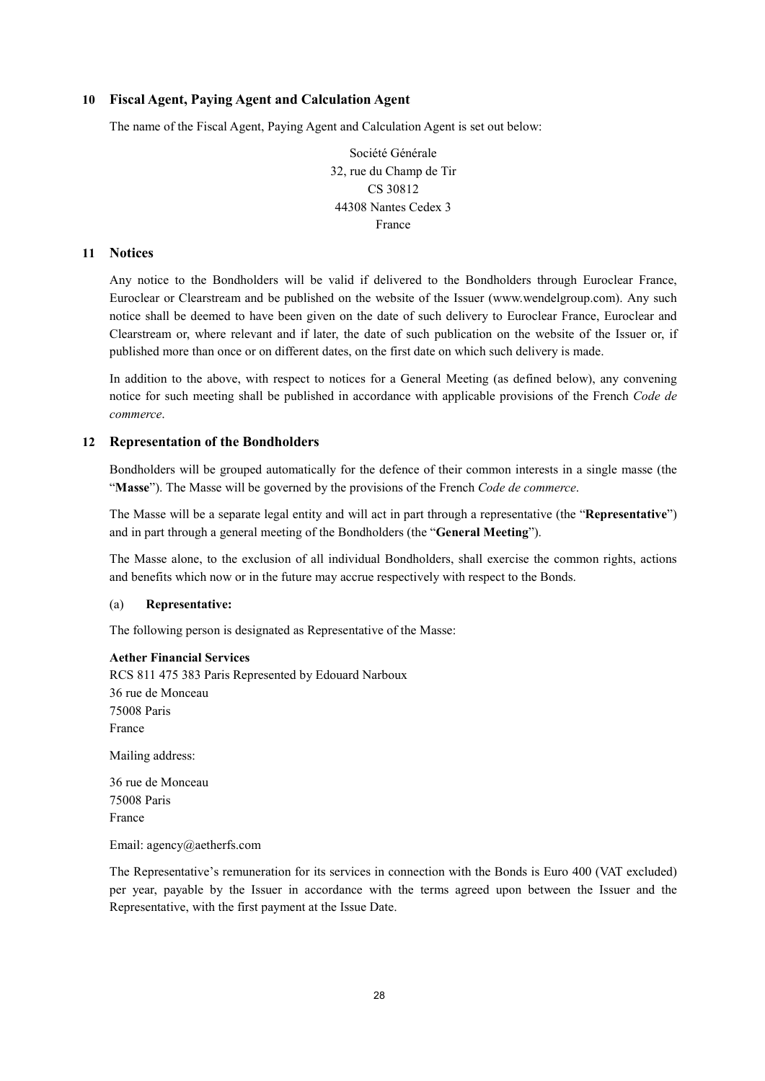# **10 Fiscal Agent, Paying Agent and Calculation Agent**

The name of the Fiscal Agent, Paying Agent and Calculation Agent is set out below:

Société Générale 32, rue du Champ de Tir CS 30812 44308 Nantes Cedex 3 France

### **11 Notices**

Any notice to the Bondholders will be valid if delivered to the Bondholders through Euroclear France, Euroclear or Clearstream and be published on the website of the Issuer (www.wendelgroup.com). Any such notice shall be deemed to have been given on the date of such delivery to Euroclear France, Euroclear and Clearstream or, where relevant and if later, the date of such publication on the website of the Issuer or, if published more than once or on different dates, on the first date on which such delivery is made.

In addition to the above, with respect to notices for a General Meeting (as defined below), any convening notice for such meeting shall be published in accordance with applicable provisions of the French *Code de commerce*.

### **12 Representation of the Bondholders**

Bondholders will be grouped automatically for the defence of their common interests in a single masse (the "**Masse**"). The Masse will be governed by the provisions of the French *Code de commerce*.

The Masse will be a separate legal entity and will act in part through a representative (the "**Representative**") and in part through a general meeting of the Bondholders (the "**General Meeting**").

The Masse alone, to the exclusion of all individual Bondholders, shall exercise the common rights, actions and benefits which now or in the future may accrue respectively with respect to the Bonds.

#### (a) **Representative:**

The following person is designated as Representative of the Masse:

#### **Aether Financial Services**

RCS 811 475 383 Paris Represented by Edouard Narboux 36 rue de Monceau 75008 Paris France Mailing address:

36 rue de Monceau 75008 Paris France

Email: agency@aetherfs.com

The Representative's remuneration for its services in connection with the Bonds is Euro 400 (VAT excluded) per year, payable by the Issuer in accordance with the terms agreed upon between the Issuer and the Representative, with the first payment at the Issue Date.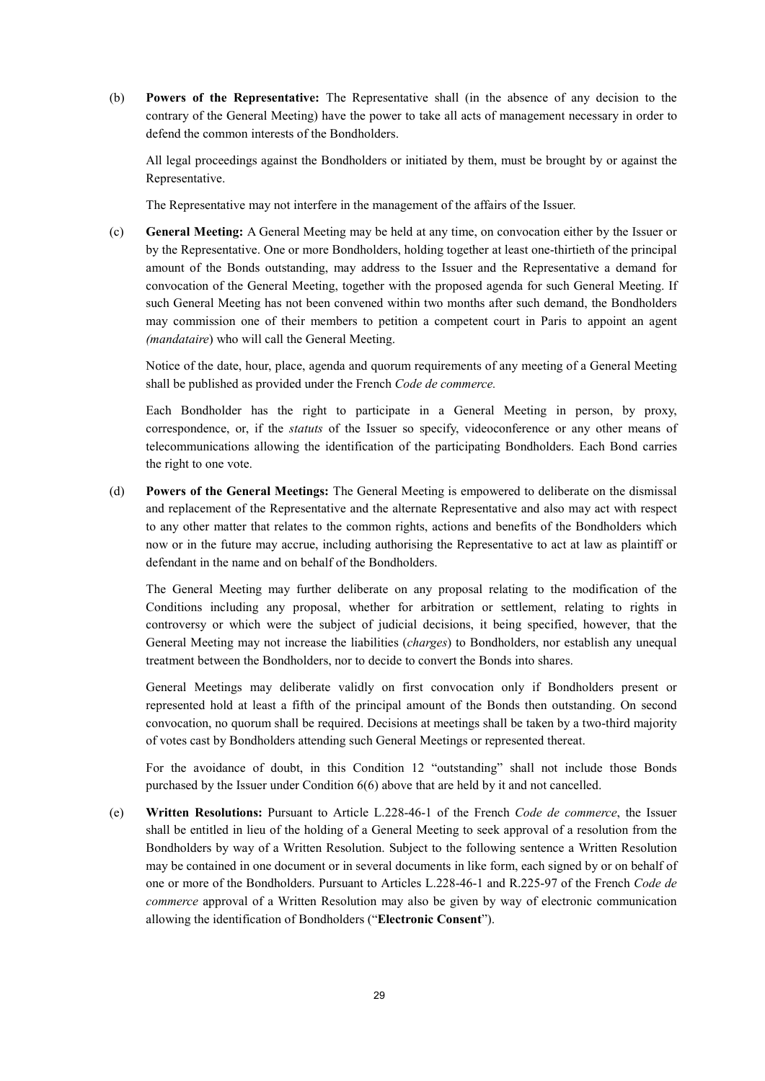(b) **Powers of the Representative:** The Representative shall (in the absence of any decision to the contrary of the General Meeting) have the power to take all acts of management necessary in order to defend the common interests of the Bondholders.

All legal proceedings against the Bondholders or initiated by them, must be brought by or against the Representative.

The Representative may not interfere in the management of the affairs of the Issuer.

(c) **General Meeting:** A General Meeting may be held at any time, on convocation either by the Issuer or by the Representative. One or more Bondholders, holding together at least one-thirtieth of the principal amount of the Bonds outstanding, may address to the Issuer and the Representative a demand for convocation of the General Meeting, together with the proposed agenda for such General Meeting. If such General Meeting has not been convened within two months after such demand, the Bondholders may commission one of their members to petition a competent court in Paris to appoint an agent *(mandataire*) who will call the General Meeting.

Notice of the date, hour, place, agenda and quorum requirements of any meeting of a General Meeting shall be published as provided under the French *Code de commerce.*

Each Bondholder has the right to participate in a General Meeting in person, by proxy, correspondence, or, if the *statuts* of the Issuer so specify, videoconference or any other means of telecommunications allowing the identification of the participating Bondholders. Each Bond carries the right to one vote.

(d) **Powers of the General Meetings:** The General Meeting is empowered to deliberate on the dismissal and replacement of the Representative and the alternate Representative and also may act with respect to any other matter that relates to the common rights, actions and benefits of the Bondholders which now or in the future may accrue, including authorising the Representative to act at law as plaintiff or defendant in the name and on behalf of the Bondholders.

The General Meeting may further deliberate on any proposal relating to the modification of the Conditions including any proposal, whether for arbitration or settlement, relating to rights in controversy or which were the subject of judicial decisions, it being specified, however, that the General Meeting may not increase the liabilities (*charges*) to Bondholders, nor establish any unequal treatment between the Bondholders, nor to decide to convert the Bonds into shares.

General Meetings may deliberate validly on first convocation only if Bondholders present or represented hold at least a fifth of the principal amount of the Bonds then outstanding. On second convocation, no quorum shall be required. Decisions at meetings shall be taken by a two-third majority of votes cast by Bondholders attending such General Meetings or represented thereat.

For the avoidance of doubt, in this Condition 12 "outstanding" shall not include those Bonds purchased by the Issuer under Condition 6(6) above that are held by it and not cancelled.

(e) **Written Resolutions:** Pursuant to Article L.228-46-1 of the French *Code de commerce*, the Issuer shall be entitled in lieu of the holding of a General Meeting to seek approval of a resolution from the Bondholders by way of a Written Resolution. Subject to the following sentence a Written Resolution may be contained in one document or in several documents in like form, each signed by or on behalf of one or more of the Bondholders. Pursuant to Articles L.228-46-1 and R.225-97 of the French *Code de commerce* approval of a Written Resolution may also be given by way of electronic communication allowing the identification of Bondholders ("**Electronic Consent**").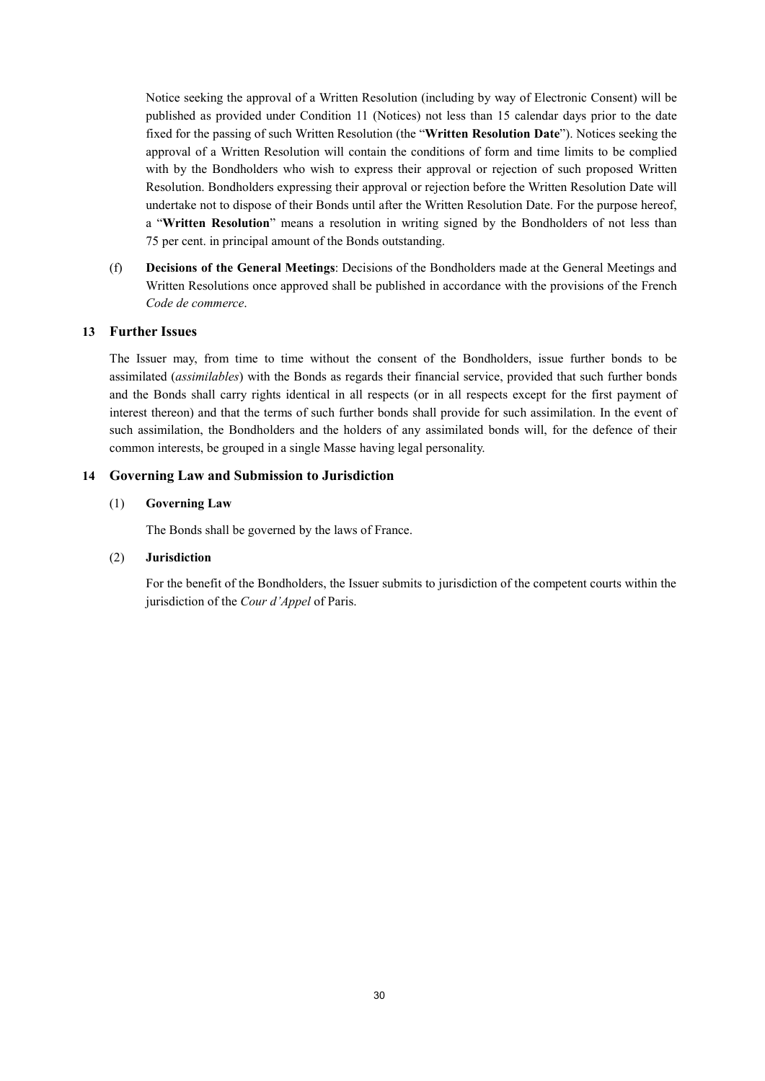Notice seeking the approval of a Written Resolution (including by way of Electronic Consent) will be published as provided under Condition 11 (Notices) not less than 15 calendar days prior to the date fixed for the passing of such Written Resolution (the "**Written Resolution Date**"). Notices seeking the approval of a Written Resolution will contain the conditions of form and time limits to be complied with by the Bondholders who wish to express their approval or rejection of such proposed Written Resolution. Bondholders expressing their approval or rejection before the Written Resolution Date will undertake not to dispose of their Bonds until after the Written Resolution Date. For the purpose hereof, a "**Written Resolution**" means a resolution in writing signed by the Bondholders of not less than 75 per cent. in principal amount of the Bonds outstanding.

(f) **Decisions of the General Meetings**: Decisions of the Bondholders made at the General Meetings and Written Resolutions once approved shall be published in accordance with the provisions of the French *Code de commerce*.

# **13 Further Issues**

The Issuer may, from time to time without the consent of the Bondholders, issue further bonds to be assimilated (*assimilables*) with the Bonds as regards their financial service, provided that such further bonds and the Bonds shall carry rights identical in all respects (or in all respects except for the first payment of interest thereon) and that the terms of such further bonds shall provide for such assimilation. In the event of such assimilation, the Bondholders and the holders of any assimilated bonds will, for the defence of their common interests, be grouped in a single Masse having legal personality.

### **14 Governing Law and Submission to Jurisdiction**

### (1) **Governing Law**

The Bonds shall be governed by the laws of France.

# (2) **Jurisdiction**

For the benefit of the Bondholders, the Issuer submits to jurisdiction of the competent courts within the jurisdiction of the *Cour d'Appel* of Paris.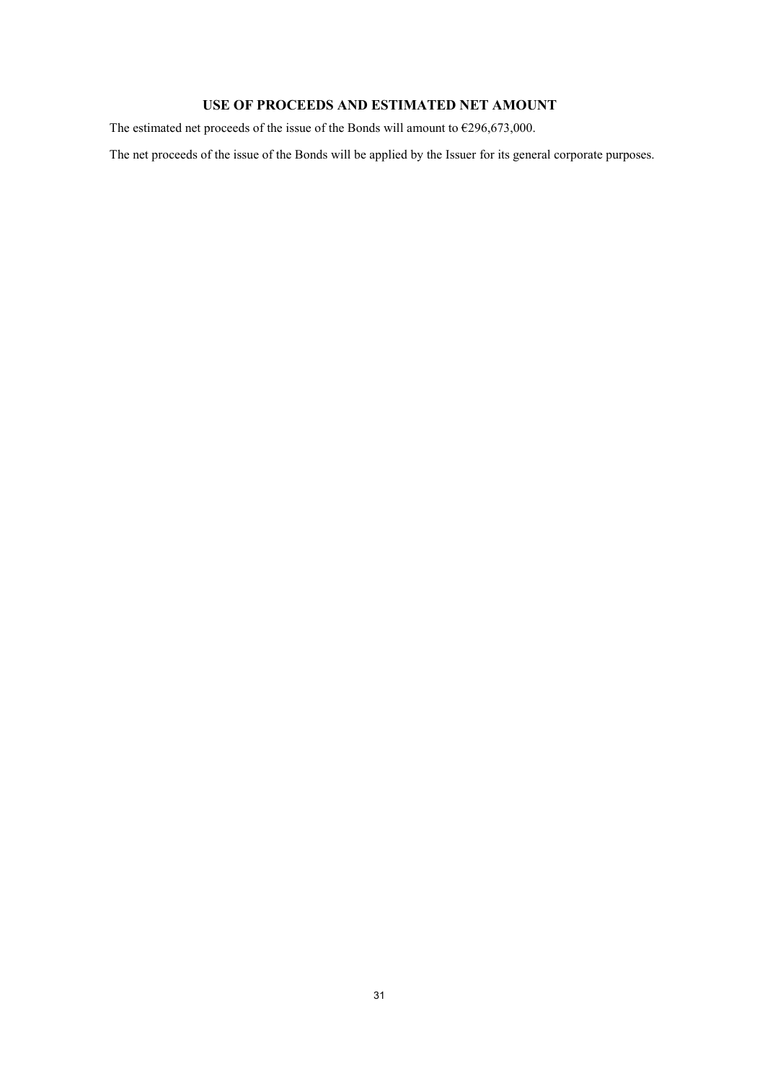# **USE OF PROCEEDS AND ESTIMATED NET AMOUNT**

<span id="page-30-0"></span>The estimated net proceeds of the issue of the Bonds will amount to  $\epsilon$ 296,673,000.

The net proceeds of the issue of the Bonds will be applied by the Issuer for its general corporate purposes.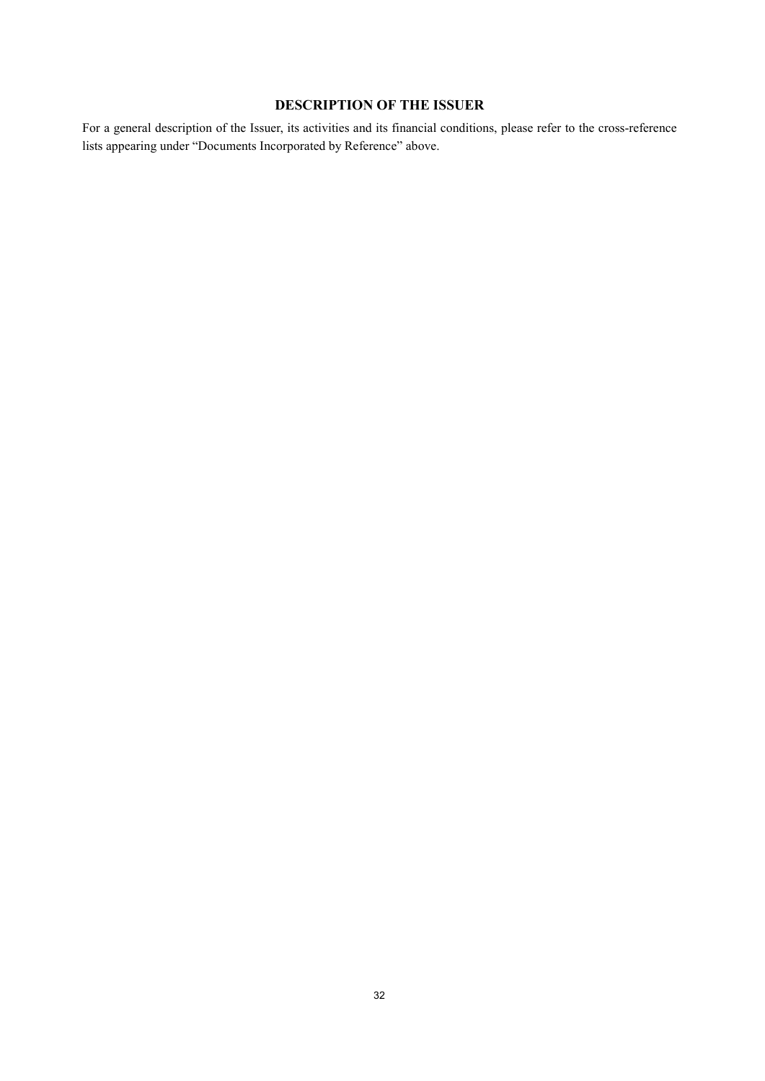# **DESCRIPTION OF THE ISSUER**

<span id="page-31-0"></span>For a general description of the Issuer, its activities and its financial conditions, please refer to the cross-reference lists appearing under "Documents Incorporated by Reference" above.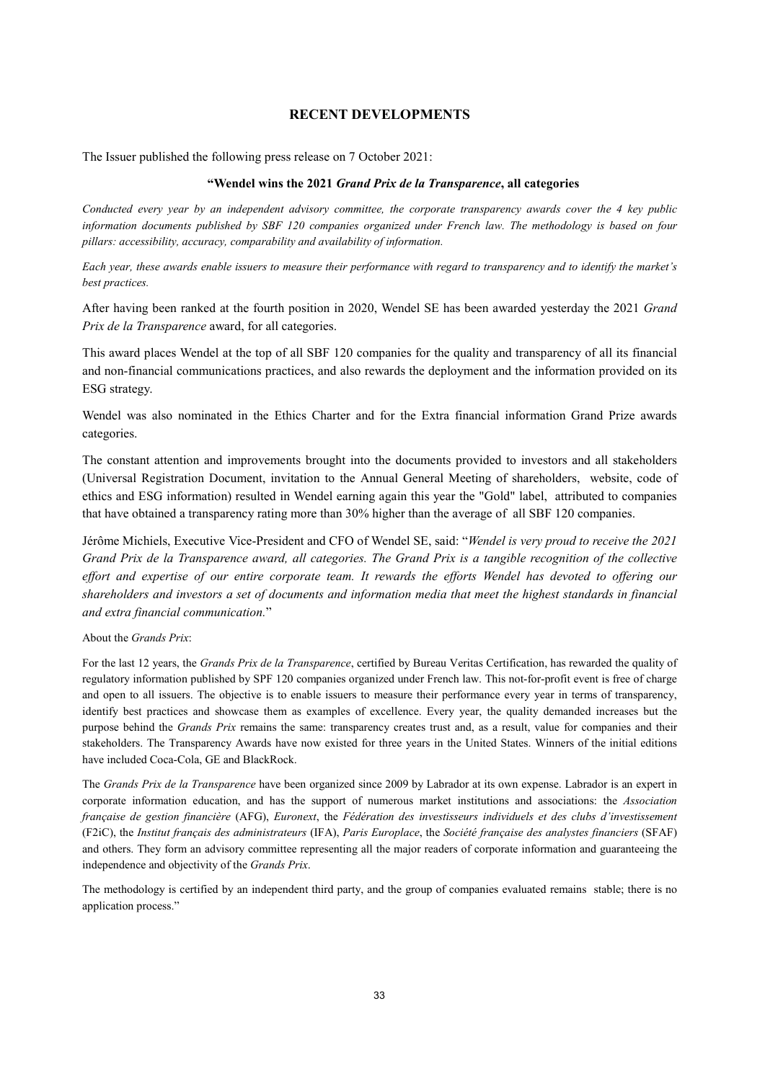### **RECENT DEVELOPMENTS**

<span id="page-32-0"></span>The Issuer published the following press release on 7 October 2021:

#### **"Wendel wins the 2021** *Grand Prix de la Transparence***, all categories**

*Conducted every year by an independent advisory committee, the corporate transparency awards cover the 4 key public information documents published by SBF 120 companies organized under French law. The methodology is based on four pillars: accessibility, accuracy, comparability and availability of information.* 

*Each year, these awards enable issuers to measure their performance with regard to transparency and to identify the market's best practices.* 

After having been ranked at the fourth position in 2020, Wendel SE has been awarded yesterday the 2021 *Grand Prix de la Transparence* award, for all categories.

This award places Wendel at the top of all SBF 120 companies for the quality and transparency of all its financial and non-financial communications practices, and also rewards the deployment and the information provided on its ESG strategy.

Wendel was also nominated in the Ethics Charter and for the Extra financial information Grand Prize awards categories.

The constant attention and improvements brought into the documents provided to investors and all stakeholders (Universal Registration Document, invitation to the Annual General Meeting of shareholders, website, code of ethics and ESG information) resulted in Wendel earning again this year the "Gold" label, attributed to companies that have obtained a transparency rating more than 30% higher than the average of all SBF 120 companies.

Jérôme Michiels, Executive Vice-President and CFO of Wendel SE, said: "*Wendel is very proud to receive the 2021 Grand Prix de la Transparence award, all categories. The Grand Prix is a tangible recognition of the collective*  effort and expertise of our entire corporate team. It rewards the efforts Wendel has devoted to offering our *shareholders and investors a set of documents and information media that meet the highest standards in financial and extra financial communication.*"

### About the *Grands Prix*:

For the last 12 years, the *Grands Prix de la Transparence*, certified by Bureau Veritas Certification, has rewarded the quality of regulatory information published by SPF 120 companies organized under French law. This not-for-profit event is free of charge and open to all issuers. The objective is to enable issuers to measure their performance every year in terms of transparency, identify best practices and showcase them as examples of excellence. Every year, the quality demanded increases but the purpose behind the *Grands Prix* remains the same: transparency creates trust and, as a result, value for companies and their stakeholders. The Transparency Awards have now existed for three years in the United States. Winners of the initial editions have included Coca-Cola, GE and BlackRock.

The *Grands Prix de la Transparence* have been organized since 2009 by Labrador at its own expense. Labrador is an expert in corporate information education, and has the support of numerous market institutions and associations: the *Association française de gestion financière* (AFG), *Euronext*, the *Fédération des investisseurs individuels et des clubs d'investissement* (F2iC), the *Institut français des administrateurs* (IFA), *Paris Europlace*, the *Société française des analystes financiers* (SFAF) and others. They form an advisory committee representing all the major readers of corporate information and guaranteeing the independence and objectivity of the *Grands Prix*.

The methodology is certified by an independent third party, and the group of companies evaluated remains stable; there is no application process."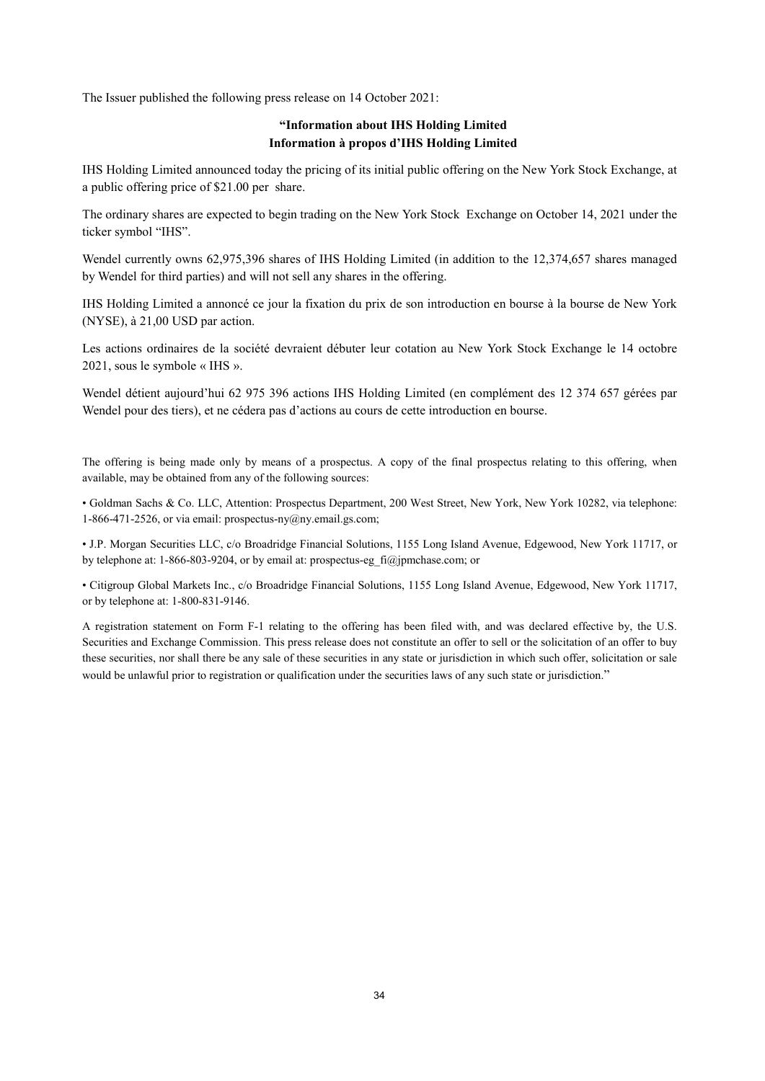The Issuer published the following press release on 14 October 2021:

# **"Information about IHS Holding Limited Information à propos d'IHS Holding Limited**

IHS Holding Limited announced today the pricing of its initial public offering on the New York Stock Exchange, at a public offering price of \$21.00 per share.

The ordinary shares are expected to begin trading on the New York Stock Exchange on October 14, 2021 under the ticker symbol "IHS".

Wendel currently owns 62,975,396 shares of IHS Holding Limited (in addition to the 12,374,657 shares managed by Wendel for third parties) and will not sell any shares in the offering.

IHS Holding Limited a annoncé ce jour la fixation du prix de son introduction en bourse à la bourse de New York (NYSE), à 21,00 USD par action.

Les actions ordinaires de la société devraient débuter leur cotation au New York Stock Exchange le 14 octobre 2021, sous le symbole « IHS ».

Wendel détient aujourd'hui 62 975 396 actions IHS Holding Limited (en complément des 12 374 657 gérées par Wendel pour des tiers), et ne cédera pas d'actions au cours de cette introduction en bourse.

The offering is being made only by means of a prospectus. A copy of the final prospectus relating to this offering, when available, may be obtained from any of the following sources:

• Goldman Sachs & Co. LLC, Attention: Prospectus Department, 200 West Street, New York, New York 10282, via telephone: 1-866-471-2526, or via email: prospectus-ny@ny.email.gs.com;

• J.P. Morgan Securities LLC, c/o Broadridge Financial Solutions, 1155 Long Island Avenue, Edgewood, New York 11717, or by telephone at: 1-866-803-9204, or by email at: prospectus-eg\_fi@jpmchase.com; or

• Citigroup Global Markets Inc., c/o Broadridge Financial Solutions, 1155 Long Island Avenue, Edgewood, New York 11717, or by telephone at: 1-800-831-9146.

A registration statement on Form F-1 relating to the offering has been filed with, and was declared effective by, the U.S. Securities and Exchange Commission. This press release does not constitute an offer to sell or the solicitation of an offer to buy these securities, nor shall there be any sale of these securities in any state or jurisdiction in which such offer, solicitation or sale would be unlawful prior to registration or qualification under the securities laws of any such state or jurisdiction."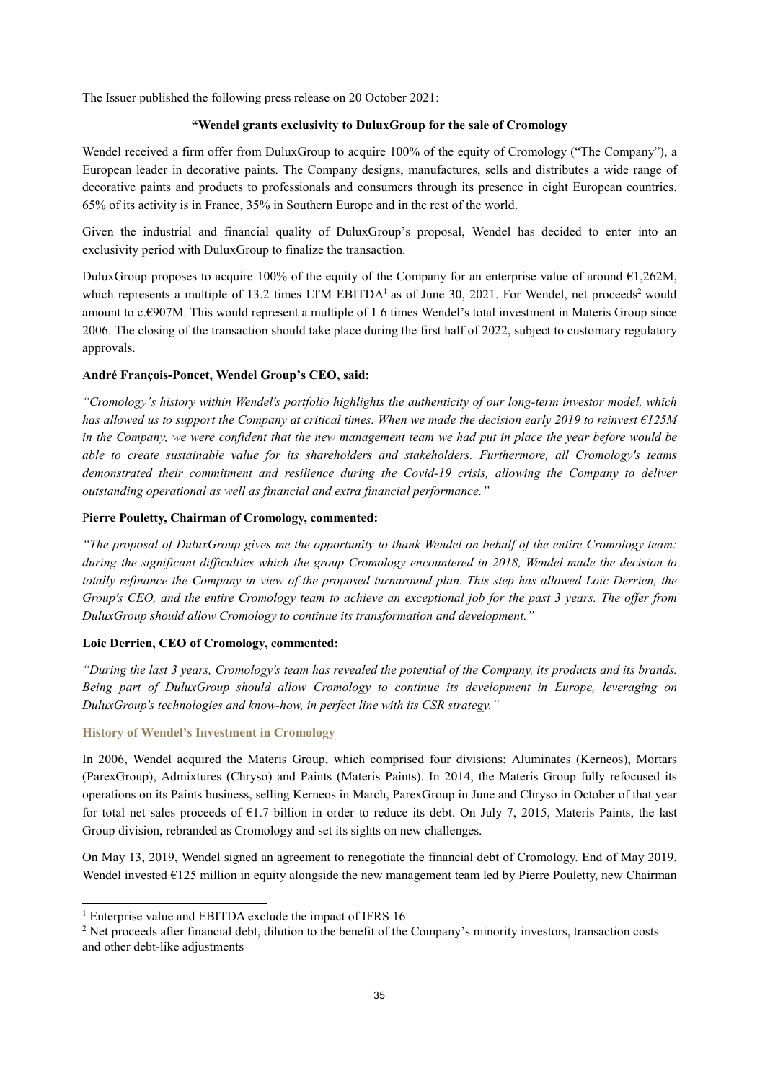The Issuer published the following press release on 20 October 2021:

# **"Wendel grants exclusivity to DuluxGroup for the sale of Cromology**

Wendel received a firm offer from DuluxGroup to acquire 100% of the equity of Cromology ("The Company"), a European leader in decorative paints. The Company designs, manufactures, sells and distributes a wide range of decorative paints and products to professionals and consumers through its presence in eight European countries. 65% of its activity is in France, 35% in Southern Europe and in the rest of the world.

Given the industrial and financial quality of DuluxGroup's proposal, Wendel has decided to enter into an exclusivity period with DuluxGroup to finalize the transaction.

DuluxGroup proposes to acquire 100% of the equity of the Company for an enterprise value of around  $\epsilon$ 1,262M, whichrepresents a multiple of 13.2 times LTM  $EBITDA<sup>1</sup>$  $EBITDA<sup>1</sup>$  $EBITDA<sup>1</sup>$  as of June 30, 2021. For Wendel, net proceeds<sup>2</sup> would amount to c.€907M. This would represent a multiple of 1.6 times Wendel's total investment in Materis Group since 2006. The closing of the transaction should take place during the first half of 2022, subject to customary regulatory approvals.

# **André François-Poncet, Wendel Group's CEO, said:**

*"Cromology's history within Wendel's portfolio highlights the authenticity of our long-term investor model, which has allowed us to support the Company at critical times. When we made the decision early 2019 to reinvest €125M in the Company, we were confident that the new management team we had put in place the year before would be able to create sustainable value for its shareholders and stakeholders. Furthermore, all Cromology's teams demonstrated their commitment and resilience during the Covid-19 crisis, allowing the Company to deliver outstanding operational as well as financial and extra financial performance."* 

# P**ierre Pouletty, Chairman of Cromology, commented:**

*"The proposal of DuluxGroup gives me the opportunity to thank Wendel on behalf of the entire Cromology team: during the significant difficulties which the group Cromology encountered in 2018, Wendel made the decision to totally refinance the Company in view of the proposed turnaround plan. This step has allowed Loïc Derrien, the Group's CEO, and the entire Cromology team to achieve an exceptional job for the past 3 years. The offer from DuluxGroup should allow Cromology to continue its transformation and development."* 

# **Loic Derrien, CEO of Cromology, commented:**

*"During the last 3 years, Cromology's team has revealed the potential of the Company, its products and its brands. Being part of DuluxGroup should allow Cromology to continue its development in Europe, leveraging on DuluxGroup's technologies and know-how, in perfect line with its CSR strategy."*

### **History of Wendel's Investment in Cromology**

 $\overline{a}$ 

In 2006, Wendel acquired the Materis Group, which comprised four divisions: Aluminates (Kerneos), Mortars (ParexGroup), Admixtures (Chryso) and Paints (Materis Paints). In 2014, the Materis Group fully refocused its operations on its Paints business, selling Kerneos in March, ParexGroup in June and Chryso in October of that year for total net sales proceeds of  $\epsilon$ 1.7 billion in order to reduce its debt. On July 7, 2015, Materis Paints, the last Group division, rebranded as Cromology and set its sights on new challenges.

On May 13, 2019, Wendel signed an agreement to renegotiate the financial debt of Cromology. End of May 2019, Wendel invested €125 million in equity alongside the new management team led by Pierre Pouletty, new Chairman

<span id="page-34-0"></span><sup>&</sup>lt;sup>1</sup> Enterprise value and EBITDA exclude the impact of IFRS 16

<span id="page-34-1"></span><sup>&</sup>lt;sup>2</sup> Net proceeds after financial debt, dilution to the benefit of the Company's minority investors, transaction costs and other debt-like adjustments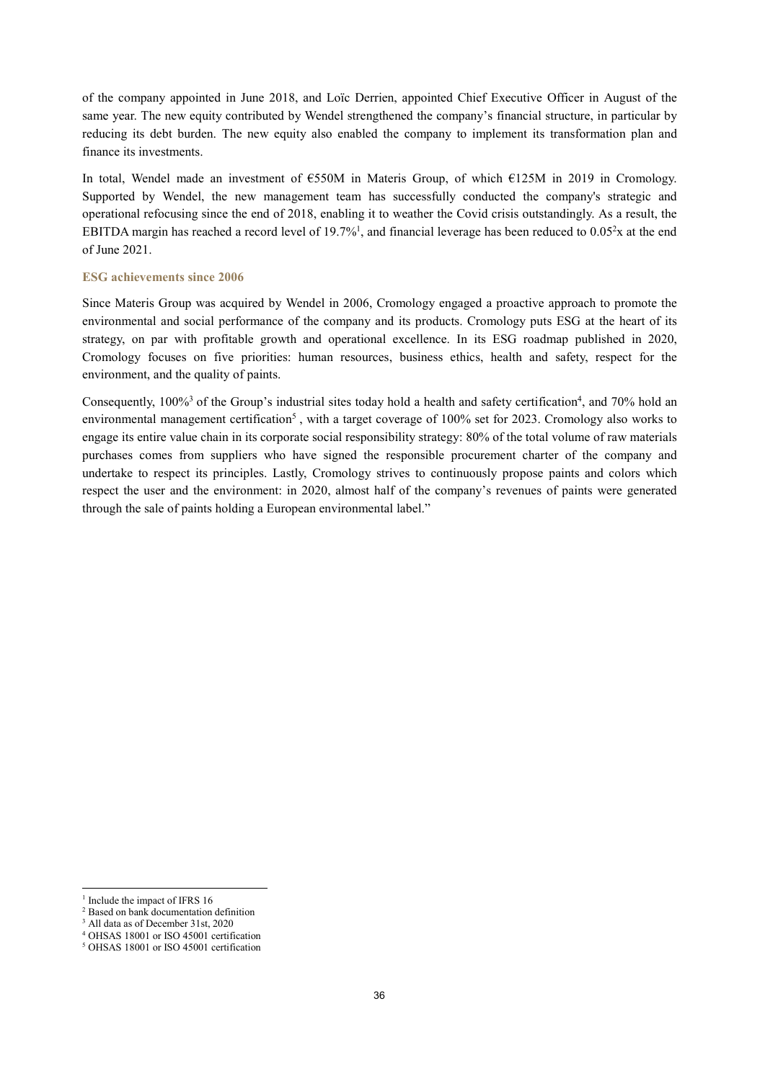of the company appointed in June 2018, and Loïc Derrien, appointed Chief Executive Officer in August of the same year. The new equity contributed by Wendel strengthened the company's financial structure, in particular by reducing its debt burden. The new equity also enabled the company to implement its transformation plan and finance its investments.

In total, Wendel made an investment of €550M in Materis Group, of which €125M in 2019 in Cromology. Supported by Wendel, the new management team has successfully conducted the company's strategic and operational refocusing since the end of 2018, enabling it to weather the Covid crisis outstandingly. As a result, the EBITDA margin has reached a record level of 19.7[%](#page-35-0)<sup>1</sup>, and financial leverage has been reduced to  $0.05^{2}x$  $0.05^{2}x$  $0.05^{2}x$  at the end of June 2021.

### **ESG achievements since 2006**

Since Materis Group was acquired by Wendel in 2006, Cromology engaged a proactive approach to promote the environmental and social performance of the company and its products. Cromology puts ESG at the heart of its strategy, on par with profitable growth and operational excellence. In its ESG roadmap published in 2020, Cromology focuses on five priorities: human resources, business ethics, health and safety, respect for the environment, and the quality of paints.

Consequently, 100%<sup>3</sup> [o](#page-35-2)f the Group's i[n](#page-35-3)dustrial sites today hold a health and safety certification<sup>4</sup>, and 70% hold an environmentalmanagement certification<sup>5</sup>, with a target coverage of 100% set for 2023. Cromology also works to engage its entire value chain in its corporate social responsibility strategy: 80% of the total volume of raw materials purchases comes from suppliers who have signed the responsible procurement charter of the company and undertake to respect its principles. Lastly, Cromology strives to continuously propose paints and colors which respect the user and the environment: in 2020, almost half of the company's revenues of paints were generated through the sale of paints holding a European environmental label."

-

<span id="page-35-0"></span><sup>&</sup>lt;sup>1</sup> Include the impact of IFRS 16

<span id="page-35-1"></span><sup>2</sup> Based on bank documentation definition

<span id="page-35-2"></span><sup>3</sup> All data as of December 31st, 2020

<span id="page-35-3"></span><sup>4</sup> OHSAS 18001 or ISO 45001 certification

<span id="page-35-4"></span><sup>5</sup> OHSAS 18001 or ISO 45001 certification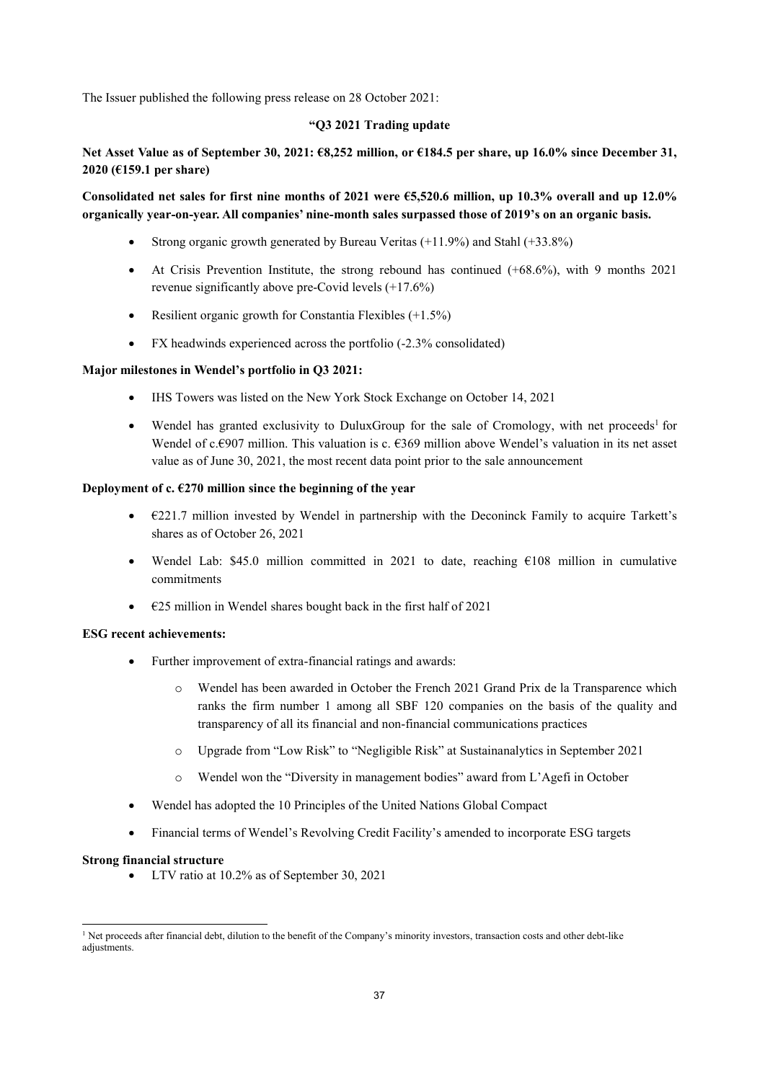The Issuer published the following press release on 28 October 2021:

# **"Q3 2021 Trading update**

# **Net Asset Value as of September 30, 2021: €8,252 million, or €184.5 per share, up 16.0% since December 31, 2020 (€159.1 per share)**

# **Consolidated net sales for first nine months of 2021 were €5,520.6 million, up 10.3% overall and up 12.0% organically year-on-year. All companies' nine-month sales surpassed those of 2019's on an organic basis.**

- Strong organic growth generated by Bureau Veritas (+11.9%) and Stahl (+33.8%)
- At Crisis Prevention Institute, the strong rebound has continued (+68.6%), with 9 months 2021 revenue significantly above pre-Covid levels (+17.6%)
- Resilient organic growth for Constantia Flexibles  $(+1.5\%)$
- FX headwinds experienced across the portfolio (-2.3% consolidated)

# **Major milestones in Wendel's portfolio in Q3 2021:**

- IHS Towers was listed on the New York Stock Exchange on October 14, 2021
- Wendel ha[s](#page-36-0) granted exclusivity to DuluxGroup for the sale of Cromology, with net proceeds<sup>1</sup> for Wendel of c.€907 million. This valuation is c.  $€369$  million above Wendel's valuation in its net asset value as of June 30, 2021, the most recent data point prior to the sale announcement

# **Deployment of c. €270 million since the beginning of the year**

- $E221.7$  million invested by Wendel in partnership with the Deconinck Family to acquire Tarkett's shares as of October 26, 2021
- Wendel Lab: \$45.0 million committed in 2021 to date, reaching  $\epsilon$ 108 million in cumulative commitments
- $\cdot$   $\in$  25 million in Wendel shares bought back in the first half of 2021

# **ESG recent achievements:**

- Further improvement of extra-financial ratings and awards:
	- o Wendel has been awarded in October the French 2021 Grand Prix de la Transparence which ranks the firm number 1 among all SBF 120 companies on the basis of the quality and transparency of all its financial and non-financial communications practices
	- o Upgrade from "Low Risk" to "Negligible Risk" at Sustainanalytics in September 2021
	- o Wendel won the "Diversity in management bodies" award from L'Agefi in October
- Wendel has adopted the 10 Principles of the United Nations Global Compact
- Financial terms of Wendel's Revolving Credit Facility's amended to incorporate ESG targets

# **Strong financial structure**

 $\overline{a}$ 

LTV ratio at 10.2% as of September 30, 2021

<span id="page-36-0"></span><sup>&</sup>lt;sup>1</sup> Net proceeds after financial debt, dilution to the benefit of the Company's minority investors, transaction costs and other debt-like adjustments.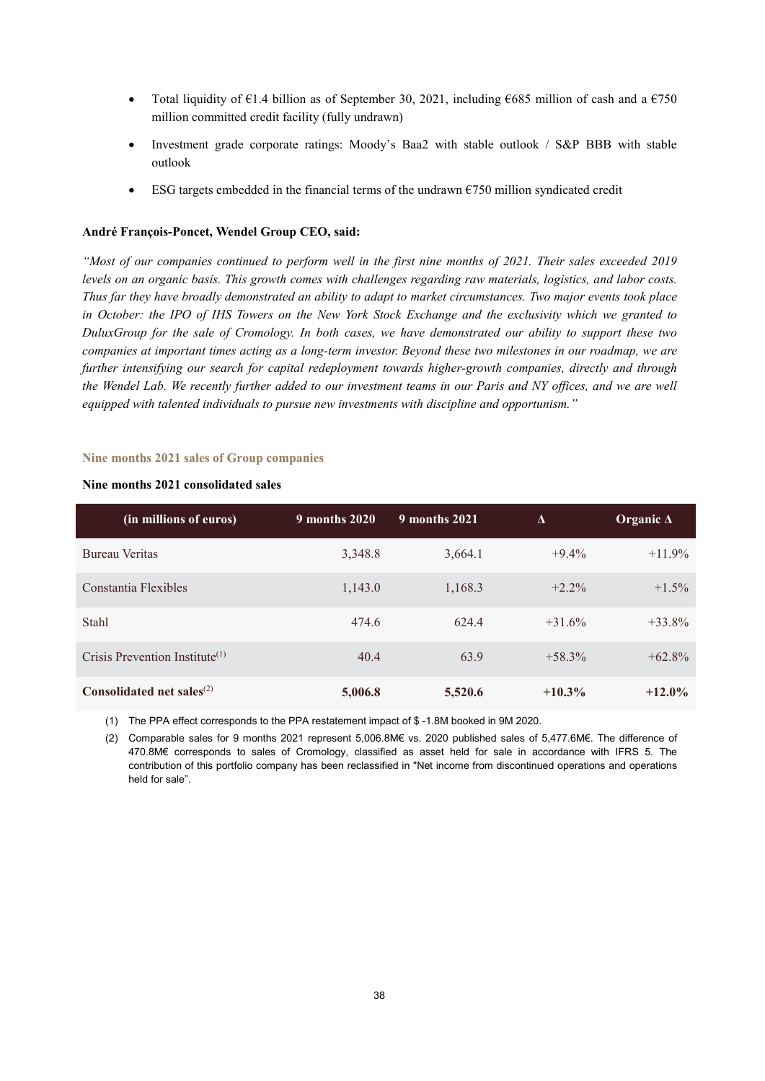- Total liquidity of €1.4 billion as of September 30, 2021, including €685 million of cash and a €750 million committed credit facility (fully undrawn)
- Investment grade corporate ratings: Moody's Baa2 with stable outlook / S&P BBB with stable outlook
- ESG targets embedded in the financial terms of the undrawn  $\epsilon$ 750 million syndicated credit

### **André François-Poncet, Wendel Group CEO, said:**

*"Most of our companies continued to perform well in the first nine months of 2021. Their sales exceeded 2019 levels on an organic basis. This growth comes with challenges regarding raw materials, logistics, and labor costs. Thus far they have broadly demonstrated an ability to adapt to market circumstances. Two major events took place in October: the IPO of IHS Towers on the New York Stock Exchange and the exclusivity which we granted to DuluxGroup for the sale of Cromology. In both cases, we have demonstrated our ability to support these two companies at important times acting as a long-term investor. Beyond these two milestones in our roadmap, we are further intensifying our search for capital redeployment towards higher-growth companies, directly and through the Wendel Lab. We recently further added to our investment teams in our Paris and NY offices, and we are well equipped with talented individuals to pursue new investments with discipline and opportunism."*

### **Nine months 2021 sales of Group companies**

|  |  |  | Nine months 2021 consolidated sales |  |
|--|--|--|-------------------------------------|--|
|--|--|--|-------------------------------------|--|

| (in millions of euros)            | 9 months 2020 | 9 months 2021 | Δ         | Organic $\Delta$ |
|-----------------------------------|---------------|---------------|-----------|------------------|
| Bureau Veritas                    | 3,348.8       | 3,664.1       | $+9.4\%$  | $+11.9\%$        |
| Constantia Flexibles              | 1,143.0       | 1,168.3       | $+2.2\%$  | $+1.5%$          |
| Stahl                             | 474.6         | 624.4         | $+31.6%$  | $+33.8\%$        |
| Crisis Prevention Institute $(1)$ | 40.4          | 63.9          | $+58.3\%$ | $+62.8\%$        |
| Consolidated net sales $(2)$      | 5,006.8       | 5,520.6       | $+10.3\%$ | $+12.0\%$        |

(1) The PPA effect corresponds to the PPA restatement impact of \$ -1.8M booked in 9M 2020.

(2) Comparable sales for 9 months 2021 represent 5,006.8M€ vs. 2020 published sales of 5,477.6M€. The difference of 470.8M€ corresponds to sales of Cromology, classified as asset held for sale in accordance with IFRS 5. The contribution of this portfolio company has been reclassified in "Net income from discontinued operations and operations held for sale".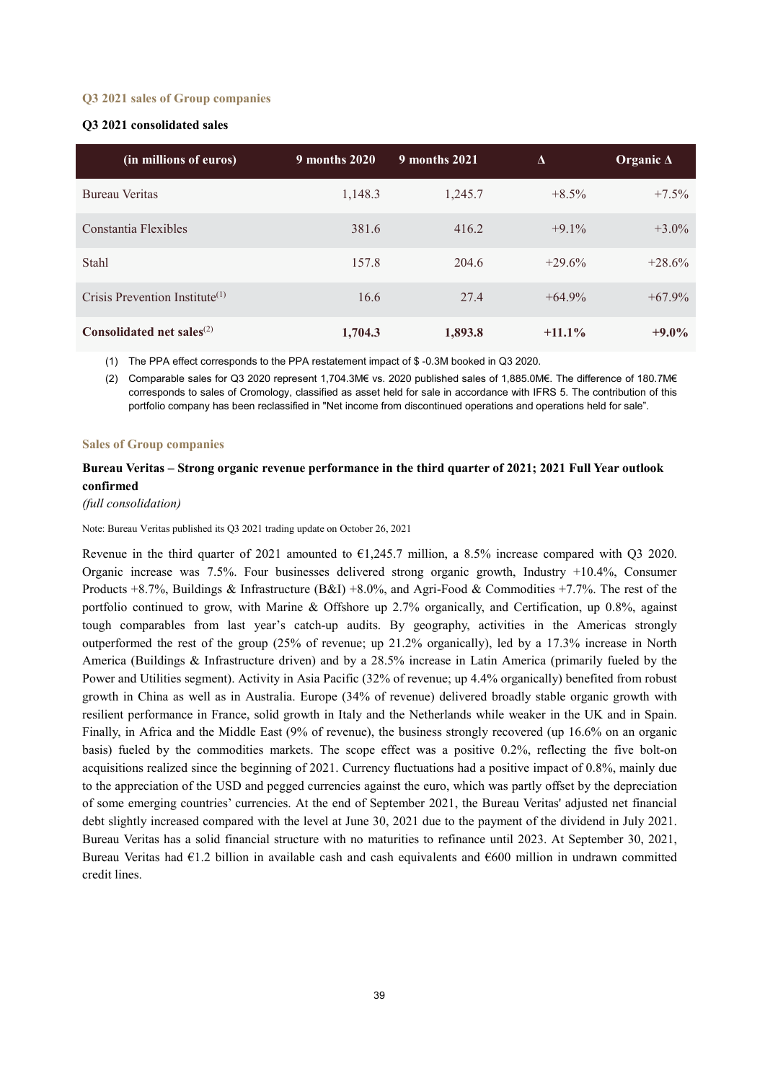#### **Q3 2021 sales of Group companies**

### **Q3 2021 consolidated sales**

| (in millions of euros)            | 9 months 2020 | 9 months 2021 | Δ         | Organic $\Delta$ |
|-----------------------------------|---------------|---------------|-----------|------------------|
| <b>Bureau Veritas</b>             | 1,148.3       | 1,245.7       | $+8.5\%$  | $+7.5\%$         |
| Constantia Flexibles              | 381.6         | 416.2         | $+9.1\%$  | $+3.0\%$         |
| Stahl                             | 157.8         | 204.6         | $+29.6%$  | $+28.6%$         |
| Crisis Prevention Institute $(1)$ | 16.6          | 27.4          | $+64.9\%$ | $+67.9\%$        |
| Consolidated net sales $^{(2)}$   | 1,704.3       | 1,893.8       | $+11.1\%$ | $+9.0\%$         |

(1) The PPA effect corresponds to the PPA restatement impact of \$ -0.3M booked in Q3 2020.

(2) Comparable sales for Q3 2020 represent 1,704.3M€ vs. 2020 published sales of 1,885.0M€. The difference of 180.7M€ corresponds to sales of Cromology, classified as asset held for sale in accordance with IFRS 5. The contribution of this portfolio company has been reclassified in "Net income from discontinued operations and operations held for sale".

### **Sales of Group companies**

# **Bureau Veritas – Strong organic revenue performance in the third quarter of 2021; 2021 Full Year outlook confirmed**

#### *(full consolidation)*

Note: Bureau Veritas published its Q3 2021 trading update on October 26, 2021

Revenue in the third quarter of 2021 amounted to  $\epsilon$ 1,245.7 million, a 8.5% increase compared with Q3 2020. Organic increase was 7.5%. Four businesses delivered strong organic growth, Industry +10.4%, Consumer Products  $+8.7\%$ , Buildings & Infrastructure (B&I)  $+8.0\%$ , and Agri-Food & Commodities  $+7.7\%$ . The rest of the portfolio continued to grow, with Marine & Offshore up 2.7% organically, and Certification, up 0.8%, against tough comparables from last year's catch-up audits. By geography, activities in the Americas strongly outperformed the rest of the group (25% of revenue; up 21.2% organically), led by a 17.3% increase in North America (Buildings & Infrastructure driven) and by a 28.5% increase in Latin America (primarily fueled by the Power and Utilities segment). Activity in Asia Pacific (32% of revenue; up 4.4% organically) benefited from robust growth in China as well as in Australia. Europe (34% of revenue) delivered broadly stable organic growth with resilient performance in France, solid growth in Italy and the Netherlands while weaker in the UK and in Spain. Finally, in Africa and the Middle East (9% of revenue), the business strongly recovered (up 16.6% on an organic basis) fueled by the commodities markets. The scope effect was a positive 0.2%, reflecting the five bolt-on acquisitions realized since the beginning of 2021. Currency fluctuations had a positive impact of 0.8%, mainly due to the appreciation of the USD and pegged currencies against the euro, which was partly offset by the depreciation of some emerging countries' currencies. At the end of September 2021, the Bureau Veritas' adjusted net financial debt slightly increased compared with the level at June 30, 2021 due to the payment of the dividend in July 2021. Bureau Veritas has a solid financial structure with no maturities to refinance until 2023. At September 30, 2021, Bureau Veritas had  $\epsilon$ 1.2 billion in available cash and cash equivalents and  $\epsilon$ 600 million in undrawn committed credit lines.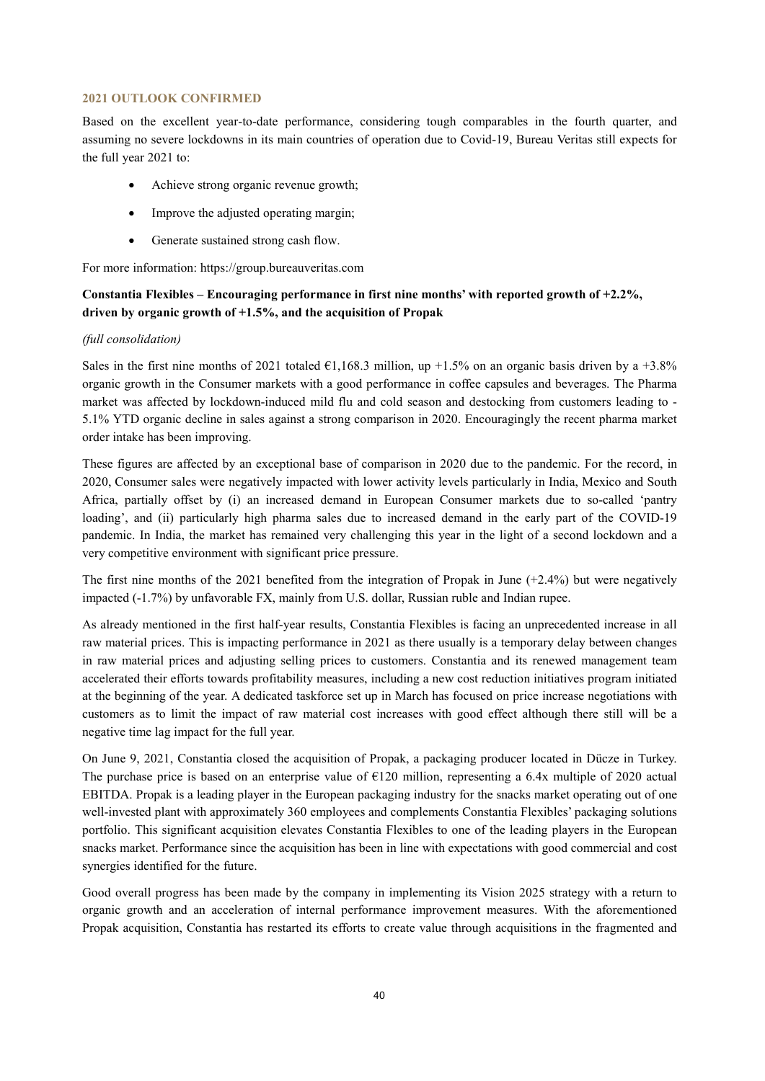### **2021 OUTLOOK CONFIRMED**

Based on the excellent year-to-date performance, considering tough comparables in the fourth quarter, and assuming no severe lockdowns in its main countries of operation due to Covid-19, Bureau Veritas still expects for the full year 2021 to:

- Achieve strong organic revenue growth;
- Improve the adjusted operating margin;
- Generate sustained strong cash flow.

For more information: https://group.bureauveritas.com

# **Constantia Flexibles – Encouraging performance in first nine months' with reported growth of +2.2%, driven by organic growth of +1.5%, and the acquisition of Propak**

### *(full consolidation)*

Sales in the first nine months of 2021 totaled  $\epsilon$ 1,168.3 million, up +1.5% on an organic basis driven by a +3.8% organic growth in the Consumer markets with a good performance in coffee capsules and beverages. The Pharma market was affected by lockdown-induced mild flu and cold season and destocking from customers leading to - 5.1% YTD organic decline in sales against a strong comparison in 2020. Encouragingly the recent pharma market order intake has been improving.

These figures are affected by an exceptional base of comparison in 2020 due to the pandemic. For the record, in 2020, Consumer sales were negatively impacted with lower activity levels particularly in India, Mexico and South Africa, partially offset by (i) an increased demand in European Consumer markets due to so-called 'pantry loading', and (ii) particularly high pharma sales due to increased demand in the early part of the COVID-19 pandemic. In India, the market has remained very challenging this year in the light of a second lockdown and a very competitive environment with significant price pressure.

The first nine months of the 2021 benefited from the integration of Propak in June (+2.4%) but were negatively impacted (-1.7%) by unfavorable FX, mainly from U.S. dollar, Russian ruble and Indian rupee.

As already mentioned in the first half-year results, Constantia Flexibles is facing an unprecedented increase in all raw material prices. This is impacting performance in 2021 as there usually is a temporary delay between changes in raw material prices and adjusting selling prices to customers. Constantia and its renewed management team accelerated their efforts towards profitability measures, including a new cost reduction initiatives program initiated at the beginning of the year. A dedicated taskforce set up in March has focused on price increase negotiations with customers as to limit the impact of raw material cost increases with good effect although there still will be a negative time lag impact for the full year.

On June 9, 2021, Constantia closed the acquisition of Propak, a packaging producer located in Dücze in Turkey. The purchase price is based on an enterprise value of €120 million, representing a 6.4x multiple of 2020 actual EBITDA. Propak is a leading player in the European packaging industry for the snacks market operating out of one well-invested plant with approximately 360 employees and complements Constantia Flexibles' packaging solutions portfolio. This significant acquisition elevates Constantia Flexibles to one of the leading players in the European snacks market. Performance since the acquisition has been in line with expectations with good commercial and cost synergies identified for the future.

Good overall progress has been made by the company in implementing its Vision 2025 strategy with a return to organic growth and an acceleration of internal performance improvement measures. With the aforementioned Propak acquisition, Constantia has restarted its efforts to create value through acquisitions in the fragmented and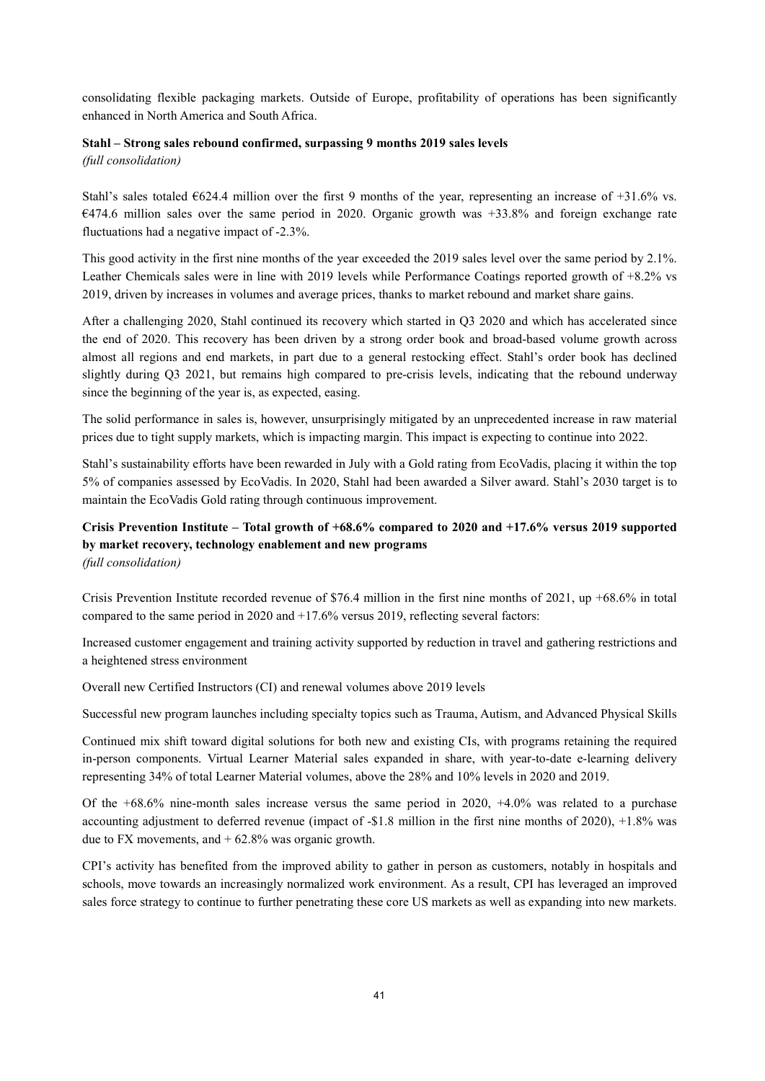consolidating flexible packaging markets. Outside of Europe, profitability of operations has been significantly enhanced in North America and South Africa.

# **Stahl – Strong sales rebound confirmed, surpassing 9 months 2019 sales levels**

*(full consolidation)*

Stahl's sales totaled  $6624.4$  million over the first 9 months of the year, representing an increase of  $+31.6\%$  vs. €474.6 million sales over the same period in 2020. Organic growth was +33.8% and foreign exchange rate fluctuations had a negative impact of -2.3%.

This good activity in the first nine months of the year exceeded the 2019 sales level over the same period by 2.1%. Leather Chemicals sales were in line with 2019 levels while Performance Coatings reported growth of +8.2% vs 2019, driven by increases in volumes and average prices, thanks to market rebound and market share gains.

After a challenging 2020, Stahl continued its recovery which started in Q3 2020 and which has accelerated since the end of 2020. This recovery has been driven by a strong order book and broad-based volume growth across almost all regions and end markets, in part due to a general restocking effect. Stahl's order book has declined slightly during Q3 2021, but remains high compared to pre-crisis levels, indicating that the rebound underway since the beginning of the year is, as expected, easing.

The solid performance in sales is, however, unsurprisingly mitigated by an unprecedented increase in raw material prices due to tight supply markets, which is impacting margin. This impact is expecting to continue into 2022.

Stahl's sustainability efforts have been rewarded in July with a Gold rating from EcoVadis, placing it within the top 5% of companies assessed by EcoVadis. In 2020, Stahl had been awarded a Silver award. Stahl's 2030 target is to maintain the EcoVadis Gold rating through continuous improvement.

# **Crisis Prevention Institute – Total growth of +68.6% compared to 2020 and +17.6% versus 2019 supported by market recovery, technology enablement and new programs**  *(full consolidation)*

Crisis Prevention Institute recorded revenue of \$76.4 million in the first nine months of 2021, up +68.6% in total compared to the same period in 2020 and  $+17.6\%$  versus 2019, reflecting several factors:

Increased customer engagement and training activity supported by reduction in travel and gathering restrictions and a heightened stress environment

Overall new Certified Instructors (CI) and renewal volumes above 2019 levels

Successful new program launches including specialty topics such as Trauma, Autism, and Advanced Physical Skills

Continued mix shift toward digital solutions for both new and existing CIs, with programs retaining the required in-person components. Virtual Learner Material sales expanded in share, with year-to-date e-learning delivery representing 34% of total Learner Material volumes, above the 28% and 10% levels in 2020 and 2019.

Of the  $+68.6\%$  nine-month sales increase versus the same period in 2020,  $+4.0\%$  was related to a purchase accounting adjustment to deferred revenue (impact of -\$1.8 million in the first nine months of 2020), +1.8% was due to FX movements, and  $+62.8\%$  was organic growth.

CPI's activity has benefited from the improved ability to gather in person as customers, notably in hospitals and schools, move towards an increasingly normalized work environment. As a result, CPI has leveraged an improved sales force strategy to continue to further penetrating these core US markets as well as expanding into new markets.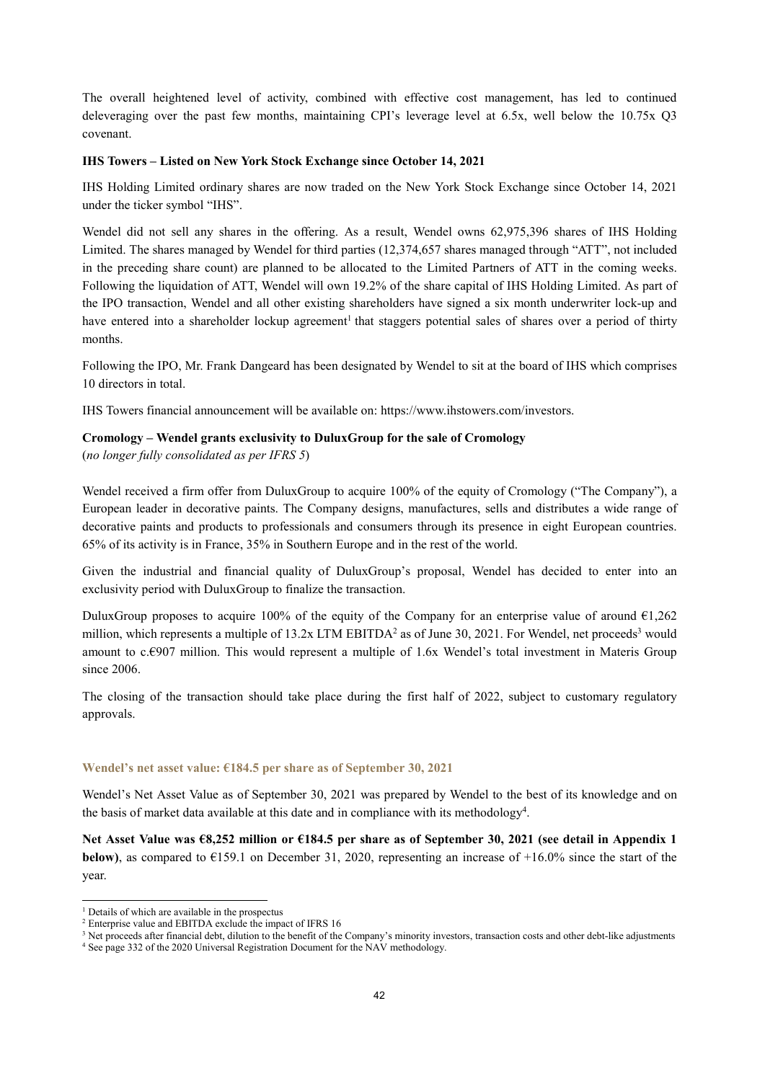The overall heightened level of activity, combined with effective cost management, has led to continued deleveraging over the past few months, maintaining CPI's leverage level at 6.5x, well below the 10.75x Q3 covenant.

### **IHS Towers – Listed on New York Stock Exchange since October 14, 2021**

IHS Holding Limited ordinary shares are now traded on the New York Stock Exchange since October 14, 2021 under the ticker symbol "IHS".

Wendel did not sell any shares in the offering. As a result, Wendel owns 62,975,396 shares of IHS Holding Limited. The shares managed by Wendel for third parties (12,374,657 shares managed through "ATT", not included in the preceding share count) are planned to be allocated to the Limited Partners of ATT in the coming weeks. Following the liquidation of ATT, Wendel will own 19.2% of the share capital of IHS Holding Limited. As part of the IPO transaction, Wendel and all other existing shareholders have signed a six month underwriter lock-up and have en[t](#page-41-0)ered into a shareholder lockup agreement<sup>1</sup> that staggers potential sales of shares over a period of thirty months.

Following the IPO, Mr. Frank Dangeard has been designated by Wendel to sit at the board of IHS which comprises 10 directors in total.

IHS Towers financial announcement will be available on: https://www.ihstowers.com/investors.

# **Cromology – Wendel grants exclusivity to DuluxGroup for the sale of Cromology**

(*no longer fully consolidated as per IFRS 5*)

Wendel received a firm offer from DuluxGroup to acquire 100% of the equity of Cromology ("The Company"), a European leader in decorative paints. The Company designs, manufactures, sells and distributes a wide range of decorative paints and products to professionals and consumers through its presence in eight European countries. 65% of its activity is in France, 35% in Southern Europe and in the rest of the world.

Given the industrial and financial quality of DuluxGroup's proposal, Wendel has decided to enter into an exclusivity period with DuluxGroup to finalize the transaction.

DuluxGroup proposes to acquire 100% of the equity of the Company for an enterprise value of around  $\epsilon$ 1,262 million, which represents a multiple of 13.[2](#page-41-1)xLTM EBITDA<sup>2</sup> as of June 30, 2021. For Wendel, net proceeds<sup>3</sup> would amount to c.€907 million. This would represent a multiple of 1.6x Wendel's total investment in Materis Group since 2006.

The closing of the transaction should take place during the first half of 2022, subject to customary regulatory approvals.

# **Wendel's net asset value: €184.5 per share as of September 30, 2021**

Wendel's Net Asset Value as of September 30, 2021 was prepared by Wendel to the best of its knowledge and on the basis of market data available at this date and in compliance with its methodolog[y](#page-41-3)<sup>4</sup>.

**Net Asset Value was €8,252 million or €184.5 per share as of September 30, 2021 (see detail in Appendix 1 below)**, as compared to  $\epsilon$ 159.1 on December 31, 2020, representing an increase of +16.0% since the start of the year.

 $\overline{a}$ 

<span id="page-41-0"></span><sup>&</sup>lt;sup>1</sup> Details of which are available in the prospectus

<span id="page-41-1"></span><sup>&</sup>lt;sup>2</sup> Enterprise value and EBITDA exclude the impact of IFRS 16

<span id="page-41-2"></span><sup>&</sup>lt;sup>3</sup> Net proceeds after financial debt, dilution to the benefit of the Company's minority investors, transaction costs and other debt-like adjustments

<span id="page-41-3"></span><sup>&</sup>lt;sup>4</sup> See page 332 of the 2020 Universal Registration Document for the NAV methodology.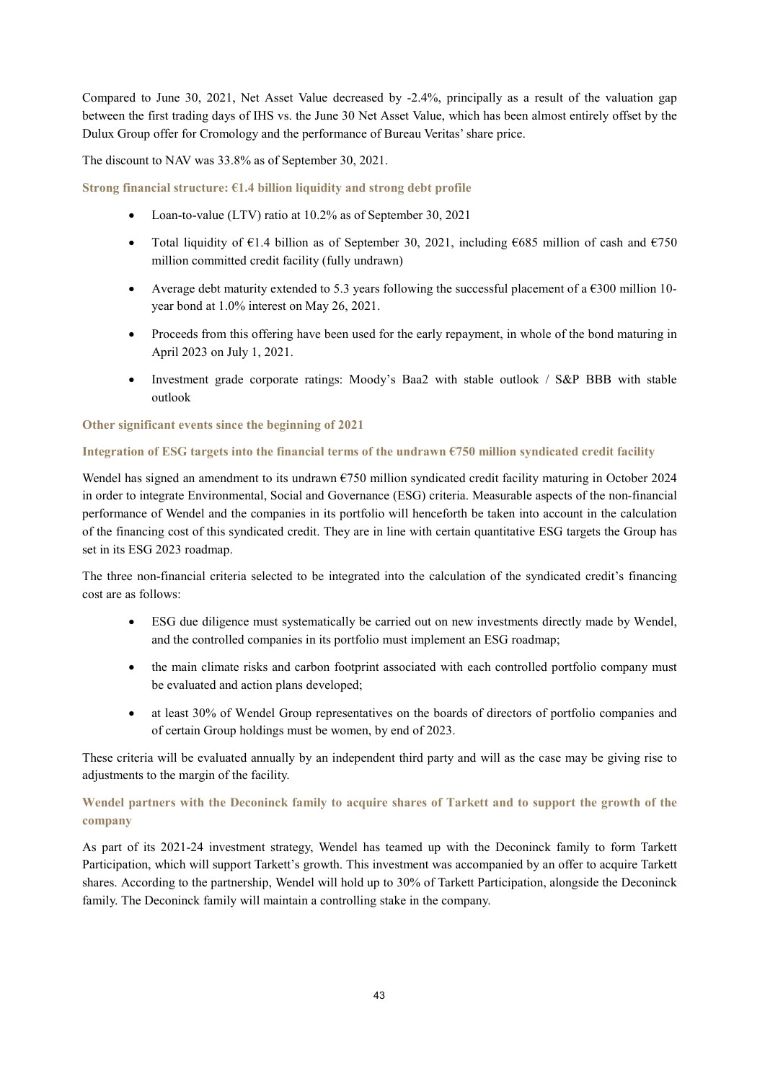Compared to June 30, 2021, Net Asset Value decreased by -2.4%, principally as a result of the valuation gap between the first trading days of IHS vs. the June 30 Net Asset Value, which has been almost entirely offset by the Dulux Group offer for Cromology and the performance of Bureau Veritas' share price.

The discount to NAV was 33.8% as of September 30, 2021.

**Strong financial structure: €1.4 billion liquidity and strong debt profile** 

- Loan-to-value (LTV) ratio at 10.2% as of September 30, 2021
- Total liquidity of €1.4 billion as of September 30, 2021, including €685 million of cash and €750 million committed credit facility (fully undrawn)
- Average debt maturity extended to 5.3 years following the successful placement of a  $\epsilon$ 300 million 10year bond at 1.0% interest on May 26, 2021.
- Proceeds from this offering have been used for the early repayment, in whole of the bond maturing in April 2023 on July 1, 2021.
- Investment grade corporate ratings: Moody's Baa2 with stable outlook / S&P BBB with stable outlook

# **Other significant events since the beginning of 2021**

# **Integration of ESG targets into the financial terms of the undrawn €750 million syndicated credit facility**

Wendel has signed an amendment to its undrawn €750 million syndicated credit facility maturing in October 2024 in order to integrate Environmental, Social and Governance (ESG) criteria. Measurable aspects of the non-financial performance of Wendel and the companies in its portfolio will henceforth be taken into account in the calculation of the financing cost of this syndicated credit. They are in line with certain quantitative ESG targets the Group has set in its ESG 2023 roadmap.

The three non-financial criteria selected to be integrated into the calculation of the syndicated credit's financing cost are as follows:

- ESG due diligence must systematically be carried out on new investments directly made by Wendel, and the controlled companies in its portfolio must implement an ESG roadmap;
- the main climate risks and carbon footprint associated with each controlled portfolio company must be evaluated and action plans developed;
- at least 30% of Wendel Group representatives on the boards of directors of portfolio companies and of certain Group holdings must be women, by end of 2023.

These criteria will be evaluated annually by an independent third party and will as the case may be giving rise to adjustments to the margin of the facility.

# **Wendel partners with the Deconinck family to acquire shares of Tarkett and to support the growth of the company**

As part of its 2021-24 investment strategy, Wendel has teamed up with the Deconinck family to form Tarkett Participation, which will support Tarkett's growth. This investment was accompanied by an offer to acquire Tarkett shares. According to the partnership, Wendel will hold up to 30% of Tarkett Participation, alongside the Deconinck family. The Deconinck family will maintain a controlling stake in the company.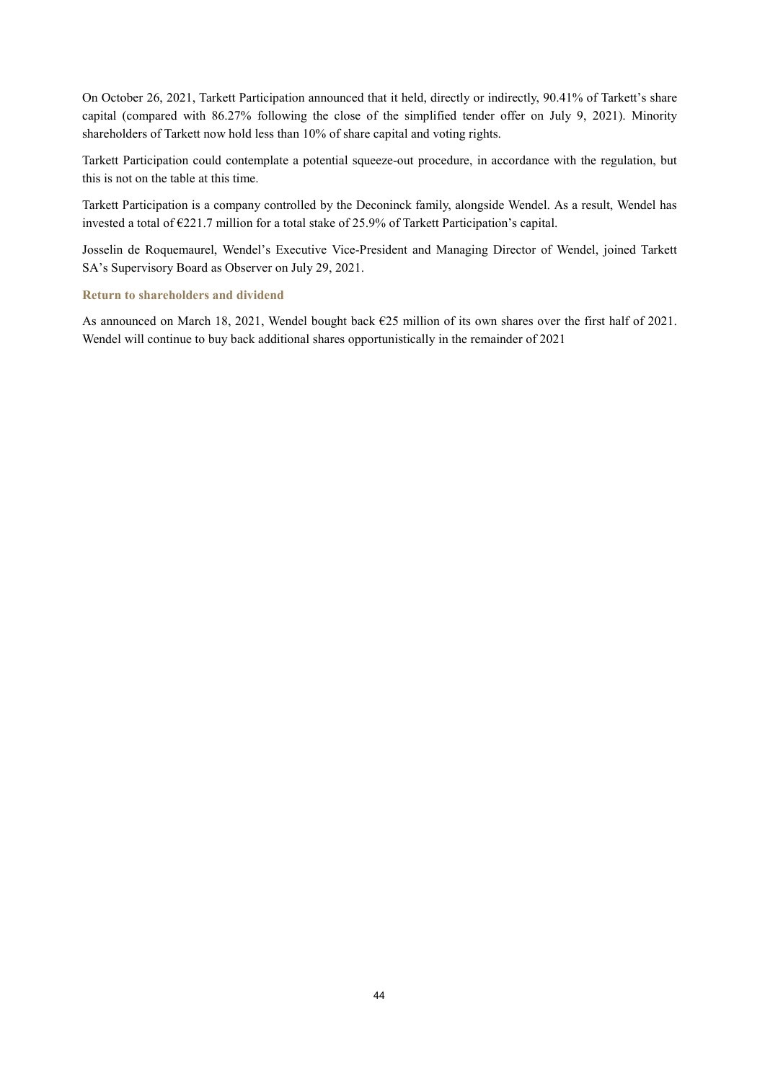On October 26, 2021, Tarkett Participation announced that it held, directly or indirectly, 90.41% of Tarkett's share capital (compared with 86.27% following the close of the simplified tender offer on July 9, 2021). Minority shareholders of Tarkett now hold less than 10% of share capital and voting rights.

Tarkett Participation could contemplate a potential squeeze-out procedure, in accordance with the regulation, but this is not on the table at this time.

Tarkett Participation is a company controlled by the Deconinck family, alongside Wendel. As a result, Wendel has invested a total of €221.7 million for a total stake of 25.9% of Tarkett Participation's capital.

Josselin de Roquemaurel, Wendel's Executive Vice-President and Managing Director of Wendel, joined Tarkett SA's Supervisory Board as Observer on July 29, 2021.

### **Return to shareholders and dividend**

As announced on March 18, 2021, Wendel bought back €25 million of its own shares over the first half of 2021. Wendel will continue to buy back additional shares opportunistically in the remainder of 2021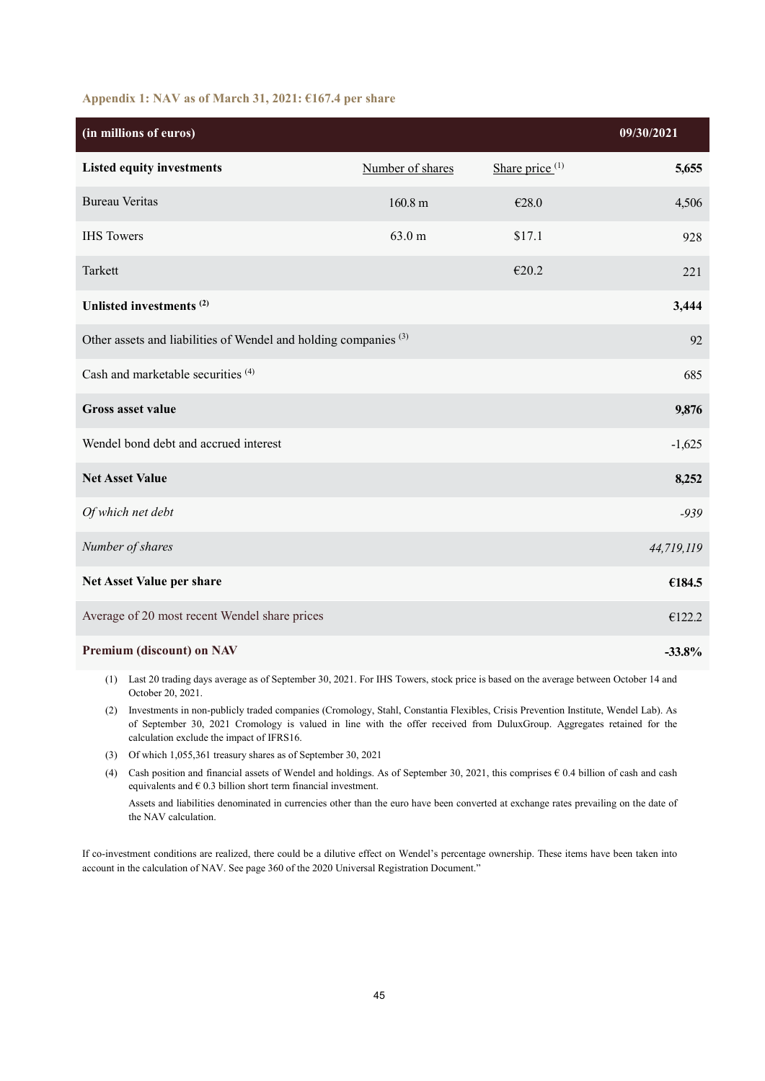### **Appendix 1: NAV as of March 31, 2021: €167.4 per share**

| (in millions of euros)                                                      |                    |                   | 09/30/2021 |
|-----------------------------------------------------------------------------|--------------------|-------------------|------------|
| <b>Listed equity investments</b>                                            | Number of shares   | Share price $(1)$ | 5,655      |
| <b>Bureau Veritas</b>                                                       | 160.8 <sub>m</sub> | E28.0             | 4,506      |
| <b>IHS</b> Towers                                                           | 63.0 m             | \$17.1            | 928        |
| Tarkett                                                                     |                    | €20.2             | 221        |
| Unlisted investments <sup>(2)</sup>                                         |                    |                   | 3,444      |
| Other assets and liabilities of Wendel and holding companies <sup>(3)</sup> |                    |                   | 92         |
| Cash and marketable securities (4)                                          |                    |                   | 685        |
| Gross asset value                                                           |                    |                   | 9,876      |
| Wendel bond debt and accrued interest                                       |                    |                   | $-1,625$   |
| <b>Net Asset Value</b>                                                      |                    |                   | 8,252      |
| Of which net debt                                                           |                    |                   | $-939$     |
| Number of shares                                                            |                    |                   | 44,719,119 |
| Net Asset Value per share                                                   |                    |                   | €184.5     |
| Average of 20 most recent Wendel share prices                               |                    |                   | €122.2     |
| Premium (discount) on NAV                                                   |                    |                   | $-33.8%$   |

- (1) Last 20 trading days average as of September 30, 2021. For IHS Towers, stock price is based on the average between October 14 and October 20, 2021.
- (2) Investments in non-publicly traded companies (Cromology, Stahl, Constantia Flexibles, Crisis Prevention Institute, Wendel Lab). As of September 30, 2021 Cromology is valued in line with the offer received from DuluxGroup. Aggregates retained for the calculation exclude the impact of IFRS16.
- (3) Of which 1,055,361 treasury shares as of September 30, 2021
- (4) Cash position and financial assets of Wendel and holdings. As of September 30, 2021, this comprises  $\epsilon$  0.4 billion of cash and cash equivalents and  $\epsilon$  0.3 billion short term financial investment.

Assets and liabilities denominated in currencies other than the euro have been converted at exchange rates prevailing on the date of the NAV calculation.

If co-investment conditions are realized, there could be a dilutive effect on Wendel's percentage ownership. These items have been taken into account in the calculation of NAV. See page 360 of the 2020 Universal Registration Document."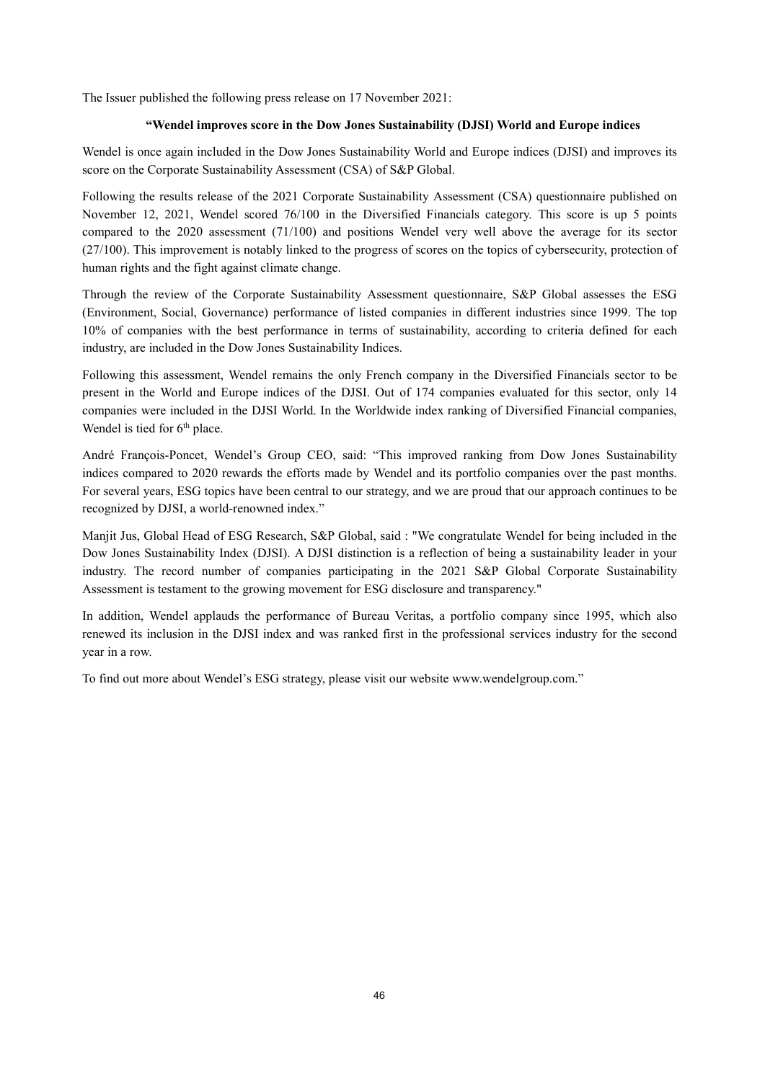The Issuer published the following press release on 17 November 2021:

### **"Wendel improves score in the Dow Jones Sustainability (DJSI) World and Europe indices**

Wendel is once again included in the Dow Jones Sustainability World and Europe indices (DJSI) and improves its score on the Corporate Sustainability Assessment (CSA) of S&P Global.

Following the results release of the 2021 Corporate Sustainability Assessment (CSA) questionnaire published on November 12, 2021, Wendel scored 76/100 in the Diversified Financials category. This score is up 5 points compared to the 2020 assessment (71/100) and positions Wendel very well above the average for its sector (27/100). This improvement is notably linked to the progress of scores on the topics of cybersecurity, protection of human rights and the fight against climate change.

Through the review of the Corporate Sustainability Assessment questionnaire, S&P Global assesses the ESG (Environment, Social, Governance) performance of listed companies in different industries since 1999. The top 10% of companies with the best performance in terms of sustainability, according to criteria defined for each industry, are included in the Dow Jones Sustainability Indices.

Following this assessment, Wendel remains the only French company in the Diversified Financials sector to be present in the World and Europe indices of the DJSI. Out of 174 companies evaluated for this sector, only 14 companies were included in the DJSI World. In the Worldwide index ranking of Diversified Financial companies, Wendel is tied for 6<sup>th</sup> place.

André François-Poncet, Wendel's Group CEO, said: "This improved ranking from Dow Jones Sustainability indices compared to 2020 rewards the efforts made by Wendel and its portfolio companies over the past months. For several years, ESG topics have been central to our strategy, and we are proud that our approach continues to be recognized by DJSI, a world-renowned index."

Manjit Jus, Global Head of ESG Research, S&P Global, said : "We congratulate Wendel for being included in the Dow Jones Sustainability Index (DJSI). A DJSI distinction is a reflection of being a sustainability leader in your industry. The record number of companies participating in the 2021 S&P Global Corporate Sustainability Assessment is testament to the growing movement for ESG disclosure and transparency."

In addition, Wendel applauds the performance of Bureau Veritas, a portfolio company since 1995, which also renewed its inclusion in the DJSI index and was ranked first in the professional services industry for the second year in a row.

To find out more about Wendel's ESG strategy, please visit our website www.wendelgroup.com."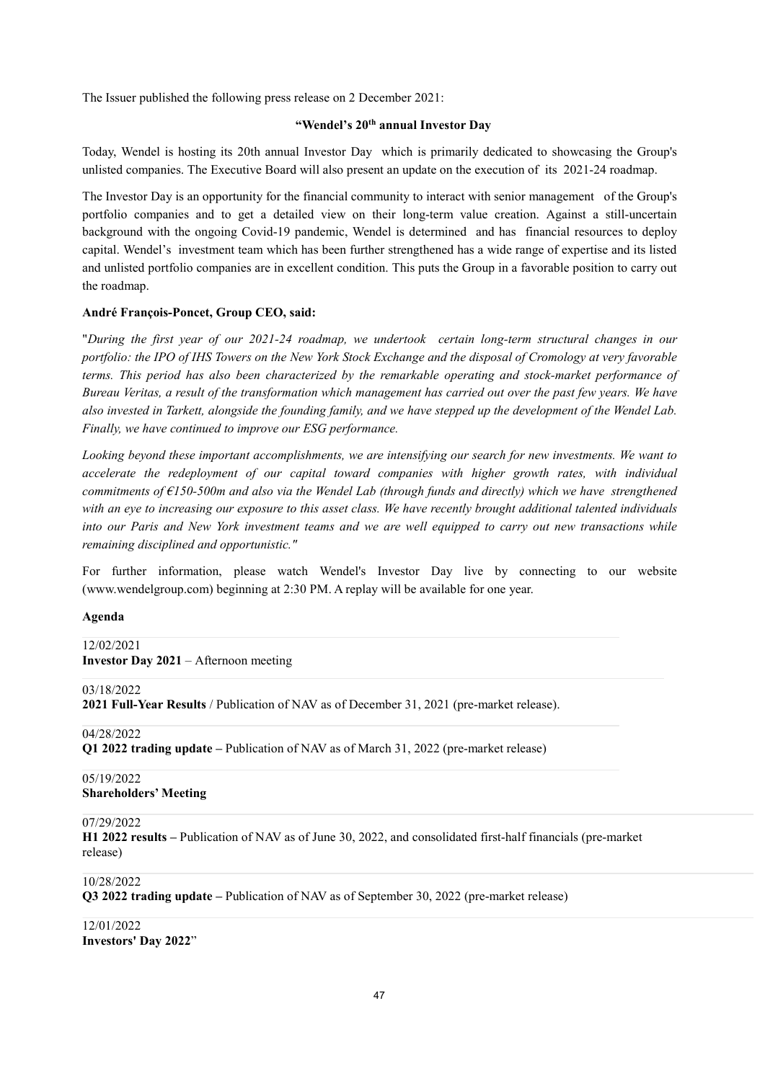The Issuer published the following press release on 2 December 2021:

# **"Wendel's 20th annual Investor Day**

Today, Wendel is hosting its 20th annual Investor Day which is primarily dedicated to showcasing the Group's unlisted companies. The Executive Board will also present an update on the execution of its 2021-24 roadmap.

The Investor Day is an opportunity for the financial community to interact with senior management of the Group's portfolio companies and to get a detailed view on their long-term value creation. Against a still-uncertain background with the ongoing Covid-19 pandemic, Wendel is determined and has financial resources to deploy capital. Wendel's investment team which has been further strengthened has a wide range of expertise and its listed and unlisted portfolio companies are in excellent condition. This puts the Group in a favorable position to carry out the roadmap.

#### **André François-Poncet, Group CEO, said:**

"*During the first year of our 2021-24 roadmap, we undertook certain long-term structural changes in our portfolio: the IPO of IHS Towers on the New York Stock Exchange and the disposal of Cromology at very favorable terms. This period has also been characterized by the remarkable operating and stock-market performance of Bureau Veritas, a result of the transformation which management has carried out over the past few years. We have also invested in Tarkett, alongside the founding family, and we have stepped up the development of the Wendel Lab. Finally, we have continued to improve our ESG performance.* 

*Looking beyond these important accomplishments, we are intensifying our search for new investments. We want to accelerate the redeployment of our capital toward companies with higher growth rates, with individual commitments of €150-500m and also via the Wendel Lab (through funds and directly) which we have strengthened with an eye to increasing our exposure to this asset class. We have recently brought additional talented individuals into our Paris and New York investment teams and we are well equipped to carry out new transactions while remaining disciplined and opportunistic."*

For further information, please watch Wendel's Investor Day live by connecting to our website (www.wendelgroup.com) beginning at 2:30 PM. A replay will be available for one year.

### **Agenda**

12/02/2021 **Investor Day 2021** – Afternoon meeting

#### 03/18/2022

**2021 Full-Year Results** / Publication of NAV as of December 31, 2021 (pre-market release).

### 04/28/2022

**Q1 2022 trading update –** Publication of NAV as of March 31, 2022 (pre-market release)

### 05/19/2022 **Shareholders' Meeting**

### 07/29/2022

**H1 2022 results –** Publication of NAV as of June 30, 2022, and consolidated first-half financials (pre-market release)

### 10/28/2022

**Q3 2022 trading update –** Publication of NAV as of September 30, 2022 (pre-market release)

12/01/2022 **Investors' Day 2022**"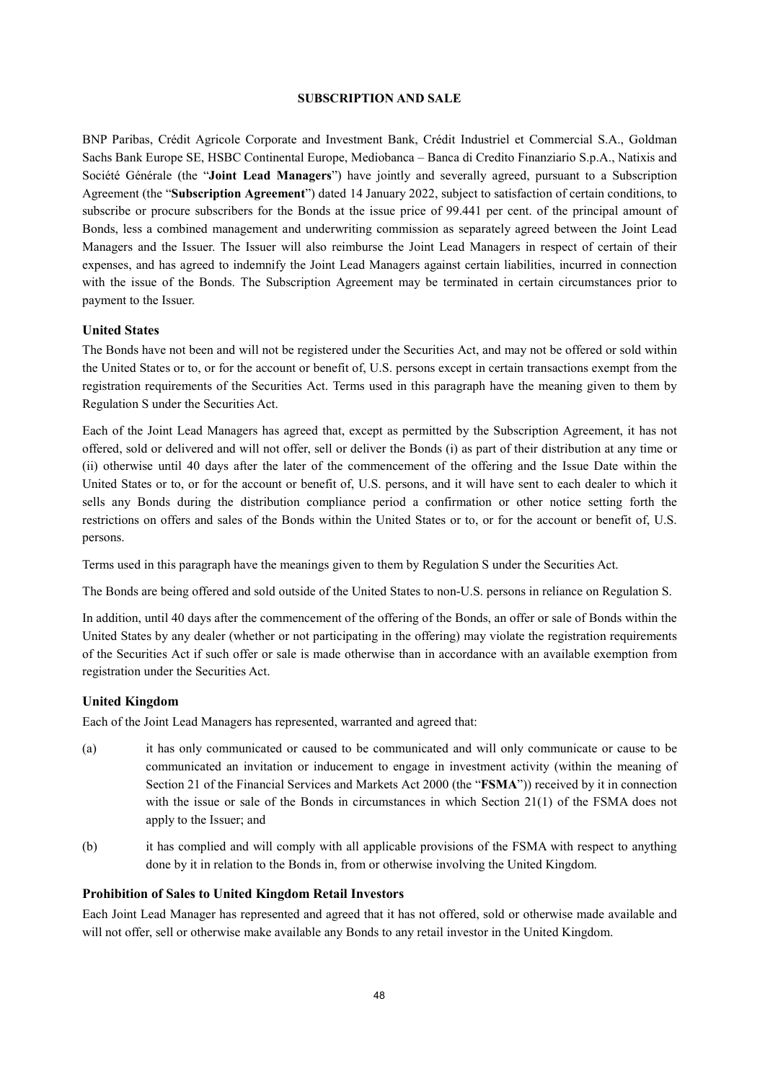### **SUBSCRIPTION AND SALE**

<span id="page-47-0"></span>BNP Paribas, Crédit Agricole Corporate and Investment Bank, Crédit Industriel et Commercial S.A., Goldman Sachs Bank Europe SE, HSBC Continental Europe, Mediobanca – Banca di Credito Finanziario S.p.A., Natixis and Société Générale (the "**Joint Lead Managers**") have jointly and severally agreed, pursuant to a Subscription Agreement (the "**Subscription Agreement**") dated 14 January 2022, subject to satisfaction of certain conditions, to subscribe or procure subscribers for the Bonds at the issue price of 99.441 per cent. of the principal amount of Bonds, less a combined management and underwriting commission as separately agreed between the Joint Lead Managers and the Issuer. The Issuer will also reimburse the Joint Lead Managers in respect of certain of their expenses, and has agreed to indemnify the Joint Lead Managers against certain liabilities, incurred in connection with the issue of the Bonds. The Subscription Agreement may be terminated in certain circumstances prior to payment to the Issuer.

# **United States**

The Bonds have not been and will not be registered under the Securities Act, and may not be offered or sold within the United States or to, or for the account or benefit of, U.S. persons except in certain transactions exempt from the registration requirements of the Securities Act. Terms used in this paragraph have the meaning given to them by Regulation S under the Securities Act.

Each of the Joint Lead Managers has agreed that, except as permitted by the Subscription Agreement, it has not offered, sold or delivered and will not offer, sell or deliver the Bonds (i) as part of their distribution at any time or (ii) otherwise until 40 days after the later of the commencement of the offering and the Issue Date within the United States or to, or for the account or benefit of, U.S. persons, and it will have sent to each dealer to which it sells any Bonds during the distribution compliance period a confirmation or other notice setting forth the restrictions on offers and sales of the Bonds within the United States or to, or for the account or benefit of, U.S. persons.

Terms used in this paragraph have the meanings given to them by Regulation S under the Securities Act.

The Bonds are being offered and sold outside of the United States to non-U.S. persons in reliance on Regulation S.

In addition, until 40 days after the commencement of the offering of the Bonds, an offer or sale of Bonds within the United States by any dealer (whether or not participating in the offering) may violate the registration requirements of the Securities Act if such offer or sale is made otherwise than in accordance with an available exemption from registration under the Securities Act.

### **United Kingdom**

Each of the Joint Lead Managers has represented, warranted and agreed that:

- (a) it has only communicated or caused to be communicated and will only communicate or cause to be communicated an invitation or inducement to engage in investment activity (within the meaning of Section 21 of the Financial Services and Markets Act 2000 (the "**FSMA**")) received by it in connection with the issue or sale of the Bonds in circumstances in which Section 21(1) of the FSMA does not apply to the Issuer; and
- (b) it has complied and will comply with all applicable provisions of the FSMA with respect to anything done by it in relation to the Bonds in, from or otherwise involving the United Kingdom.

### **Prohibition of Sales to United Kingdom Retail Investors**

Each Joint Lead Manager has represented and agreed that it has not offered, sold or otherwise made available and will not offer, sell or otherwise make available any Bonds to any retail investor in the United Kingdom.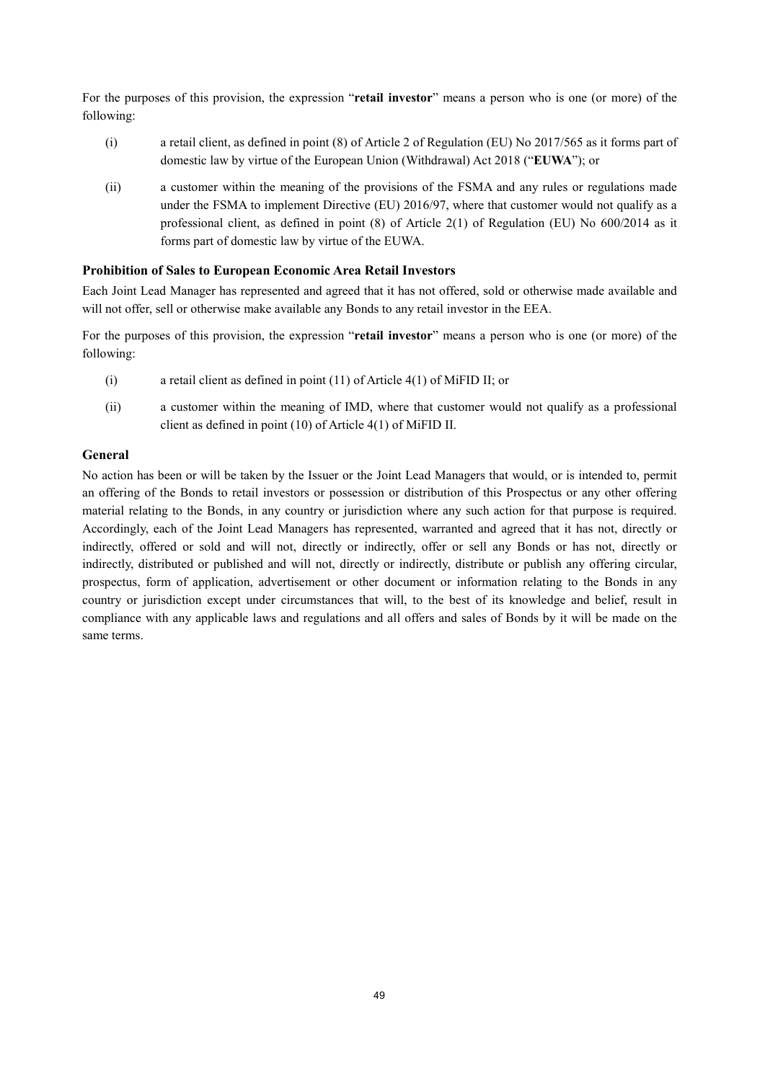For the purposes of this provision, the expression "**retail investor**" means a person who is one (or more) of the following:

- (i) a retail client, as defined in point (8) of Article 2 of Regulation (EU) No 2017/565 as it forms part of domestic law by virtue of the European Union (Withdrawal) Act 2018 ("**EUWA**"); or
- (ii) a customer within the meaning of the provisions of the FSMA and any rules or regulations made under the FSMA to implement Directive (EU) 2016/97, where that customer would not qualify as a professional client, as defined in point (8) of Article 2(1) of Regulation (EU) No 600/2014 as it forms part of domestic law by virtue of the EUWA.

# **Prohibition of Sales to European Economic Area Retail Investors**

Each Joint Lead Manager has represented and agreed that it has not offered, sold or otherwise made available and will not offer, sell or otherwise make available any Bonds to any retail investor in the EEA.

For the purposes of this provision, the expression "**retail investor**" means a person who is one (or more) of the following:

- (i) a retail client as defined in point (11) of Article 4(1) of MiFID II; or
- (ii) a customer within the meaning of IMD, where that customer would not qualify as a professional client as defined in point (10) of Article 4(1) of MiFID II.

# **General**

No action has been or will be taken by the Issuer or the Joint Lead Managers that would, or is intended to, permit an offering of the Bonds to retail investors or possession or distribution of this Prospectus or any other offering material relating to the Bonds, in any country or jurisdiction where any such action for that purpose is required. Accordingly, each of the Joint Lead Managers has represented, warranted and agreed that it has not, directly or indirectly, offered or sold and will not, directly or indirectly, offer or sell any Bonds or has not, directly or indirectly, distributed or published and will not, directly or indirectly, distribute or publish any offering circular, prospectus, form of application, advertisement or other document or information relating to the Bonds in any country or jurisdiction except under circumstances that will, to the best of its knowledge and belief, result in compliance with any applicable laws and regulations and all offers and sales of Bonds by it will be made on the same terms.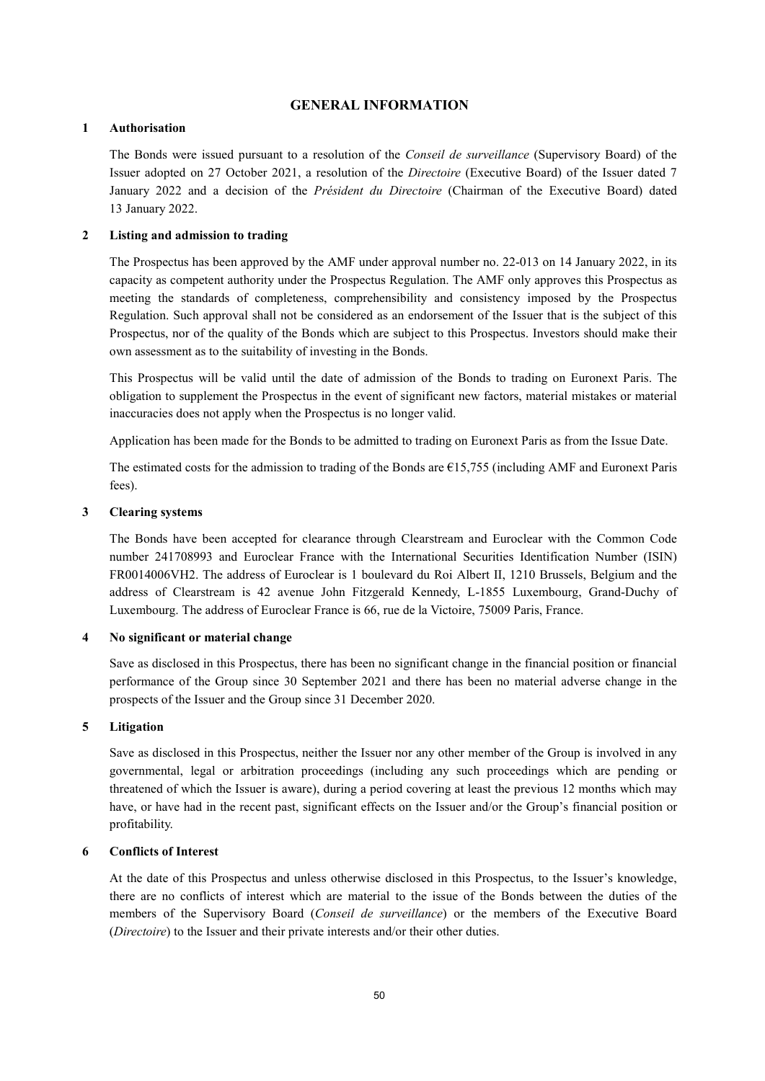# **GENERAL INFORMATION**

### <span id="page-49-0"></span>**1 Authorisation**

The Bonds were issued pursuant to a resolution of the *Conseil de surveillance* (Supervisory Board) of the Issuer adopted on 27 October 2021, a resolution of the *Directoire* (Executive Board) of the Issuer dated 7 January 2022 and a decision of the *Président du Directoire* (Chairman of the Executive Board) dated 13 January 2022.

# **2 Listing and admission to trading**

The Prospectus has been approved by the AMF under approval number no. 22-013 on 14 January 2022, in its capacity as competent authority under the Prospectus Regulation. The AMF only approves this Prospectus as meeting the standards of completeness, comprehensibility and consistency imposed by the Prospectus Regulation. Such approval shall not be considered as an endorsement of the Issuer that is the subject of this Prospectus, nor of the quality of the Bonds which are subject to this Prospectus. Investors should make their own assessment as to the suitability of investing in the Bonds.

This Prospectus will be valid until the date of admission of the Bonds to trading on Euronext Paris. The obligation to supplement the Prospectus in the event of significant new factors, material mistakes or material inaccuracies does not apply when the Prospectus is no longer valid.

Application has been made for the Bonds to be admitted to trading on Euronext Paris as from the Issue Date.

The estimated costs for the admission to trading of the Bonds are  $\epsilon$ 15,755 (including AMF and Euronext Paris fees).

### **3 Clearing systems**

The Bonds have been accepted for clearance through Clearstream and Euroclear with the Common Code number 241708993 and Euroclear France with the International Securities Identification Number (ISIN) FR0014006VH2. The address of Euroclear is 1 boulevard du Roi Albert II, 1210 Brussels, Belgium and the address of Clearstream is 42 avenue John Fitzgerald Kennedy, L-1855 Luxembourg, Grand-Duchy of Luxembourg. The address of Euroclear France is 66, rue de la Victoire, 75009 Paris, France.

### **4 No significant or material change**

Save as disclosed in this Prospectus, there has been no significant change in the financial position or financial performance of the Group since 30 September 2021 and there has been no material adverse change in the prospects of the Issuer and the Group since 31 December 2020.

### **5 Litigation**

Save as disclosed in this Prospectus, neither the Issuer nor any other member of the Group is involved in any governmental, legal or arbitration proceedings (including any such proceedings which are pending or threatened of which the Issuer is aware), during a period covering at least the previous 12 months which may have, or have had in the recent past, significant effects on the Issuer and/or the Group's financial position or profitability.

### **6 Conflicts of Interest**

At the date of this Prospectus and unless otherwise disclosed in this Prospectus, to the Issuer's knowledge, there are no conflicts of interest which are material to the issue of the Bonds between the duties of the members of the Supervisory Board (*Conseil de surveillance*) or the members of the Executive Board (*Directoire*) to the Issuer and their private interests and/or their other duties.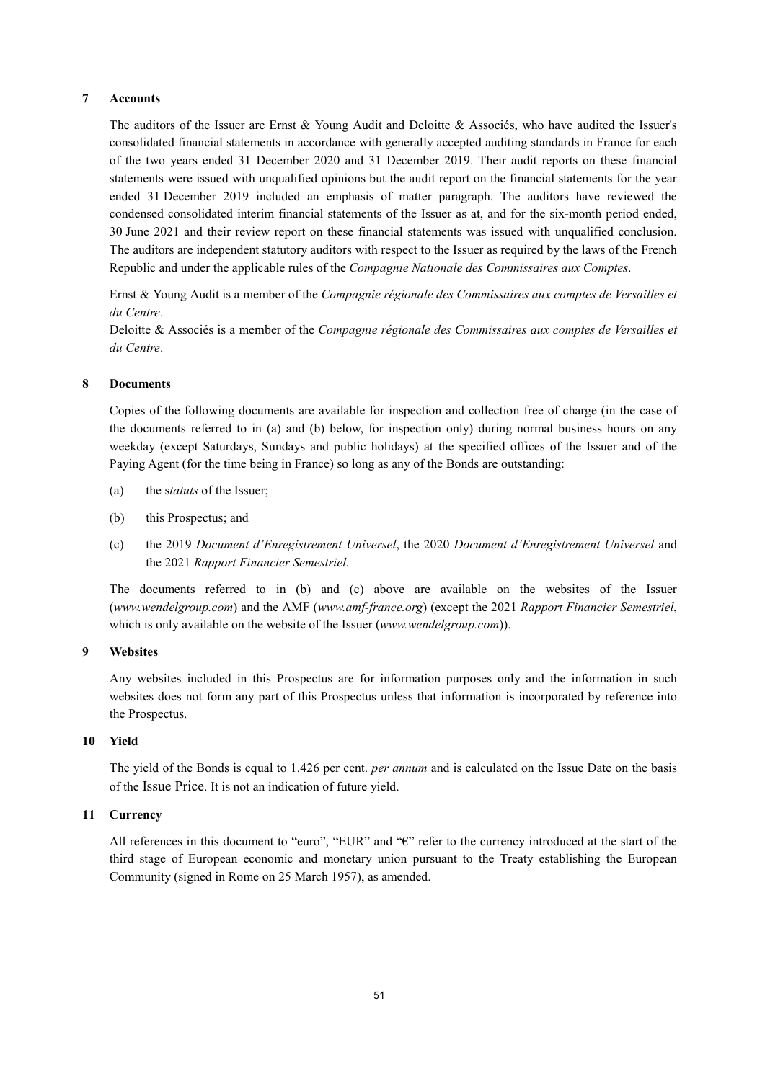### **7 Accounts**

The auditors of the Issuer are Ernst & Young Audit and Deloitte & Associés, who have audited the Issuer's consolidated financial statements in accordance with generally accepted auditing standards in France for each of the two years ended 31 December 2020 and 31 December 2019. Their audit reports on these financial statements were issued with unqualified opinions but the audit report on the financial statements for the year ended 31 December 2019 included an emphasis of matter paragraph. The auditors have reviewed the condensed consolidated interim financial statements of the Issuer as at, and for the six-month period ended, 30 June 2021 and their review report on these financial statements was issued with unqualified conclusion. The auditors are independent statutory auditors with respect to the Issuer as required by the laws of the French Republic and under the applicable rules of the *Compagnie Nationale des Commissaires aux Comptes*.

Ernst & Young Audit is a member of the *Compagnie régionale des Commissaires aux comptes de Versailles et du Centre*.

Deloitte & Associés is a member of the *Compagnie régionale des Commissaires aux comptes de Versailles et du Centre*.

### **8 Documents**

Copies of the following documents are available for inspection and collection free of charge (in the case of the documents referred to in (a) and (b) below, for inspection only) during normal business hours on any weekday (except Saturdays, Sundays and public holidays) at the specified offices of the Issuer and of the Paying Agent (for the time being in France) so long as any of the Bonds are outstanding:

- (a) the s*tatuts* of the Issuer;
- (b) this Prospectus; and
- (c) the 2019 *Document d'Enregistrement Universel*, the 2020 *Document d'Enregistrement Universel* and the 2021 *Rapport Financier Semestriel.*

The documents referred to in (b) and (c) above are available on the websites of the Issuer (*www.wendelgroup.com*) and the AMF (*www.amf-france.org*) (except the 2021 *Rapport Financier Semestriel*, which is only available on the website of the Issuer (*www.wendelgroup.com*)).

### **9 Websites**

Any websites included in this Prospectus are for information purposes only and the information in such websites does not form any part of this Prospectus unless that information is incorporated by reference into the Prospectus.

# **10 Yield**

The yield of the Bonds is equal to 1.426 per cent. *per annum* and is calculated on the Issue Date on the basis of the Issue Price. It is not an indication of future yield.

### **11 Currency**

All references in this document to "euro", "EUR" and "€" refer to the currency introduced at the start of the third stage of European economic and monetary union pursuant to the Treaty establishing the European Community (signed in Rome on 25 March 1957), as amended.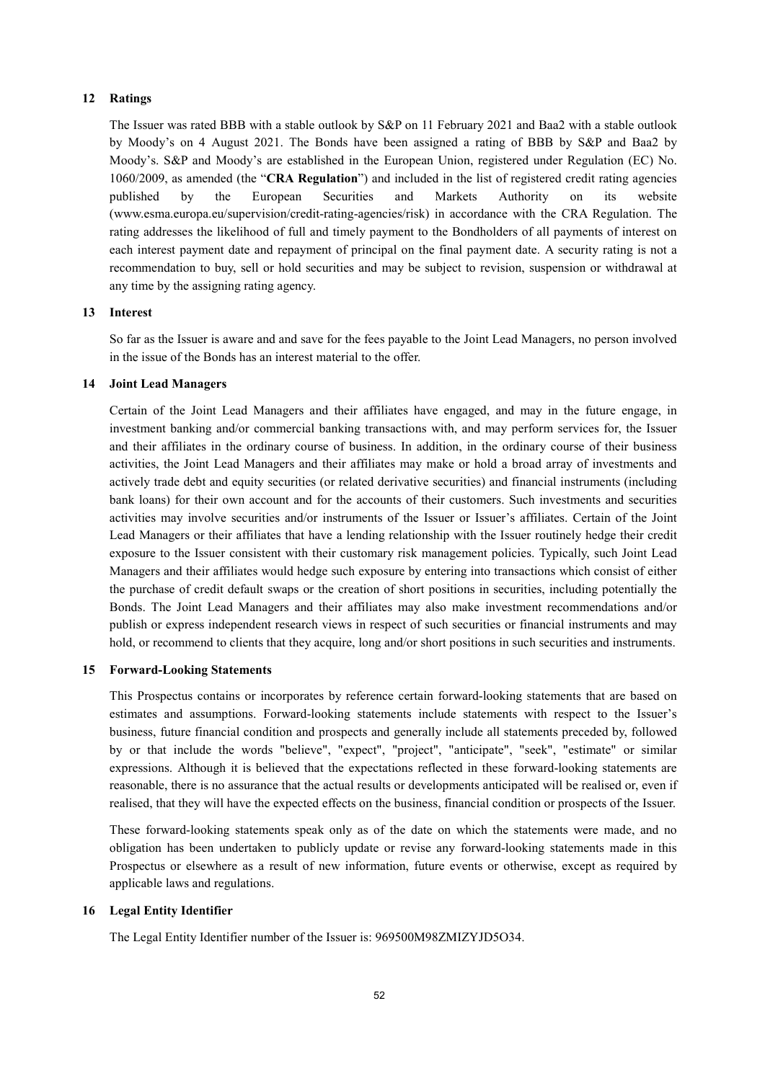### **12 Ratings**

The Issuer was rated BBB with a stable outlook by S&P on 11 February 2021 and Baa2 with a stable outlook by Moody's on 4 August 2021. The Bonds have been assigned a rating of BBB by S&P and Baa2 by Moody's. S&P and Moody's are established in the European Union, registered under Regulation (EC) No. 1060/2009, as amended (the "**CRA Regulation**") and included in the list of registered credit rating agencies published by the European Securities and Markets Authority on its website (www.esma.europa.eu/supervision/credit-rating-agencies/risk) in accordance with the CRA Regulation. The rating addresses the likelihood of full and timely payment to the Bondholders of all payments of interest on each interest payment date and repayment of principal on the final payment date. A security rating is not a recommendation to buy, sell or hold securities and may be subject to revision, suspension or withdrawal at any time by the assigning rating agency.

#### **13 Interest**

So far as the Issuer is aware and and save for the fees payable to the Joint Lead Managers, no person involved in the issue of the Bonds has an interest material to the offer.

#### **14 Joint Lead Managers**

Certain of the Joint Lead Managers and their affiliates have engaged, and may in the future engage, in investment banking and/or commercial banking transactions with, and may perform services for, the Issuer and their affiliates in the ordinary course of business. In addition, in the ordinary course of their business activities, the Joint Lead Managers and their affiliates may make or hold a broad array of investments and actively trade debt and equity securities (or related derivative securities) and financial instruments (including bank loans) for their own account and for the accounts of their customers. Such investments and securities activities may involve securities and/or instruments of the Issuer or Issuer's affiliates. Certain of the Joint Lead Managers or their affiliates that have a lending relationship with the Issuer routinely hedge their credit exposure to the Issuer consistent with their customary risk management policies. Typically, such Joint Lead Managers and their affiliates would hedge such exposure by entering into transactions which consist of either the purchase of credit default swaps or the creation of short positions in securities, including potentially the Bonds. The Joint Lead Managers and their affiliates may also make investment recommendations and/or publish or express independent research views in respect of such securities or financial instruments and may hold, or recommend to clients that they acquire, long and/or short positions in such securities and instruments.

#### **15 Forward-Looking Statements**

This Prospectus contains or incorporates by reference certain forward-looking statements that are based on estimates and assumptions. Forward-looking statements include statements with respect to the Issuer's business, future financial condition and prospects and generally include all statements preceded by, followed by or that include the words "believe", "expect", "project", "anticipate", "seek", "estimate" or similar expressions. Although it is believed that the expectations reflected in these forward-looking statements are reasonable, there is no assurance that the actual results or developments anticipated will be realised or, even if realised, that they will have the expected effects on the business, financial condition or prospects of the Issuer.

These forward-looking statements speak only as of the date on which the statements were made, and no obligation has been undertaken to publicly update or revise any forward-looking statements made in this Prospectus or elsewhere as a result of new information, future events or otherwise, except as required by applicable laws and regulations.

#### **16 Legal Entity Identifier**

The Legal Entity Identifier number of the Issuer is: 969500M98ZMIZYJD5O34.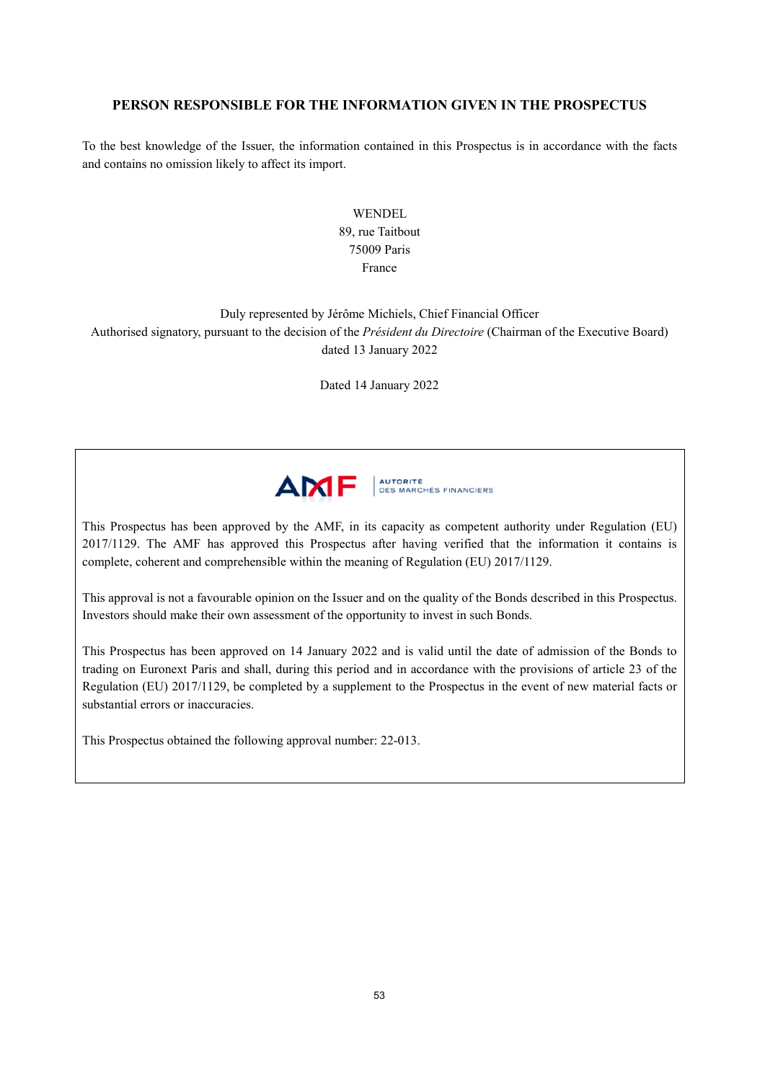# <span id="page-52-0"></span>**PERSON RESPONSIBLE FOR THE INFORMATION GIVEN IN THE PROSPECTUS**

To the best knowledge of the Issuer, the information contained in this Prospectus is in accordance with the facts and contains no omission likely to affect its import.

> **WENDEL** 89, rue Taitbout 75009 Paris France

Duly represented by Jérôme Michiels, Chief Financial Officer Authorised signatory, pursuant to the decision of the *Président du Directoire* (Chairman of the Executive Board) dated 13 January 2022

Dated 14 January 2022



This Prospectus has been approved by the AMF, in its capacity as competent authority under Regulation (EU) 2017/1129. The AMF has approved this Prospectus after having verified that the information it contains is complete, coherent and comprehensible within the meaning of Regulation (EU) 2017/1129.

This approval is not a favourable opinion on the Issuer and on the quality of the Bonds described in this Prospectus. Investors should make their own assessment of the opportunity to invest in such Bonds.

This Prospectus has been approved on 14 January 2022 and is valid until the date of admission of the Bonds to trading on Euronext Paris and shall, during this period and in accordance with the provisions of article 23 of the Regulation (EU) 2017/1129, be completed by a supplement to the Prospectus in the event of new material facts or substantial errors or inaccuracies.

This Prospectus obtained the following approval number: 22-013.